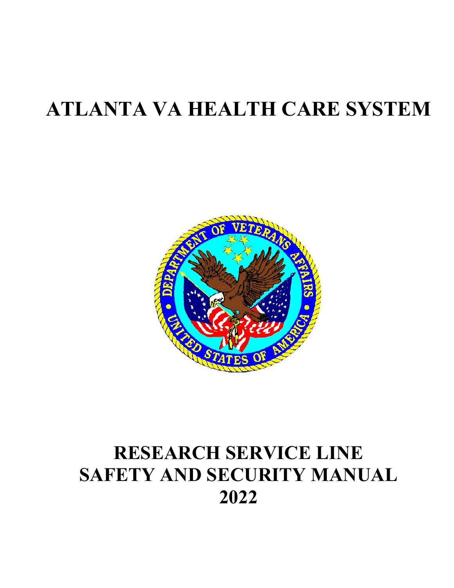# **ATLANTA VA HEALTH CARE SYSTEM**



## **RESEARCH SERVICE LINE SAFETY AND SECURITY MANUAL 2022**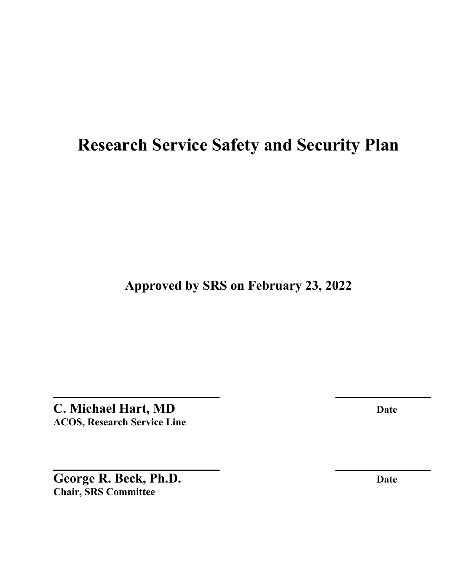## **Research Service Safety and Security Plan**

**Approved by SRS on February 23, 2022** 

**C. Michael Hart, MD Date ACOS, Research Service Line** 

George R. Beck, Ph.D. Date **Chair, SRS Committee**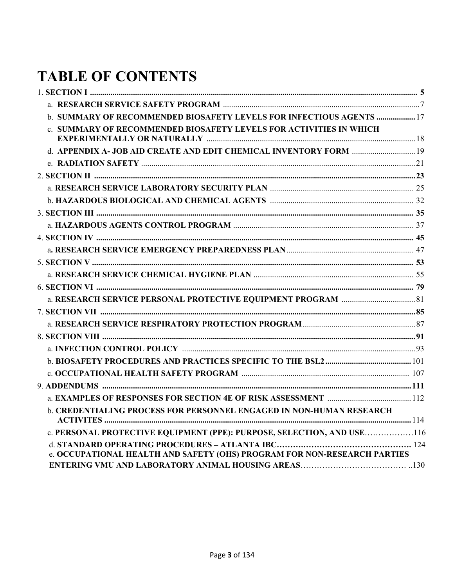## **TABLE OF CONTENTS**

| b. SUMMARY OF RECOMMENDED BIOSAFETY LEVELS FOR INFECTIOUS AGENTS  17     |  |
|--------------------------------------------------------------------------|--|
| c. SUMMARY OF RECOMMENDED BIOSAFETY LEVELS FOR ACTIVITIES IN WHICH       |  |
|                                                                          |  |
|                                                                          |  |
|                                                                          |  |
|                                                                          |  |
|                                                                          |  |
|                                                                          |  |
|                                                                          |  |
|                                                                          |  |
|                                                                          |  |
|                                                                          |  |
|                                                                          |  |
|                                                                          |  |
|                                                                          |  |
|                                                                          |  |
|                                                                          |  |
|                                                                          |  |
|                                                                          |  |
|                                                                          |  |
|                                                                          |  |
|                                                                          |  |
|                                                                          |  |
| b. CREDENTIALING PROCESS FOR PERSONNEL ENGAGED IN NON-HUMAN RESEARCH     |  |
| c. PERSONAL PROTECTIVE EQUIPMENT (PPE): PURPOSE, SELECTION, AND USE116   |  |
|                                                                          |  |
| e. OCCUPATIONAL HEALTH AND SAFETY (OHS) PROGRAM FOR NON-RESEARCH PARTIES |  |
|                                                                          |  |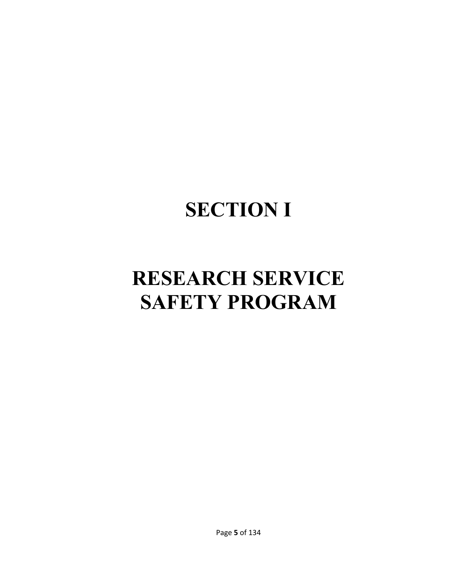# **SECTION I**

# **RESEARCH SERVICE SAFETY PROGRAM**

Page **5** of 134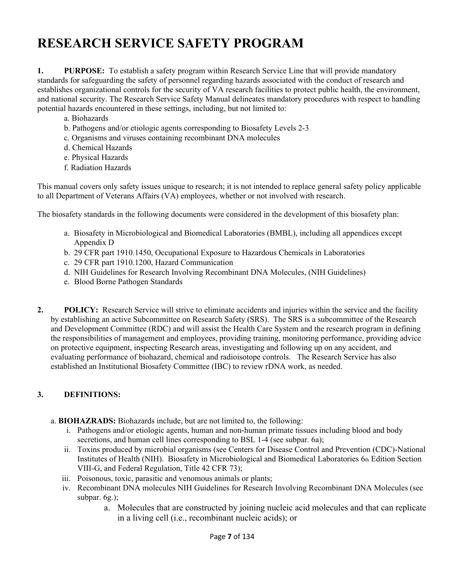### **RESEARCH SERVICE SAFETY PROGRAM**

**1. PURPOSE:** To establish a safety program within Research Service Line that will provide mandatory standards for safeguarding the safety of personnel regarding hazards associated with the conduct of research and establishes organizational controls for the security of VA research facilities to protect public health, the environment, and national security. The Research Service Safety Manual delineates mandatory procedures with respect to handling potential hazards encountered in these settings, including, but not limited to:

- a. Biohazards
- b. Pathogens and/or etiologic agents corresponding to Biosafety Levels 2-3
- c. Organisms and viruses containing recombinant DNA molecules
- d. Chemical Hazards
- e. Physical Hazards
- f. Radiation Hazards

This manual covers only safety issues unique to research; it is not intended to replace general safety policy applicable to all Department of Veterans Affairs (VA) employees, whether or not involved with research.

The biosafety standards in the following documents were considered in the development of this biosafety plan:

- a.Biosafety in Microbiological and Biomedical Laboratories (BMBL), including all appendices except Appendix D
- b.29 CFR part 1910.1450, Occupational Exposure to Hazardous Chemicals in Laboratories
- c.29 CFR part 1910.1200, Hazard Communication
- d. NIH Guidelines for Research Involving Recombinant DNA Molecules, (NIH Guidelines)
- e. Blood Borne Pathogen Standards
- 2. POLICY: Research Service will strive to eliminate accidents and injuries within the service and the facility by establishing an active Subcommittee on Research Safety (SRS). The SRS is a subcommittee of the Research and Development Committee (RDC) and will assist the Health Care System and the research program in defining the responsibilities of management and employees, providing training, monitoring performance, providing advice on protective equipment, inspecting Research areas, investigating and following up on any accident, and evaluating performance of biohazard, chemical and radioisotope controls. The Research Service has also established an Institutional Biosafety Committee (IBC) to review rDNA work, as needed.

### **3. DEFINITIONS:**

- a. **BIOHAZRADS:** Biohazards include, but are not limited to, the following:
	- i. Pathogens and/or etiologic agents, human and non-human primate tissues including blood and body secretions, and human cell lines corresponding to BSL 1-4 (see subpar. 6a);
	- ii. Toxins produced by microbial organisms (see Centers for Disease Control and Prevention (CDC)-National Institutes of Health (NIH). Biosafety in Microbiological and Biomedical Laboratories 6th Edition Section VIII-G, and Federal Regulation, Title 42 CFR 73);
	- iii. Poisonous, toxic, parasitic and venomous animals or plants;
	- iv. Recombinant DNA molecules NIH Guidelines for Research Involving Recombinant DNA Molecules (see subpar. 6g.);
		- a. Molecules that are constructed by joining nucleic acid molecules and that can replicate in a living cell (i.e., recombinant nucleic acids); or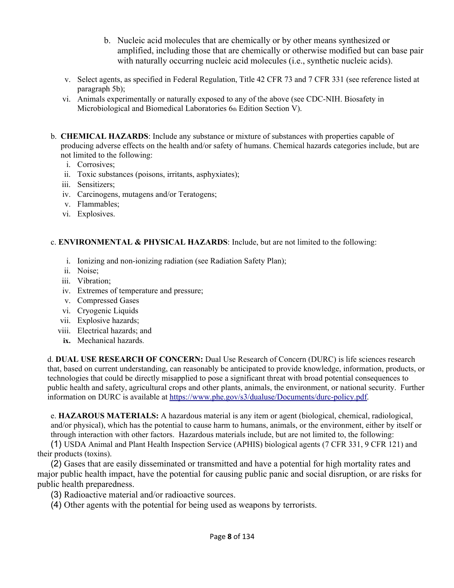- b. Nucleic acid molecules that are chemically or by other means synthesized or amplified, including those that are chemically or otherwise modified but can base pair with naturally occurring nucleic acid molecules (i.e., synthetic nucleic acids).
- v. Select agents, as specified in Federal Regulation, Title 42 CFR 73 and 7 CFR 331 (see reference listed at paragraph 5b);
- vi. Animals experimentally or naturally exposed to any of the above (see CDC-NIH. Biosafety in Microbiological and Biomedical Laboratories 6th Edition Section V).
- b. **CHEMICAL HAZARDS**: Include any substance or mixture of substances with properties capable of producing adverse effects on the health and/or safety of humans. Chemical hazards categories include, but are not limited to the following:
	- i. Corrosives;
	- ii. Toxic substances (poisons, irritants, asphyxiates);
	- iii. Sensitizers;
	- iv. Carcinogens, mutagens and/or Teratogens;
	- v. Flammables;
	- vi. Explosives.

### c. **ENVIRONMENTAL & PHYSICAL HAZARDS**: Include, but are not limited to the following:

- i. Ionizing and non-ionizing radiation (see Radiation Safety Plan);
- ii. Noise;
- iii. Vibration;
- iv. Extremes of temperature and pressure;
- v. Compressed Gases
- vi. Cryogenic Liquids
- vii. Explosive hazards;
- viii. Electrical hazards; and
- **ix.** Mechanical hazards.

d. **DUAL USE RESEARCH OF CONCERN:** Dual Use Research of Concern (DURC) is life sciences research that, based on current understanding, can reasonably be anticipated to provide knowledge, information, products, or technologies that could be directly misapplied to pose a significant threat with broad potential consequences to public health and safety, agricultural crops and other plants, animals, the environment, or national security. Further information on DURC is available at https://www.phe.gov/s3/dualuse/Documents/durc-policy.pdf.

e. **HAZAROUS MATERIALS:** A hazardous material is any item or agent (biological, chemical, radiological, and/or physical), which has the potential to cause harm to humans, animals, or the environment, either by itself or through interaction with other factors. Hazardous materials include, but are not limited to, the following:

(1) USDA Animal and Plant Health Inspection Service (APHIS) biological agents (7 CFR 331, 9 CFR 121) and their products (toxins).

(2) Gases that are easily disseminated or transmitted and have a potential for high mortality rates and major public health impact, have the potential for causing public panic and social disruption, or are risks for public health preparedness.

(3) Radioactive material and/or radioactive sources.

(4) Other agents with the potential for being used as weapons by terrorists.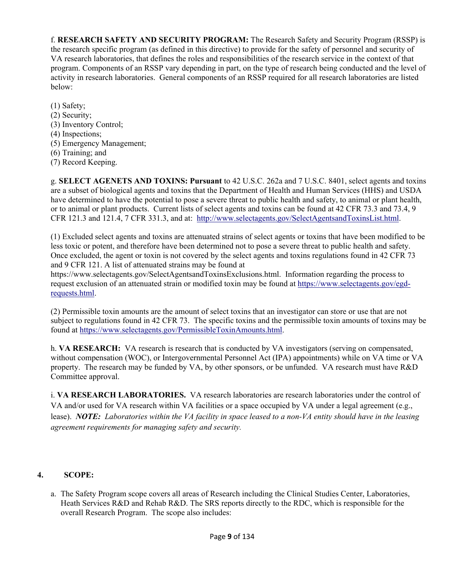f. **RESEARCH SAFETY AND SECURITY PROGRAM:** The Research Safety and Security Program (RSSP) is the research specific program (as defined in this directive) to provide for the safety of personnel and security of VA research laboratories, that defines the roles and responsibilities of the research service in the context of that program. Components of an RSSP vary depending in part, on the type of research being conducted and the level of activity in research laboratories. General components of an RSSP required for all research laboratories are listed below:

(1) Safety; (2) Security; (3) Inventory Control; (4) Inspections; (5) Emergency Management; (6) Training; and (7) Record Keeping.

g. **SELECT AGENETS AND TOXINS: Pursuant** to 42 U.S.C. 262a and 7 U.S.C. 8401, select agents and toxins are a subset of biological agents and toxins that the Department of Health and Human Services (HHS) and USDA have determined to have the potential to pose a severe threat to public health and safety, to animal or plant health, or to animal or plant products. Current lists of select agents and toxins can be found at 42 CFR 73.3 and 73.4, 9 CFR 121.3 and 121.4, 7 CFR 331.3, and at: http://www.selectagents.gov/SelectAgentsandToxinsList.html.

(1) Excluded select agents and toxins are attenuated strains of select agents or toxins that have been modified to be less toxic or potent, and therefore have been determined not to pose a severe threat to public health and safety. Once excluded, the agent or toxin is not covered by the select agents and toxins regulations found in 42 CFR 73 and 9 CFR 121. A list of attenuated strains may be found at

https://www.selectagents.gov/SelectAgentsandToxinsExclusions.html. Information regarding the process to request exclusion of an attenuated strain or modified toxin may be found at https://www.selectagents.gov/egdrequests.html.

(2) Permissible toxin amounts are the amount of select toxins that an investigator can store or use that are not subject to regulations found in 42 CFR 73. The specific toxins and the permissible toxin amounts of toxins may be found at https://www.selectagents.gov/PermissibleToxinAmounts.html.

h. **VA RESEARCH:** VA research is research that is conducted by VA investigators (serving on compensated, without compensation (WOC), or Intergovernmental Personnel Act (IPA) appointments) while on VA time or VA property. The research may be funded by VA, by other sponsors, or be unfunded. VA research must have R&D Committee approval.

i. **VA RESEARCH LABORATORIES.** VA research laboratories are research laboratories under the control of VA and/or used for VA research within VA facilities or a space occupied by VA under a legal agreement (e.g., lease). *NOTE: Laboratories within the VA facility in space leased to a non-VA entity should have in the leasing agreement requirements for managing safety and security.* 

### **4. SCOPE:**

a.The Safety Program scope covers all areas of Research including the Clinical Studies Center, Laboratories, Heath Services R&D and Rehab R&D. The SRS reports directly to the RDC, which is responsible for the overall Research Program. The scope also includes: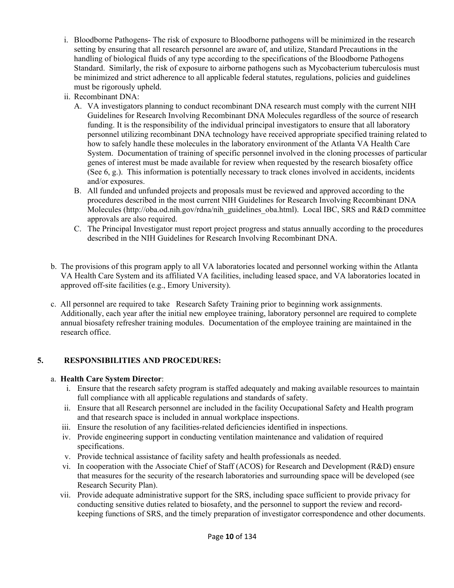- i.Bloodborne Pathogens- The risk of exposure to Bloodborne pathogens will be minimized in the research setting by ensuring that all research personnel are aware of, and utilize, Standard Precautions in the handling of biological fluids of any type according to the specifications of the Bloodborne Pathogens Standard. Similarly, the risk of exposure to airborne pathogens such as Mycobacterium tuberculosis must be minimized and strict adherence to all applicable federal statutes, regulations, policies and guidelines must be rigorously upheld.
- ii.Recombinant DNA:
	- A.VA investigators planning to conduct recombinant DNA research must comply with the current NIH Guidelines for Research Involving Recombinant DNA Molecules regardless of the source of research funding. It is the responsibility of the individual principal investigators to ensure that all laboratory personnel utilizing recombinant DNA technology have received appropriate specified training related to how to safely handle these molecules in the laboratory environment of the Atlanta VA Health Care System. Documentation of training of specific personnel involved in the cloning processes of particular genes of interest must be made available for review when requested by the research biosafety office (See 6, g.). This information is potentially necessary to track clones involved in accidents, incidents and/or exposures.
	- B.All funded and unfunded projects and proposals must be reviewed and approved according to the procedures described in the most current NIH Guidelines for Research Involving Recombinant DNA Molecules (http://oba.od.nih.gov/rdna/nih\_guidelines\_oba.html). Local IBC, SRS and R&D committee approvals are also required.
	- C.The Principal Investigator must report project progress and status annually according to the procedures described in the NIH Guidelines for Research Involving Recombinant DNA.
- b.The provisions of this program apply to all VA laboratories located and personnel working within the Atlanta VA Health Care System and its affiliated VA facilities, including leased space, and VA laboratories located in approved off-site facilities (e.g., Emory University).
- c. All personnel are required to take Research Safety Training prior to beginning work assignments. Additionally, each year after the initial new employee training, laboratory personnel are required to complete annual biosafety refresher training modules. Documentation of the employee training are maintained in the research office.

### **5. RESPONSIBILITIES AND PROCEDURES:**

### a. **Health Care System Director**:

- i. Ensure that the research safety program is staffed adequately and making available resources to maintain full compliance with all applicable regulations and standards of safety.
- ii. Ensure that all Research personnel are included in the facility Occupational Safety and Health program and that research space is included in annual workplace inspections.
- iii. Ensure the resolution of any facilities-related deficiencies identified in inspections.
- iv. Provide engineering support in conducting ventilation maintenance and validation of required specifications.
- v. Provide technical assistance of facility safety and health professionals as needed.
- vi. In cooperation with the Associate Chief of Staff (ACOS) for Research and Development (R&D) ensure that measures for the security of the research laboratories and surrounding space will be developed (see Research Security Plan).
- vii. Provide adequate administrative support for the SRS, including space sufficient to provide privacy for conducting sensitive duties related to biosafety, and the personnel to support the review and recordkeeping functions of SRS, and the timely preparation of investigator correspondence and other documents.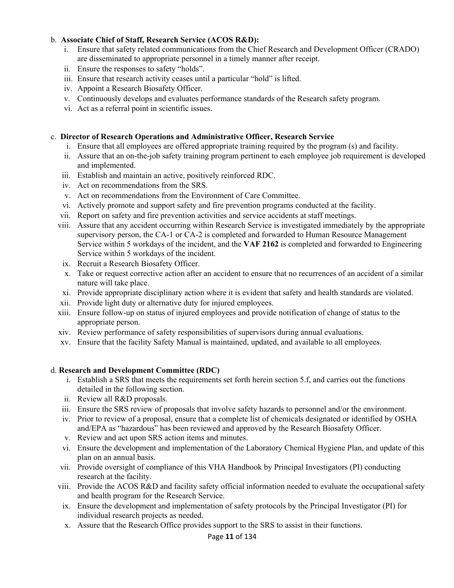### b. **Associate Chief of Staff, Research Service (ACOS R&D):**

- i.Ensure that safety related communications from the Chief Research and Development Officer (CRADO) are disseminated to appropriate personnel in a timely manner after receipt.
- ii.Ensure the responses to safety "holds".
- iii. Ensure that research activity ceases until a particular "hold" is lifted.
- iv.Appoint a Research Biosafety Officer.
- v.Continuously develops and evaluates performance standards of the Research safety program.
- vi.Act as a referral point in scientific issues.

#### c. **Director of Research Operations and Administrative Officer, Research Service**

- i. Ensure that all employees are offered appropriate training required by the program (s) and facility.
- ii. Assure that an on-the-job safety training program pertinent to each employee job requirement is developed and implemented.
- iii. Establish and maintain an active, positively reinforced RDC.
- iv. Act on recommendations from the SRS.
- v. Act on recommendations from the Environment of Care Committee.
- vi. Actively promote and support safety and fire prevention programs conducted at the facility.
- vii. Report on safety and fire prevention activities and service accidents at staff meetings.
- viii. Assure that any accident occurring within Research Service is investigated immediately by the appropriate supervisory person, the CA-1 or CA-2 is completed and forwarded to Human Resource Management Service within 5 workdays of the incident, and the **VAF 2162** is completed and forwarded to Engineering Service within 5 workdays of the incident.
- ix. Recruit a Research Biosafety Officer.
- x. Take or request corrective action after an accident to ensure that no recurrences of an accident of a similar nature will take place.
- xi. Provide appropriate disciplinary action where it is evident that safety and health standards are violated.
- xii. Provide light duty or alternative duty for injured employees.
- xiii. Ensure follow-up on status of injured employees and provide notification of change of status to the appropriate person.
- xiv. Review performance of safety responsibilities of supervisors during annual evaluations.
- xv. Ensure that the facility Safety Manual is maintained, updated, and available to all employees.

#### d. **Research and Development Committee (RDC)**

- i. Establish a SRS that meets the requirements set forth herein section 5.f, and carries out the functions detailed in the following section.
- ii. Review all R&D proposals.
- iii. Ensure the SRS review of proposals that involve safety hazards to personnel and/or the environment.
- iv. Prior to review of a proposal, ensure that a complete list of chemicals designated or identified by OSHA and/EPA as "hazardous" has been reviewed and approved by the Research Biosafety Officer.
- v. Review and act upon SRS action items and minutes.
- vi. Ensure the development and implementation of the Laboratory Chemical Hygiene Plan, and update of this plan on an annual basis.
- vii. Provide oversight of compliance of this VHA Handbook by Principal Investigators (PI) conducting research at the facility.
- viii. Provide the ACOS R&D and facility safety official information needed to evaluate the occupational safety and health program for the Research Service.
- ix. Ensure the development and implementation of safety protocols by the Principal Investigator (PI) for individual research projects as needed.
- x. Assure that the Research Office provides support to the SRS to assist in their functions.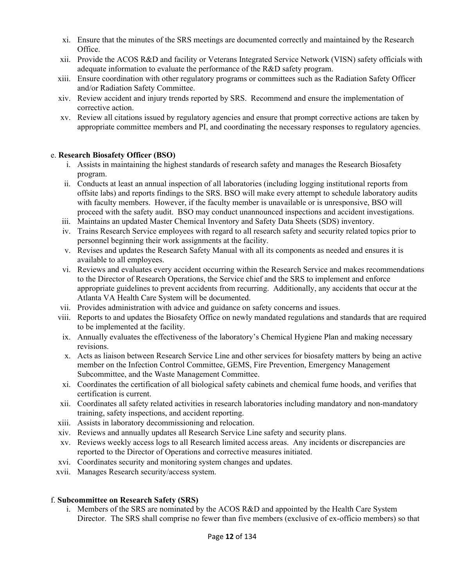- xi. Ensure that the minutes of the SRS meetings are documented correctly and maintained by the Research Office.
- xii. Provide the ACOS R&D and facility or Veterans Integrated Service Network (VISN) safety officials with adequate information to evaluate the performance of the R&D safety program.
- xiii. Ensure coordination with other regulatory programs or committees such as the Radiation Safety Officer and/or Radiation Safety Committee.
- xiv. Review accident and injury trends reported by SRS. Recommend and ensure the implementation of corrective action.
- xv. Review all citations issued by regulatory agencies and ensure that prompt corrective actions are taken by appropriate committee members and PI, and coordinating the necessary responses to regulatory agencies.

### e. **Research Biosafety Officer (BSO)**

- i. Assists in maintaining the highest standards of research safety and manages the Research Biosafety program.
- ii. Conducts at least an annual inspection of all laboratories (including logging institutional reports from offsite labs) and reports findings to the SRS. BSO will make every attempt to schedule laboratory audits with faculty members. However, if the faculty member is unavailable or is unresponsive, BSO will proceed with the safety audit. BSO may conduct unannounced inspections and accident investigations.
- iii. Maintains an updated Master Chemical Inventory and Safety Data Sheets (SDS) inventory.
- iv. Trains Research Service employees with regard to all research safety and security related topics prior to personnel beginning their work assignments at the facility.
- v. Revises and updates the Research Safety Manual with all its components as needed and ensures it is available to all employees.
- vi. Reviews and evaluates every accident occurring within the Research Service and makes recommendations to the Director of Research Operations, the Service chief and the SRS to implement and enforce appropriate guidelines to prevent accidents from recurring. Additionally, any accidents that occur at the Atlanta VA Health Care System will be documented.
- vii. Provides administration with advice and guidance on safety concerns and issues.
- viii. Reports to and updates the Biosafety Office on newly mandated regulations and standards that are required to be implemented at the facility.
- ix. Annually evaluates the effectiveness of the laboratory's Chemical Hygiene Plan and making necessary revisions.
- x. Acts as liaison between Research Service Line and other services for biosafety matters by being an active member on the Infection Control Committee, GEMS, Fire Prevention, Emergency Management Subcommittee, and the Waste Management Committee.
- xi. Coordinates the certification of all biological safety cabinets and chemical fume hoods, and verifies that certification is current.
- xii. Coordinates all safety related activities in research laboratories including mandatory and non-mandatory training, safety inspections, and accident reporting.
- xiii. Assists in laboratory decommissioning and relocation.
- xiv. Reviews and annually updates all Research Service Line safety and security plans.
- xv. Reviews weekly access logs to all Research limited access areas. Any incidents or discrepancies are reported to the Director of Operations and corrective measures initiated.
- xvi. Coordinates security and monitoring system changes and updates.
- xvii. Manages Research security/access system.

### f. **Subcommittee on Research Safety (SRS)**

i. Members of the SRS are nominated by the ACOS R&D and appointed by the Health Care System Director. The SRS shall comprise no fewer than five members (exclusive of ex-officio members) so that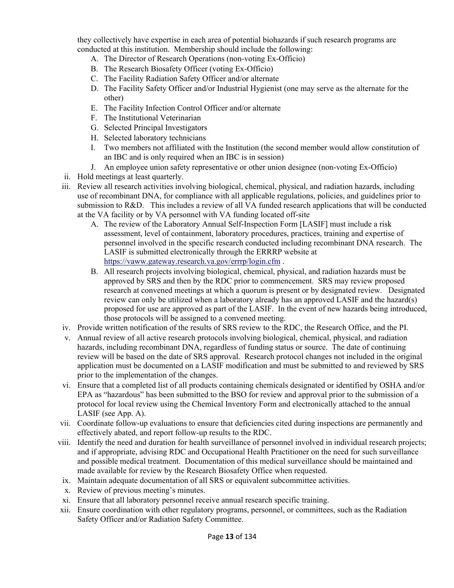they collectively have expertise in each area of potential biohazards if such research programs are conducted at this institution. Membership should include the following:

- A.The Director of Research Operations (non-voting Ex-Officio)
- B.The Research Biosafety Officer (voting Ex-Officio)
- C.The Facility Radiation Safety Officer and/or alternate
- D.The Facility Safety Officer and/or Industrial Hygienist (one may serve as the alternate for the other)
- E.The Facility Infection Control Officer and/or alternate
- F. The Institutional Veterinarian
- G.Selected Principal Investigators
- H.Selected laboratory technicians
- I.Two members not affiliated with the Institution (the second member would allow constitution of an IBC and is only required when an IBC is in session)
- J.An employee union safety representative or other union designee (non-voting Ex-Officio)
- ii. Hold meetings at least quarterly.
- iii. Review all research activities involving biological, chemical, physical, and radiation hazards, including use of recombinant DNA, for compliance with all applicable regulations, policies, and guidelines prior to submission to R&D. This includes a review of all VA funded research applications that will be conducted at the VA facility or by VA personnel with VA funding located off-site
	- A.The review of the Laboratory Annual Self-Inspection Form [LASIF] must include a risk assessment, level of containment, laboratory procedures, practices, training and expertise of personnel involved in the specific research conducted including recombinant DNA research. The LASIF is submitted electronically through the ERRRP website at https://vaww.gateway.research.va.gov/errrp/login.cfm .
	- B.All research projects involving biological, chemical, physical, and radiation hazards must be approved by SRS and then by the RDC prior to commencement. SRS may review proposed research at convened meetings at which a quorum is present or by designated review. Designated review can only be utilized when a laboratory already has an approved LASIF and the hazard(s) proposed for use are approved as part of the LASIF. In the event of new hazards being introduced, those protocols will be assigned to a convened meeting.
- iv. Provide written notification of the results of SRS review to the RDC, the Research Office, and the PI.
- v. Annual review of all active research protocols involving biological, chemical, physical, and radiation hazards, including recombinant DNA, regardless of funding status or source. The date of continuing review will be based on the date of SRS approval. Research protocol changes not included in the original application must be documented on a LASIF modification and must be submitted to and reviewed by SRS prior to the implementation of the changes.
- vi. Ensure that a completed list of all products containing chemicals designated or identified by OSHA and/or EPA as "hazardous" has been submitted to the BSO for review and approval prior to the submission of a protocol for local review using the Chemical Inventory Form and electronically attached to the annual LASIF (see App. A).
- vii. Coordinate follow-up evaluations to ensure that deficiencies cited during inspections are permanently and effectively abated, and report follow-up results to the RDC.
- viii. Identify the need and duration for health surveillance of personnel involved in individual research projects; and if appropriate, advising RDC and Occupational Health Practitioner on the need for such surveillance and possible medical treatment. Documentation of this medical surveillance should be maintained and made available for review by the Research Biosafety Office when requested.
- ix. Maintain adequate documentation of all SRS or equivalent subcommittee activities.
- x. Review of previous meeting's minutes.
- xi. Ensure that all laboratory personnel receive annual research specific training.
- xii. Ensure coordination with other regulatory programs, personnel, or committees, such as the Radiation Safety Officer and/or Radiation Safety Committee.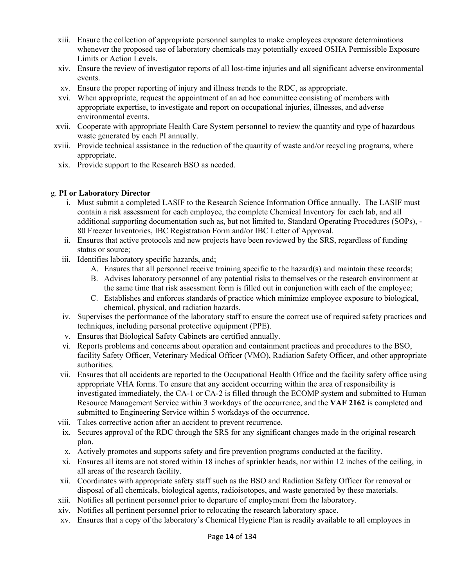- xiii. Ensure the collection of appropriate personnel samples to make employees exposure determinations whenever the proposed use of laboratory chemicals may potentially exceed OSHA Permissible Exposure Limits or Action Levels.
- xiv. Ensure the review of investigator reports of all lost-time injuries and all significant adverse environmental events.
- xv. Ensure the proper reporting of injury and illness trends to the RDC, as appropriate.
- xvi. When appropriate, request the appointment of an ad hoc committee consisting of members with appropriate expertise, to investigate and report on occupational injuries, illnesses, and adverse environmental events.
- xvii. Cooperate with appropriate Health Care System personnel to review the quantity and type of hazardous waste generated by each PI annually.
- xviii. Provide technical assistance in the reduction of the quantity of waste and/or recycling programs, where appropriate.
- xix. Provide support to the Research BSO as needed.

### g. **PI or Laboratory Director**

- i. Must submit a completed LASIF to the Research Science Information Office annually. The LASIF must contain a risk assessment for each employee, the complete Chemical Inventory for each lab, and all additional supporting documentation such as, but not limited to, Standard Operating Procedures (SOPs), - 80 Freezer Inventories, IBC Registration Form and/or IBC Letter of Approval.
- ii. Ensures that active protocols and new projects have been reviewed by the SRS, regardless of funding status or source;
- iii. Identifies laboratory specific hazards, and;
	- A.Ensures that all personnel receive training specific to the hazard(s) and maintain these records;
	- B.Advises laboratory personnel of any potential risks to themselves or the research environment at the same time that risk assessment form is filled out in conjunction with each of the employee;
	- C.Establishes and enforces standards of practice which minimize employee exposure to biological, chemical, physical, and radiation hazards.
- iv. Supervises the performance of the laboratory staff to ensure the correct use of required safety practices and techniques, including personal protective equipment (PPE).
- v. Ensures that Biological Safety Cabinets are certified annually.
- vi. Reports problems and concerns about operation and containment practices and procedures to the BSO, facility Safety Officer, Veterinary Medical Officer (VMO), Radiation Safety Officer, and other appropriate authorities.
- vii. Ensures that all accidents are reported to the Occupational Health Office and the facility safety office using appropriate VHA forms. To ensure that any accident occurring within the area of responsibility is investigated immediately, the CA-1 or CA-2 is filled through the ECOMP system and submitted to Human Resource Management Service within 3 workdays of the occurrence, and the **VAF 2162** is completed and submitted to Engineering Service within 5 workdays of the occurrence.
- viii. Takes corrective action after an accident to prevent recurrence.
- ix. Secures approval of the RDC through the SRS for any significant changes made in the original research plan.
- x. Actively promotes and supports safety and fire prevention programs conducted at the facility.
- xi. Ensures all items are not stored within 18 inches of sprinkler heads, nor within 12 inches of the ceiling, in all areas of the research facility.
- xii. Coordinates with appropriate safety staff such as the BSO and Radiation Safety Officer for removal or disposal of all chemicals, biological agents, radioisotopes, and waste generated by these materials.
- xiii. Notifies all pertinent personnel prior to departure of employment from the laboratory.
- xiv. Notifies all pertinent personnel prior to relocating the research laboratory space.
- xv. Ensures that a copy of the laboratory's Chemical Hygiene Plan is readily available to all employees in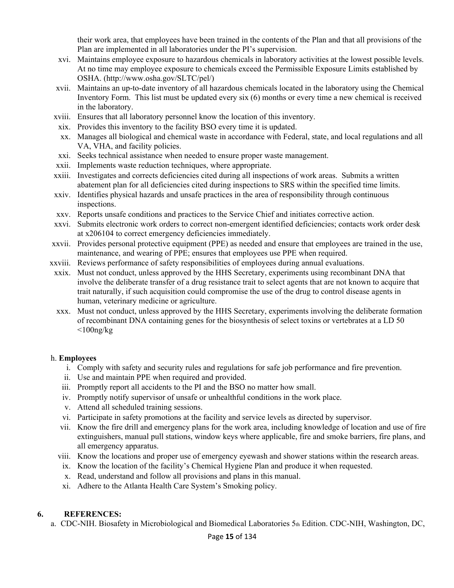their work area, that employees have been trained in the contents of the Plan and that all provisions of the Plan are implemented in all laboratories under the PI's supervision.

- xvi. Maintains employee exposure to hazardous chemicals in laboratory activities at the lowest possible levels. At no time may employee exposure to chemicals exceed the Permissible Exposure Limits established by OSHA. (http://www.osha.gov/SLTC/pel/)
- xvii. Maintains an up-to-date inventory of all hazardous chemicals located in the laboratory using the Chemical Inventory Form. This list must be updated every six (6) months or every time a new chemical is received in the laboratory.
- xviii. Ensures that all laboratory personnel know the location of this inventory.
- xix. Provides this inventory to the facility BSO every time it is updated.
- xx. Manages all biological and chemical waste in accordance with Federal, state, and local regulations and all VA, VHA, and facility policies.
- xxi. Seeks technical assistance when needed to ensure proper waste management.
- xxii. Implements waste reduction techniques, where appropriate.
- xxiii. Investigates and corrects deficiencies cited during all inspections of work areas. Submits a written abatement plan for all deficiencies cited during inspections to SRS within the specified time limits.
- xxiv. Identifies physical hazards and unsafe practices in the area of responsibility through continuous inspections.
- xxv. Reports unsafe conditions and practices to the Service Chief and initiates corrective action.
- xxvi. Submits electronic work orders to correct non-emergent identified deficiencies; contacts work order desk at x206104 to correct emergency deficiencies immediately.
- xxvii. Provides personal protective equipment (PPE) as needed and ensure that employees are trained in the use, maintenance, and wearing of PPE; ensures that employees use PPE when required.
- xxviii. Reviews performance of safety responsibilities of employees during annual evaluations.
- xxix. Must not conduct, unless approved by the HHS Secretary, experiments using recombinant DNA that involve the deliberate transfer of a drug resistance trait to select agents that are not known to acquire that trait naturally, if such acquisition could compromise the use of the drug to control disease agents in human, veterinary medicine or agriculture.
- xxx. Must not conduct, unless approved by the HHS Secretary, experiments involving the deliberate formation of recombinant DNA containing genes for the biosynthesis of select toxins or vertebrates at a LD 50  $\langle$ 100ng/kg

#### h. **Employees**

- i. Comply with safety and security rules and regulations for safe job performance and fire prevention.
- ii. Use and maintain PPE when required and provided.
- iii. Promptly report all accidents to the PI and the BSO no matter how small.
- iv. Promptly notify supervisor of unsafe or unhealthful conditions in the work place.
- v. Attend all scheduled training sessions.
- vi. Participate in safety promotions at the facility and service levels as directed by supervisor.
- vii. Know the fire drill and emergency plans for the work area, including knowledge of location and use of fire extinguishers, manual pull stations, window keys where applicable, fire and smoke barriers, fire plans, and all emergency apparatus.
- viii. Know the locations and proper use of emergency eyewash and shower stations within the research areas.
- ix. Know the location of the facility's Chemical Hygiene Plan and produce it when requested.
- x. Read, understand and follow all provisions and plans in this manual.
- xi. Adhere to the Atlanta Health Care System's Smoking policy.

### **6. REFERENCES:**

a.CDC-NIH. Biosafety in Microbiological and Biomedical Laboratories 5th Edition. CDC-NIH, Washington, DC,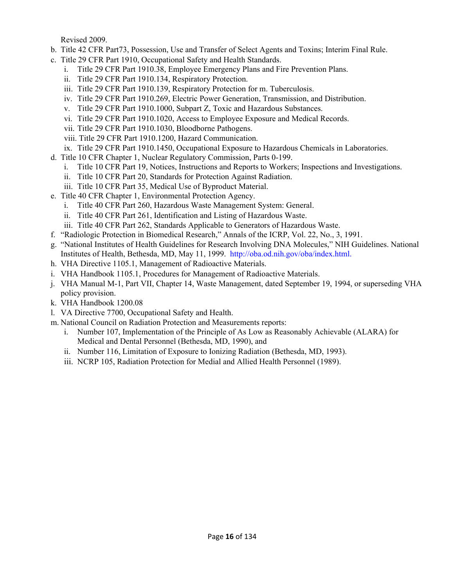Revised 2009.

- b.Title 42 CFR Part73, Possession, Use and Transfer of Select Agents and Toxins; Interim Final Rule.
- c.Title 29 CFR Part 1910, Occupational Safety and Health Standards.
	- i.Title 29 CFR Part 1910.38, Employee Emergency Plans and Fire Prevention Plans.
	- ii.Title 29 CFR Part 1910.134, Respiratory Protection.
	- iii.Title 29 CFR Part 1910.139, Respiratory Protection for m. Tuberculosis.
	- iv.Title 29 CFR Part 1910.269, Electric Power Generation, Transmission, and Distribution.
	- v.Title 29 CFR Part 1910.1000, Subpart Z, Toxic and Hazardous Substances.
	- vi.Title 29 CFR Part 1910.1020, Access to Employee Exposure and Medical Records.
	- vii.Title 29 CFR Part 1910.1030, Bloodborne Pathogens.
	- viii. Title 29 CFR Part 1910.1200, Hazard Communication.
	- ix.Title 29 CFR Part 1910.1450, Occupational Exposure to Hazardous Chemicals in Laboratories.
- d.Title 10 CFR Chapter 1, Nuclear Regulatory Commission, Parts 0-199.
	- i.Title 10 CFR Part 19, Notices, Instructions and Reports to Workers; Inspections and Investigations.
	- ii.Title 10 CFR Part 20, Standards for Protection Against Radiation.
	- iii.Title 10 CFR Part 35, Medical Use of Byproduct Material.
- e.Title 40 CFR Chapter 1, Environmental Protection Agency.
	- i.Title 40 CFR Part 260, Hazardous Waste Management System: General.
	- ii.Title 40 CFR Part 261, Identification and Listing of Hazardous Waste.
	- iii.Title 40 CFR Part 262, Standards Applicable to Generators of Hazardous Waste.
- f."Radiologic Protection in Biomedical Research," Annals of the ICRP, Vol. 22, No., 3, 1991.
- g."National Institutes of Health Guidelines for Research Involving DNA Molecules," NIH Guidelines. National Institutes of Health, Bethesda, MD, May 11, 1999. http://oba.od.nih.gov/oba/index.html.
- h.VHA Directive 1105.1, Management of Radioactive Materials.
- i.VHA Handbook 1105.1, Procedures for Management of Radioactive Materials.
- j.VHA Manual M-1, Part VII, Chapter 14, Waste Management, dated September 19, 1994, or superseding VHA policy provision.
- k.VHA Handbook 1200.08
- l.VA Directive 7700, Occupational Safety and Health.
- m. National Council on Radiation Protection and Measurements reports:
	- i. Number 107, Implementation of the Principle of As Low as Reasonably Achievable (ALARA) for Medical and Dental Personnel (Bethesda, MD, 1990), and
	- ii.Number 116, Limitation of Exposure to Ionizing Radiation (Bethesda, MD, 1993).
	- iii.NCRP 105, Radiation Protection for Medial and Allied Health Personnel (1989).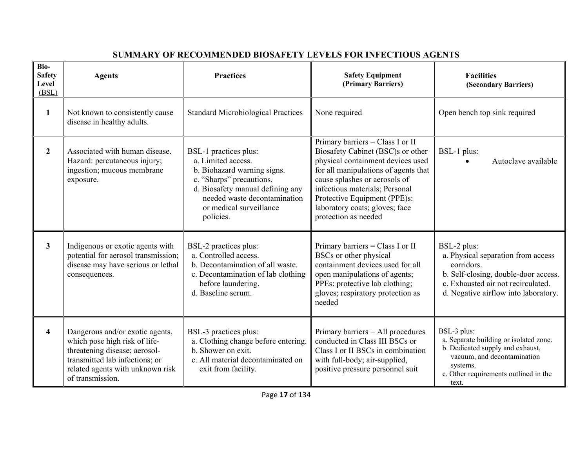| Bio-<br><b>Safety</b><br>Level<br>(BSL) | <b>Agents</b>                                                                                                                                                                               | <b>Practices</b>                                                                                                                                                                                                   | <b>Safety Equipment</b><br>(Primary Barriers)                                                                                                                                                                                                                                                                   | <b>Facilities</b><br>(Secondary Barriers)                                                                                                                                              |
|-----------------------------------------|---------------------------------------------------------------------------------------------------------------------------------------------------------------------------------------------|--------------------------------------------------------------------------------------------------------------------------------------------------------------------------------------------------------------------|-----------------------------------------------------------------------------------------------------------------------------------------------------------------------------------------------------------------------------------------------------------------------------------------------------------------|----------------------------------------------------------------------------------------------------------------------------------------------------------------------------------------|
| $\mathbf{1}$                            | Not known to consistently cause<br>disease in healthy adults.                                                                                                                               | <b>Standard Microbiological Practices</b>                                                                                                                                                                          | None required                                                                                                                                                                                                                                                                                                   | Open bench top sink required                                                                                                                                                           |
| $\mathbf{2}$                            | Associated with human disease.<br>Hazard: percutaneous injury;<br>ingestion; mucous membrane<br>exposure.                                                                                   | BSL-1 practices plus:<br>a. Limited access.<br>b. Biohazard warning signs.<br>c. "Sharps" precautions.<br>d. Biosafety manual defining any<br>needed waste decontamination<br>or medical surveillance<br>policies. | Primary barriers = Class I or II<br>Biosafety Cabinet (BSC)s or other<br>physical containment devices used<br>for all manipulations of agents that<br>cause splashes or aerosols of<br>infectious materials; Personal<br>Protective Equipment (PPE)s:<br>laboratory coats; gloves; face<br>protection as needed | BSL-1 plus:<br>Autoclave available                                                                                                                                                     |
| $\mathbf{3}$                            | Indigenous or exotic agents with<br>potential for aerosol transmission;<br>disease may have serious or lethal<br>consequences.                                                              | BSL-2 practices plus:<br>a. Controlled access.<br>b. Decontamination of all waste.<br>c. Decontamination of lab clothing<br>before laundering.<br>d. Baseline serum.                                               | Primary barriers = Class I or II<br>BSCs or other physical<br>containment devices used for all<br>open manipulations of agents;<br>PPEs: protective lab clothing;<br>gloves; respiratory protection as<br>needed                                                                                                | BSL-2 plus:<br>a. Physical separation from access<br>corridors.<br>b. Self-closing, double-door access.<br>c. Exhausted air not recirculated.<br>d. Negative airflow into laboratory.  |
| 4                                       | Dangerous and/or exotic agents,<br>which pose high risk of life-<br>threatening disease; aerosol-<br>transmitted lab infections; or<br>related agents with unknown risk<br>of transmission. | BSL-3 practices plus:<br>a. Clothing change before entering.<br>b. Shower on exit.<br>c. All material decontaminated on<br>exit from facility.                                                                     | Primary barriers = All procedures<br>conducted in Class III BSCs or<br>Class I or II BSCs in combination<br>with full-body; air-supplied,<br>positive pressure personnel suit                                                                                                                                   | BSL-3 plus:<br>a. Separate building or isolated zone.<br>b. Dedicated supply and exhaust,<br>vacuum, and decontamination<br>systems.<br>c. Other requirements outlined in the<br>text. |

### **SUMMARY OF RECOMMENDED BIOSAFETY LEVELS FOR INFECTIOUS AGENTS**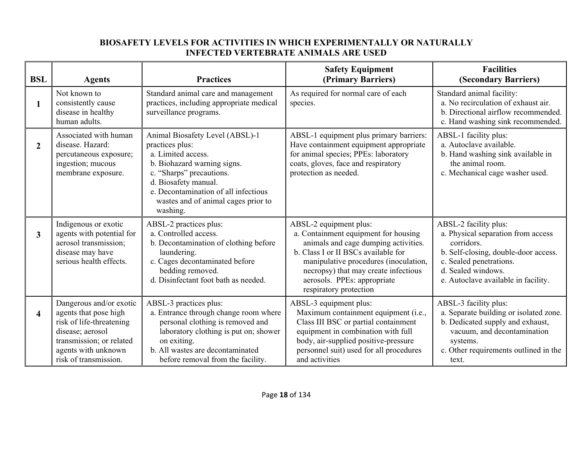### **BIOSAFETY LEVELS FOR ACTIVITIES IN WHICH EXPERIMENTALLY OR NATURALLY INFECTED VERTEBRATE ANIMALS ARE USED**

| <b>BSL</b>     | <b>Agents</b>                                                                                                                                                                | <b>Practices</b>                                                                                                                                                                                                                                       | <b>Safety Equipment</b><br>(Primary Barriers)                                                                                                                                                                                                                                           | <b>Facilities</b><br>(Secondary Barriers)                                                                                                                                                                 |
|----------------|------------------------------------------------------------------------------------------------------------------------------------------------------------------------------|--------------------------------------------------------------------------------------------------------------------------------------------------------------------------------------------------------------------------------------------------------|-----------------------------------------------------------------------------------------------------------------------------------------------------------------------------------------------------------------------------------------------------------------------------------------|-----------------------------------------------------------------------------------------------------------------------------------------------------------------------------------------------------------|
| 1              | Not known to<br>consistently cause<br>disease in healthy<br>human adults.                                                                                                    | Standard animal care and management<br>practices, including appropriate medical<br>surveillance programs.                                                                                                                                              | As required for normal care of each<br>species.                                                                                                                                                                                                                                         | Standard animal facility:<br>a. No recirculation of exhaust air.<br>b. Directional airflow recommended.<br>c. Hand washing sink recommended.                                                              |
| $\overline{2}$ | Associated with human<br>disease. Hazard:<br>percutaneous exposure;<br>ingestion; mucous<br>membrane exposure.                                                               | Animal Biosafety Level (ABSL)-1<br>practices plus:<br>a. Limited access.<br>b. Biohazard warning signs.<br>c. "Sharps" precautions.<br>d. Biosafety manual.<br>e. Decontamination of all infectious<br>wastes and of animal cages prior to<br>washing. | ABSL-1 equipment plus primary barriers:<br>Have containment equipment appropriate<br>for animal species; PPEs: laboratory<br>coats, gloves, face and respiratory<br>protection as needed.                                                                                               | ABSL-1 facility plus:<br>a. Autoclave available.<br>b. Hand washing sink available in<br>the animal room.<br>c. Mechanical cage washer used.                                                              |
| 3              | Indigenous or exotic<br>agents with potential for<br>aerosol transmission;<br>disease may have<br>serious health effects.                                                    | ABSL-2 practices plus:<br>a. Controlled access.<br>b. Decontamination of clothing before<br>laundering.<br>c. Cages decontaminated before<br>bedding removed.<br>d. Disinfectant foot bath as needed.                                                  | ABSL-2 equipment plus:<br>a. Containment equipment for housing<br>animals and cage dumping activities.<br>b. Class I or II BSCs available for<br>manipulative procedures (inoculation,<br>necropsy) that may create infectious<br>aerosols. PPEs: appropriate<br>respiratory protection | ABSL-2 facility plus:<br>a. Physical separation from access<br>corridors.<br>b. Self-closing, double-door access.<br>c. Sealed penetrations.<br>d. Sealed windows.<br>e. Autoclave available in facility. |
| 4              | Dangerous and/or exotic<br>agents that pose high<br>risk of life-threatening<br>disease; aerosol<br>transmission; or related<br>agents with unknown<br>risk of transmission. | ABSL-3 practices plus:<br>a. Entrance through change room where<br>personal clothing is removed and<br>laboratory clothing is put on; shower<br>on exiting.<br>b. All wastes are decontaminated<br>before removal from the facility.                   | ABSL-3 equipment plus:<br>Maximum containment equipment (i.e.,<br>Class III BSC or partial containment<br>equipment in combination with full<br>body, air-supplied positive-pressure<br>personnel suit) used for all procedures<br>and activities                                       | ABSL-3 facility plus:<br>a. Separate building or isolated zone.<br>b. Dedicated supply and exhaust,<br>vacuum, and decontamination<br>systems.<br>c. Other requirements outlined in the<br>text.          |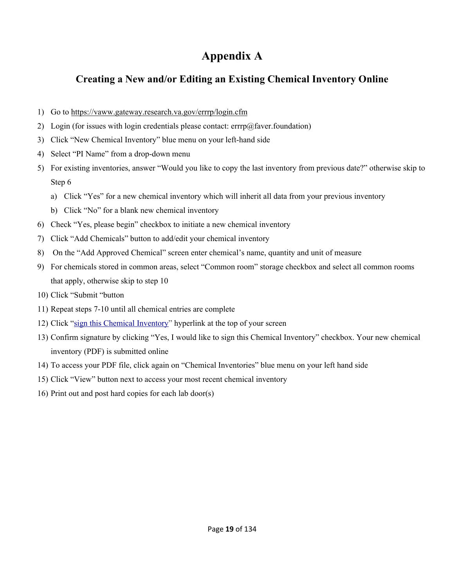### **Appendix A**

### **Creating a New and/or Editing an Existing Chemical Inventory Online**

- 1) Go to https://vaww.gateway.research.va.gov/errrp/login.cfm
- 2) Login (for issues with login credentials please contact:  $errp(\omega)$  faver. foundation)
- 3) Click "New Chemical Inventory" blue menu on your left-hand side
- 4) Select "PI Name" from a drop-down menu
- 5) For existing inventories, answer "Would you like to copy the last inventory from previous date?" otherwise skip to Step 6
	- a) Click "Yes" for a new chemical inventory which will inherit all data from your previous inventory
	- b) Click "No" for a blank new chemical inventory
- 6) Check "Yes, please begin" checkbox to initiate a new chemical inventory
- 7) Click "Add Chemicals" button to add/edit your chemical inventory
- 8) On the "Add Approved Chemical" screen enter chemical's name, quantity and unit of measure
- 9) For chemicals stored in common areas, select "Common room" storage checkbox and select all common rooms that apply, otherwise skip to step 10
- 10) Click "Submit "button
- 11) Repeat steps 7-10 until all chemical entries are complete
- 12) Click "sign this Chemical Inventory" hyperlink at the top of your screen
- 13) Confirm signature by clicking "Yes, I would like to sign this Chemical Inventory" checkbox. Your new chemical inventory (PDF) is submitted online
- 14) To access your PDF file, click again on "Chemical Inventories" blue menu on your left hand side
- 15) Click "View" button next to access your most recent chemical inventory
- 16) Print out and post hard copies for each lab door(s)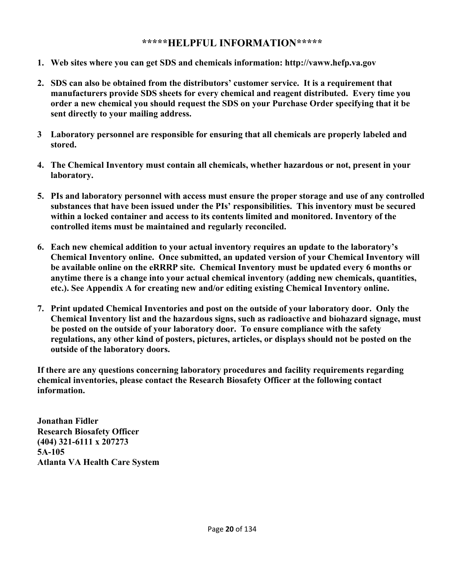### **\*\*\*\*\*HELPFUL INFORMATION\*\*\*\*\***

- **1. Web sites where you can get SDS and chemicals information: http://vaww.hefp.va.gov**
- **2. SDS can also be obtained from the distributors' customer service. It is a requirement that manufacturers provide SDS sheets for every chemical and reagent distributed. Every time you order a new chemical you should request the SDS on your Purchase Order specifying that it be sent directly to your mailing address.**
- **3 Laboratory personnel are responsible for ensuring that all chemicals are properly labeled and stored.**
- **4. The Chemical Inventory must contain all chemicals, whether hazardous or not, present in your laboratory.**
- **5. PIs and laboratory personnel with access must ensure the proper storage and use of any controlled substances that have been issued under the PIs' responsibilities. This inventory must be secured within a locked container and access to its contents limited and monitored. Inventory of the controlled items must be maintained and regularly reconciled.**
- **6. Each new chemical addition to your actual inventory requires an update to the laboratory's Chemical Inventory online. Once submitted, an updated version of your Chemical Inventory will be available online on the eRRRP site. Chemical Inventory must be updated every 6 months or anytime there is a change into your actual chemical inventory (adding new chemicals, quantities, etc.). See Appendix A for creating new and/or editing existing Chemical Inventory online.**
- **7. Print updated Chemical Inventories and post on the outside of your laboratory door. Only the Chemical Inventory list and the hazardous signs, such as radioactive and biohazard signage, must be posted on the outside of your laboratory door. To ensure compliance with the safety regulations, any other kind of posters, pictures, articles, or displays should not be posted on the outside of the laboratory doors.**

**If there are any questions concerning laboratory procedures and facility requirements regarding chemical inventories, please contact the Research Biosafety Officer at the following contact information.** 

**Jonathan Fidler Research Biosafety Officer (404) 321-6111 x 207273 5A-105 Atlanta VA Health Care System**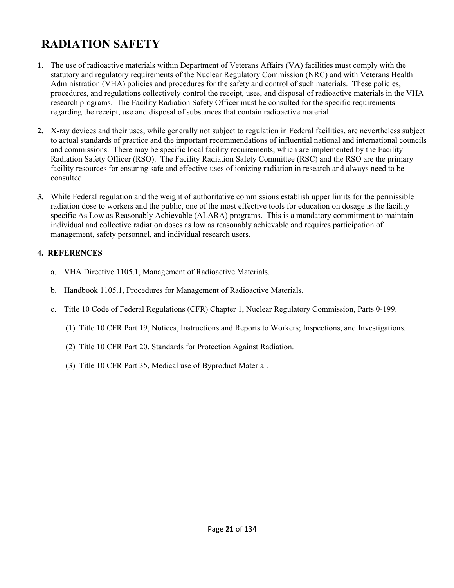### **RADIATION SAFETY**

- **1**. The use of radioactive materials within Department of Veterans Affairs (VA) facilities must comply with the statutory and regulatory requirements of the Nuclear Regulatory Commission (NRC) and with Veterans Health Administration (VHA) policies and procedures for the safety and control of such materials. These policies, procedures, and regulations collectively control the receipt, uses, and disposal of radioactive materials in the VHA research programs. The Facility Radiation Safety Officer must be consulted for the specific requirements regarding the receipt, use and disposal of substances that contain radioactive material.
- **2.** X-ray devices and their uses, while generally not subject to regulation in Federal facilities, are nevertheless subject to actual standards of practice and the important recommendations of influential national and international councils and commissions. There may be specific local facility requirements, which are implemented by the Facility Radiation Safety Officer (RSO). The Facility Radiation Safety Committee (RSC) and the RSO are the primary facility resources for ensuring safe and effective uses of ionizing radiation in research and always need to be consulted.
- **3.** While Federal regulation and the weight of authoritative commissions establish upper limits for the permissible radiation dose to workers and the public, one of the most effective tools for education on dosage is the facility specific As Low as Reasonably Achievable (ALARA) programs. This is a mandatory commitment to maintain individual and collective radiation doses as low as reasonably achievable and requires participation of management, safety personnel, and individual research users.

### **4. REFERENCES**

- a. VHA Directive 1105.1, Management of Radioactive Materials.
- b. Handbook 1105.1, Procedures for Management of Radioactive Materials.
- c. Title 10 Code of Federal Regulations (CFR) Chapter 1, Nuclear Regulatory Commission, Parts 0-199.
	- (1) Title 10 CFR Part 19, Notices, Instructions and Reports to Workers; Inspections, and Investigations.
	- (2) Title 10 CFR Part 20, Standards for Protection Against Radiation.
	- (3) Title 10 CFR Part 35, Medical use of Byproduct Material.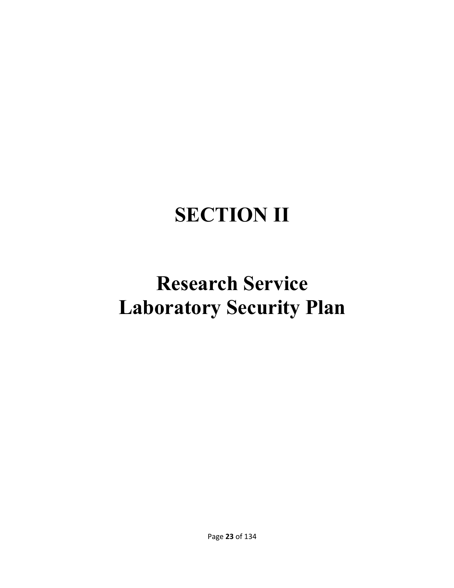# **SECTION II**

# **Research Service Laboratory Security Plan**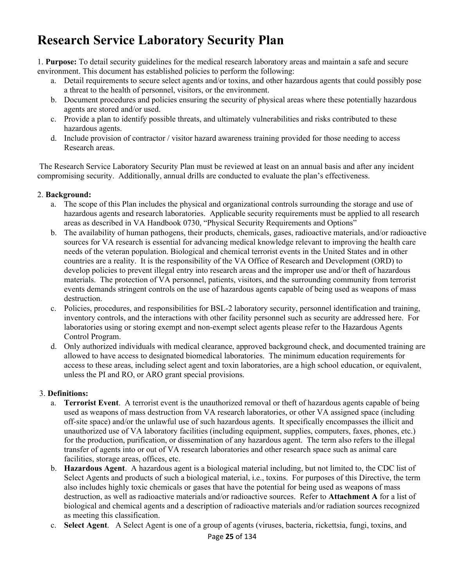### **Research Service Laboratory Security Plan**

1. **Purpose:** To detail security guidelines for the medical research laboratory areas and maintain a safe and secure environment. This document has established policies to perform the following:

- a.Detail requirements to secure select agents and/or toxins, and other hazardous agents that could possibly pose a threat to the health of personnel, visitors, or the environment.
- b.Document procedures and policies ensuring the security of physical areas where these potentially hazardous agents are stored and/or used.
- c.Provide a plan to identify possible threats, and ultimately vulnerabilities and risks contributed to these hazardous agents.
- d.Include provision of contractor / visitor hazard awareness training provided for those needing to access Research areas.

 The Research Service Laboratory Security Plan must be reviewed at least on an annual basis and after any incident compromising security. Additionally, annual drills are conducted to evaluate the plan's effectiveness.

### 2. **Background:**

- a.The scope of this Plan includes the physical and organizational controls surrounding the storage and use of hazardous agents and research laboratories. Applicable security requirements must be applied to all research areas as described in VA Handbook 0730, "Physical Security Requirements and Options"
- b.The availability of human pathogens, their products, chemicals, gases, radioactive materials, and/or radioactive sources for VA research is essential for advancing medical knowledge relevant to improving the health care needs of the veteran population. Biological and chemical terrorist events in the United States and in other countries are a reality. It is the responsibility of the VA Office of Research and Development (ORD) to develop policies to prevent illegal entry into research areas and the improper use and/or theft of hazardous materials. The protection of VA personnel, patients, visitors, and the surrounding community from terrorist events demands stringent controls on the use of hazardous agents capable of being used as weapons of mass destruction.
- c.Policies, procedures, and responsibilities for BSL-2 laboratory security, personnel identification and training, inventory controls, and the interactions with other facility personnel such as security are addressed here. For laboratories using or storing exempt and non-exempt select agents please refer to the Hazardous Agents Control Program.
- d.Only authorized individuals with medical clearance, approved background check, and documented training are allowed to have access to designated biomedical laboratories. The minimum education requirements for access to these areas, including select agent and toxin laboratories, are a high school education, or equivalent, unless the PI and RO, or ARO grant special provisions.

### 3. **Definitions:**

- a. **Terrorist Event**. A terrorist event is the unauthorized removal or theft of hazardous agents capable of being used as weapons of mass destruction from VA research laboratories, or other VA assigned space (including off-site space) and/or the unlawful use of such hazardous agents. It specifically encompasses the illicit and unauthorized use of VA laboratory facilities (including equipment, supplies, computers, faxes, phones, etc.) for the production, purification, or dissemination of any hazardous agent. The term also refers to the illegal transfer of agents into or out of VA research laboratories and other research space such as animal care facilities, storage areas, offices, etc.
- b. **Hazardous Agent**. A hazardous agent is a biological material including, but not limited to, the CDC list of Select Agents and products of such a biological material, i.e., toxins. For purposes of this Directive, the term also includes highly toxic chemicals or gases that have the potential for being used as weapons of mass destruction, as well as radioactive materials and/or radioactive sources. Refer to **Attachment A** for a list of biological and chemical agents and a description of radioactive materials and/or radiation sources recognized as meeting this classification.
- c. **Select Agent**. A Select Agent is one of a group of agents (viruses, bacteria, rickettsia, fungi, toxins, and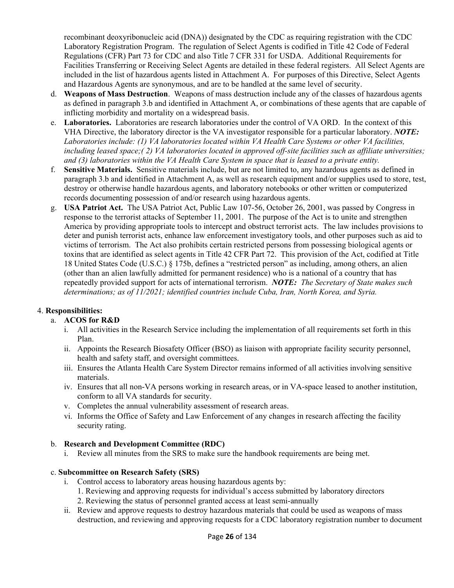recombinant deoxyribonucleic acid (DNA)) designated by the CDC as requiring registration with the CDC Laboratory Registration Program. The regulation of Select Agents is codified in Title 42 Code of Federal Regulations (CFR) Part 73 for CDC and also Title 7 CFR 331 for USDA. Additional Requirements for Facilities Transferring or Receiving Select Agents are detailed in these federal registers. All Select Agents are included in the list of hazardous agents listed in Attachment A. For purposes of this Directive, Select Agents and Hazardous Agents are synonymous, and are to be handled at the same level of security.

- d. **Weapons of Mass Destruction**. Weapons of mass destruction include any of the classes of hazardous agents as defined in paragraph 3.b and identified in Attachment A, or combinations of these agents that are capable of inflicting morbidity and mortality on a widespread basis.
- e. **Laboratories.** Laboratories are research laboratories under the control of VA ORD. In the context of this VHA Directive, the laboratory director is the VA investigator responsible for a particular laboratory. *NOTE: Laboratories include: (1) VA laboratories located within VA Health Care Systems or other VA facilities, including leased space;( 2) VA laboratories located in approved off-site facilities such as affiliate universities; and (3) laboratories within the VA Health Care System in space that is leased to a private entity.*
- f. **Sensitive Materials.** Sensitive materials include, but are not limited to, any hazardous agents as defined in paragraph 3.b and identified in Attachment A, as well as research equipment and/or supplies used to store, test, destroy or otherwise handle hazardous agents, and laboratory notebooks or other written or computerized records documenting possession of and/or research using hazardous agents.
- g. **USA Patriot Act.** The USA Patriot Act, Public Law 107-56, October 26, 2001, was passed by Congress in response to the terrorist attacks of September 11, 2001. The purpose of the Act is to unite and strengthen America by providing appropriate tools to intercept and obstruct terrorist acts. The law includes provisions to deter and punish terrorist acts, enhance law enforcement investigatory tools, and other purposes such as aid to victims of terrorism. The Act also prohibits certain restricted persons from possessing biological agents or toxins that are identified as select agents in Title 42 CFR Part 72. This provision of the Act, codified at Title 18 United States Code (U.S.C.) § 175b, defines a "restricted person" as including, among others, an alien (other than an alien lawfully admitted for permanent residence) who is a national of a country that has repeatedly provided support for acts of international terrorism. *NOTE: The Secretary of State makes such determinations; as of 11/2021; identified countries include Cuba, Iran, North Korea, and Syria.*

### 4. **Responsibilities:**

### a. **ACOS for R&D**

- i.All activities in the Research Service including the implementation of all requirements set forth in this Plan.
- ii.Appoints the Research Biosafety Officer (BSO) as liaison with appropriate facility security personnel, health and safety staff, and oversight committees.
- iii.Ensures the Atlanta Health Care System Director remains informed of all activities involving sensitive materials.
- iv.Ensures that all non-VA persons working in research areas, or in VA-space leased to another institution, conform to all VA standards for security.
- v.Completes the annual vulnerability assessment of research areas.
- vi.Informs the Office of Safety and Law Enforcement of any changes in research affecting the facility security rating.

### b. **Research and Development Committee (RDC)**

i.Review all minutes from the SRS to make sure the handbook requirements are being met.

### c. **Subcommittee on Research Safety (SRS)**

- i.Control access to laboratory areas housing hazardous agents by:
	- 1. Reviewing and approving requests for individual's access submitted by laboratory directors
	- 2. Reviewing the status of personnel granted access at least semi-annually
- ii.Review and approve requests to destroy hazardous materials that could be used as weapons of mass destruction, and reviewing and approving requests for a CDC laboratory registration number to document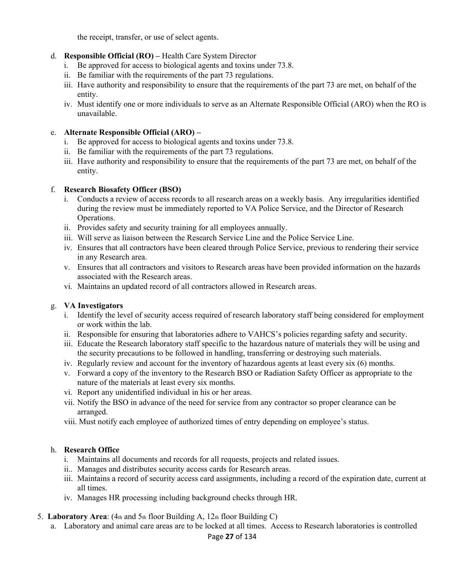the receipt, transfer, or use of select agents.

- d. **Responsible Official (RO)** Health Care System Director
	- i.Be approved for access to biological agents and toxins under 73.8.
	- ii.Be familiar with the requirements of the part 73 regulations.
	- iii.Have authority and responsibility to ensure that the requirements of the part 73 are met, on behalf of the entity.
	- iv.Must identify one or more individuals to serve as an Alternate Responsible Official (ARO) when the RO is unavailable.

### e. **Alternate Responsible Official (ARO) –**

- i.Be approved for access to biological agents and toxins under 73.8.
- ii.Be familiar with the requirements of the part 73 regulations.
- iii.Have authority and responsibility to ensure that the requirements of the part 73 are met, on behalf of the entity.

### f. **Research Biosafety Officer (BSO)**

- i.Conducts a review of access records to all research areas on a weekly basis. Any irregularities identified during the review must be immediately reported to VA Police Service, and the Director of Research Operations.
- ii.Provides safety and security training for all employees annually.
- iii.Will serve as liaison between the Research Service Line and the Police Service Line.
- iv.Ensures that all contractors have been cleared through Police Service, previous to rendering their service in any Research area.
- v.Ensures that all contractors and visitors to Research areas have been provided information on the hazards associated with the Research areas.
- vi.Maintains an updated record of all contractors allowed in Research areas.

### g. **VA Investigators**

- i.Identify the level of security access required of research laboratory staff being considered for employment or work within the lab.
- ii.Responsible for ensuring that laboratories adhere to VAHCS's policies regarding safety and security.
- iii.Educate the Research laboratory staff specific to the hazardous nature of materials they will be using and the security precautions to be followed in handling, transferring or destroying such materials.
- iv.Regularly review and account for the inventory of hazardous agents at least every six (6) months.
- v.Forward a copy of the inventory to the Research BSO or Radiation Safety Officer as appropriate to the nature of the materials at least every six months.
- vi.Report any unidentified individual in his or her areas.
- vii.Notify the BSO in advance of the need for service from any contractor so proper clearance can be arranged.
- viii. Must notify each employee of authorized times of entry depending on employee's status.

### h. **Research Office**

- i.Maintains all documents and records for all requests, projects and related issues.
- ii..Manages and distributes security access cards for Research areas.
- iii.Maintains a record of security access card assignments, including a record of the expiration date, current at all times.
- iv.Manages HR processing including background checks through HR.

### 5. **Laboratory Area**: (4th and 5th floor Building A, 12th floor Building C)

a.Laboratory and animal care areas are to be locked at all times. Access to Research laboratories is controlled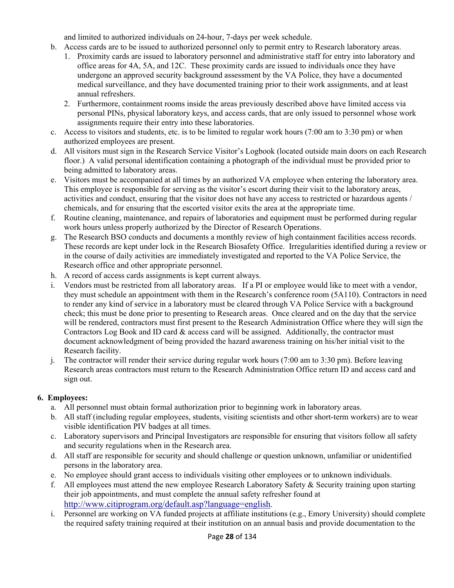and limited to authorized individuals on 24-hour, 7-days per week schedule.

- b.Access cards are to be issued to authorized personnel only to permit entry to Research laboratory areas. 1.Proximity cards are issued to laboratory personnel and administrative staff for entry into laboratory and office areas for 4A, 5A, and 12C. These proximity cards are issued to individuals once they have undergone an approved security background assessment by the VA Police, they have a documented medical surveillance, and they have documented training prior to their work assignments, and at least annual refreshers.
	- 2.Furthermore, containment rooms inside the areas previously described above have limited access via personal PINs, physical laboratory keys, and access cards, that are only issued to personnel whose work assignments require their entry into these laboratories.
- c.Access to visitors and students, etc. is to be limited to regular work hours (7:00 am to 3:30 pm) or when authorized employees are present.
- d.All visitors must sign in the Research Service Visitor's Logbook (located outside main doors on each Research floor.) A valid personal identification containing a photograph of the individual must be provided prior to being admitted to laboratory areas.
- e.Visitors must be accompanied at all times by an authorized VA employee when entering the laboratory area. This employee is responsible for serving as the visitor's escort during their visit to the laboratory areas, activities and conduct, ensuring that the visitor does not have any access to restricted or hazardous agents / chemicals, and for ensuring that the escorted visitor exits the area at the appropriate time.
- f.Routine cleaning, maintenance, and repairs of laboratories and equipment must be performed during regular work hours unless properly authorized by the Director of Research Operations.
- g.The Research BSO conducts and documents a monthly review of high containment facilities access records. These records are kept under lock in the Research Biosafety Office. Irregularities identified during a review or in the course of daily activities are immediately investigated and reported to the VA Police Service, the Research office and other appropriate personnel.
- h.A record of access cards assignments is kept current always.
- i.Vendors must be restricted from all laboratory areas. If a PI or employee would like to meet with a vendor, they must schedule an appointment with them in the Research's conference room (5A110). Contractors in need to render any kind of service in a laboratory must be cleared through VA Police Service with a background check; this must be done prior to presenting to Research areas. Once cleared and on the day that the service will be rendered, contractors must first present to the Research Administration Office where they will sign the Contractors Log Book and ID card  $\&$  access card will be assigned. Additionally, the contractor must document acknowledgment of being provided the hazard awareness training on his/her initial visit to the Research facility.
- j.The contractor will render their service during regular work hours (7:00 am to 3:30 pm). Before leaving Research areas contractors must return to the Research Administration Office return ID and access card and sign out.

### **6. Employees:**

- a.All personnel must obtain formal authorization prior to beginning work in laboratory areas.
- b.All staff (including regular employees, students, visiting scientists and other short-term workers) are to wear visible identification PIV badges at all times.
- c.Laboratory supervisors and Principal Investigators are responsible for ensuring that visitors follow all safety and security regulations when in the Research area.
- d.All staff are responsible for security and should challenge or question unknown, unfamiliar or unidentified persons in the laboratory area.
- e.No employee should grant access to individuals visiting other employees or to unknown individuals.
- f.All employees must attend the new employee Research Laboratory Safety & Security training upon starting their job appointments, and must complete the annual safety refresher found at http://www.citiprogram.org/default.asp?language=english.
- i.Personnel are working on VA funded projects at affiliate institutions (e.g., Emory University) should complete the required safety training required at their institution on an annual basis and provide documentation to the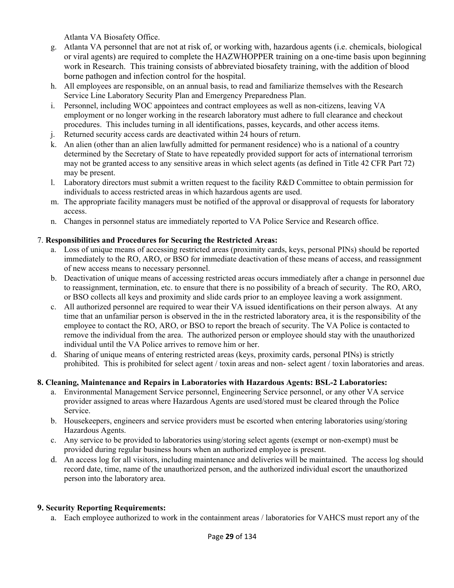Atlanta VA Biosafety Office.

- g. Atlanta VA personnel that are not at risk of, or working with, hazardous agents (i.e. chemicals, biological or viral agents) are required to complete the HAZWHOPPER training on a one-time basis upon beginning work in Research. This training consists of abbreviated biosafety training, with the addition of blood borne pathogen and infection control for the hospital.
- h.All employees are responsible, on an annual basis, to read and familiarize themselves with the Research Service Line Laboratory Security Plan and Emergency Preparedness Plan.
- i.Personnel, including WOC appointees and contract employees as well as non-citizens, leaving VA employment or no longer working in the research laboratory must adhere to full clearance and checkout procedures. This includes turning in all identifications, passes, keycards, and other access items.
- j.Returned security access cards are deactivated within 24 hours of return.
- k.An alien (other than an alien lawfully admitted for permanent residence) who is a national of a country determined by the Secretary of State to have repeatedly provided support for acts of international terrorism may not be granted access to any sensitive areas in which select agents (as defined in Title 42 CFR Part 72) may be present.
- l.Laboratory directors must submit a written request to the facility R&D Committee to obtain permission for individuals to access restricted areas in which hazardous agents are used.
- m.The appropriate facility managers must be notified of the approval or disapproval of requests for laboratory access.
- n.Changes in personnel status are immediately reported to VA Police Service and Research office.

### 7. **Responsibilities and Procedures for Securing the Restricted Areas:**

- a.Loss of unique means of accessing restricted areas (proximity cards, keys, personal PINs) should be reported immediately to the RO, ARO, or BSO for immediate deactivation of these means of access, and reassignment of new access means to necessary personnel.
- b.Deactivation of unique means of accessing restricted areas occurs immediately after a change in personnel due to reassignment, termination, etc. to ensure that there is no possibility of a breach of security. The RO, ARO, or BSO collects all keys and proximity and slide cards prior to an employee leaving a work assignment.
- c.All authorized personnel are required to wear their VA issued identifications on their person always. At any time that an unfamiliar person is observed in the in the restricted laboratory area, it is the responsibility of the employee to contact the RO, ARO, or BSO to report the breach of security. The VA Police is contacted to remove the individual from the area. The authorized person or employee should stay with the unauthorized individual until the VA Police arrives to remove him or her.
- d.Sharing of unique means of entering restricted areas (keys, proximity cards, personal PINs) is strictly prohibited. This is prohibited for select agent / toxin areas and non- select agent / toxin laboratories and areas.

### **8. Cleaning, Maintenance and Repairs in Laboratories with Hazardous Agents: BSL-2 Laboratories:**

- a.Environmental Management Service personnel, Engineering Service personnel, or any other VA service provider assigned to areas where Hazardous Agents are used/stored must be cleared through the Police Service.
- b.Housekeepers, engineers and service providers must be escorted when entering laboratories using/storing Hazardous Agents.
- c.Any service to be provided to laboratories using/storing select agents (exempt or non-exempt) must be provided during regular business hours when an authorized employee is present.
- d.An access log for all visitors, including maintenance and deliveries will be maintained. The access log should record date, time, name of the unauthorized person, and the authorized individual escort the unauthorized person into the laboratory area.

### **9. Security Reporting Requirements:**

a.Each employee authorized to work in the containment areas / laboratories for VAHCS must report any of the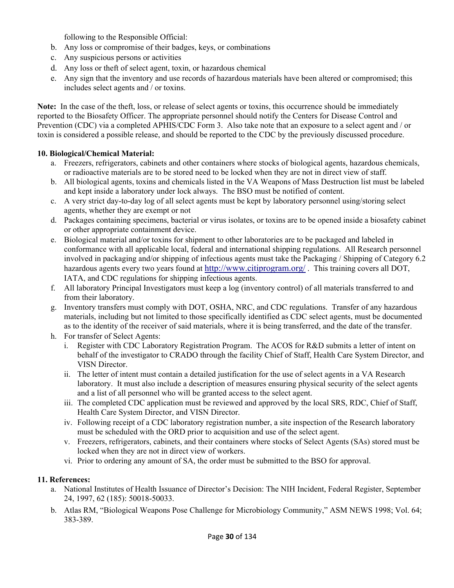following to the Responsible Official:

- b.Any loss or compromise of their badges, keys, or combinations
- c.Any suspicious persons or activities
- d.Any loss or theft of select agent, toxin, or hazardous chemical
- e.Any sign that the inventory and use records of hazardous materials have been altered or compromised; this includes select agents and / or toxins.

**Note:** In the case of the theft, loss, or release of select agents or toxins, this occurrence should be immediately reported to the Biosafety Officer. The appropriate personnel should notify the Centers for Disease Control and Prevention (CDC) via a completed APHIS/CDC Form 3. Also take note that an exposure to a select agent and / or toxin is considered a possible release, and should be reported to the CDC by the previously discussed procedure.

### **10. Biological/Chemical Material:**

- a.Freezers, refrigerators, cabinets and other containers where stocks of biological agents, hazardous chemicals, or radioactive materials are to be stored need to be locked when they are not in direct view of staff.
- b.All biological agents, toxins and chemicals listed in the VA Weapons of Mass Destruction list must be labeled and kept inside a laboratory under lock always. The BSO must be notified of content.
- c.A very strict day-to-day log of all select agents must be kept by laboratory personnel using/storing select agents, whether they are exempt or not
- d.Packages containing specimens, bacterial or virus isolates, or toxins are to be opened inside a biosafety cabinet or other appropriate containment device.
- e.Biological material and/or toxins for shipment to other laboratories are to be packaged and labeled in conformance with all applicable local, federal and international shipping regulations. All Research personnel involved in packaging and/or shipping of infectious agents must take the Packaging / Shipping of Category 6.2 hazardous agents every two years found at http://www.citiprogram.org/. This training covers all DOT, IATA, and CDC regulations for shipping infectious agents.
- f.All laboratory Principal Investigators must keep a log (inventory control) of all materials transferred to and from their laboratory.
- g.Inventory transfers must comply with DOT, OSHA, NRC, and CDC regulations. Transfer of any hazardous materials, including but not limited to those specifically identified as CDC select agents, must be documented as to the identity of the receiver of said materials, where it is being transferred, and the date of the transfer.
- h.For transfer of Select Agents:
	- i.Register with CDC Laboratory Registration Program. The ACOS for R&D submits a letter of intent on behalf of the investigator to CRADO through the facility Chief of Staff, Health Care System Director, and VISN Director.
	- ii.The letter of intent must contain a detailed justification for the use of select agents in a VA Research laboratory. It must also include a description of measures ensuring physical security of the select agents and a list of all personnel who will be granted access to the select agent.
	- iii.The completed CDC application must be reviewed and approved by the local SRS, RDC, Chief of Staff, Health Care System Director, and VISN Director.
	- iv.Following receipt of a CDC laboratory registration number, a site inspection of the Research laboratory must be scheduled with the ORD prior to acquisition and use of the select agent.
	- v.Freezers, refrigerators, cabinets, and their containers where stocks of Select Agents (SAs) stored must be locked when they are not in direct view of workers.
	- vi.Prior to ordering any amount of SA, the order must be submitted to the BSO for approval.

### **11. References:**

- a.National Institutes of Health Issuance of Director's Decision: The NIH Incident, Federal Register, September 24, 1997, 62 (185): 50018-50033.
- b.Atlas RM, "Biological Weapons Pose Challenge for Microbiology Community," ASM NEWS 1998; Vol. 64; 383-389.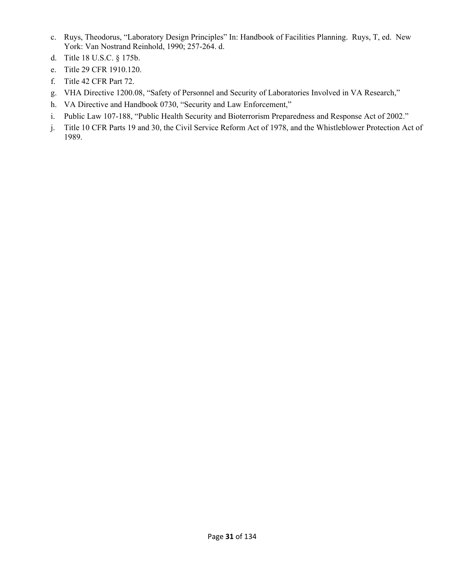- c.Ruys, Theodorus, "Laboratory Design Principles" In: Handbook of Facilities Planning. Ruys, T, ed. New York: Van Nostrand Reinhold, 1990; 257-264. d.
- d. Title 18 U.S.C. § 175b.
- e.Title 29 CFR 1910.120.
- f.Title 42 CFR Part 72.
- g.VHA Directive 1200.08, "Safety of Personnel and Security of Laboratories Involved in VA Research,"
- h.VA Directive and Handbook 0730, "Security and Law Enforcement,"
- i. Public Law 107-188, "Public Health Security and Bioterrorism Preparedness and Response Act of 2002."
- j.Title 10 CFR Parts 19 and 30, the Civil Service Reform Act of 1978, and the Whistleblower Protection Act of 1989.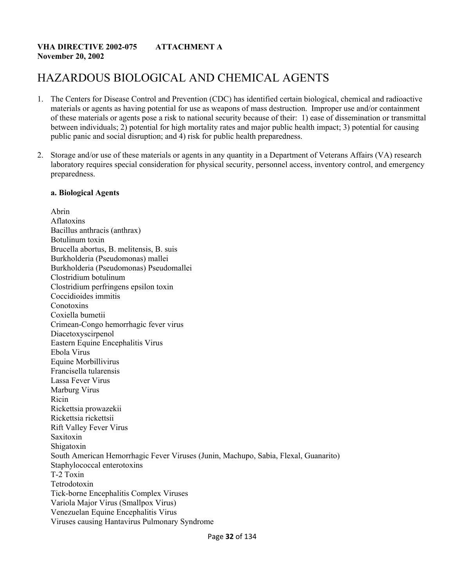### **VHA DIRECTIVE 2002-075 ATTACHMENT A November 20, 2002**

### HAZARDOUS BIOLOGICAL AND CHEMICAL AGENTS

- 1. The Centers for Disease Control and Prevention (CDC) has identified certain biological, chemical and radioactive materials or agents as having potential for use as weapons of mass destruction. Improper use and/or containment of these materials or agents pose a risk to national security because of their: 1) ease of dissemination or transmittal between individuals; 2) potential for high mortality rates and major public health impact; 3) potential for causing public panic and social disruption; and 4) risk for public health preparedness.
- 2. Storage and/or use of these materials or agents in any quantity in a Department of Veterans Affairs (VA) research laboratory requires special consideration for physical security, personnel access, inventory control, and emergency preparedness.

#### **a. Biological Agents**

Abrin Aflatoxins Bacillus anthracis (anthrax) Botulinum toxin Brucella abortus, B. melitensis, B. suis Burkholderia (Pseudomonas) mallei Burkholderia (Pseudomonas) Pseudomallei Clostridium botulinum Clostridium perfringens epsilon toxin Coccidioides immitis **Conotoxins** Coxiella bumetii Crimean-Congo hemorrhagic fever virus Diacetoxyscirpenol Eastern Equine Encephalitis Virus Ebola Virus Equine Morbillivirus Francisella tularensis Lassa Fever Virus Marburg Virus Ricin Rickettsia prowazekii Rickettsia rickettsii Rift Valley Fever Virus Saxitoxin Shigatoxin South American Hemorrhagic Fever Viruses (Junin, Machupo, Sabia, Flexal, Guanarito) Staphylococcal enterotoxins T-2 Toxin Tetrodotoxin Tick-borne Encephalitis Complex Viruses Variola Major Virus (Smallpox Virus) Venezuelan Equine Encephalitis Virus Viruses causing Hantavirus Pulmonary Syndrome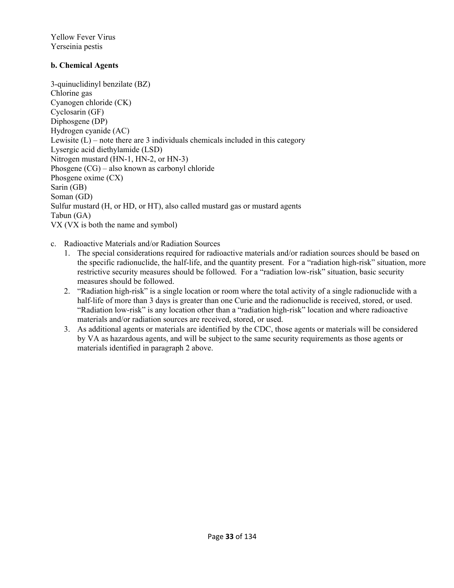Yellow Fever Virus Yerseinia pestis

### **b. Chemical Agents**

3-quinuclidinyl benzilate (BZ) Chlorine gas Cyanogen chloride (CK) Cyclosarin (GF) Diphosgene (DP) Hydrogen cyanide (AC) Lewisite  $(L)$  – note there are 3 individuals chemicals included in this category Lysergic acid diethylamide (LSD) Nitrogen mustard (HN-1, HN-2, or HN-3) Phosgene (CG) – also known as carbonyl chloride Phosgene oxime (CX) Sarin (GB) Soman (GD) Sulfur mustard (H, or HD, or HT), also called mustard gas or mustard agents Tabun (GA) VX (VX is both the name and symbol)

c.Radioactive Materials and/or Radiation Sources

- 1.The special considerations required for radioactive materials and/or radiation sources should be based on the specific radionuclide, the half-life, and the quantity present. For a "radiation high-risk" situation, more restrictive security measures should be followed. For a "radiation low-risk" situation, basic security measures should be followed.
- 2."Radiation high-risk" is a single location or room where the total activity of a single radionuclide with a half-life of more than 3 days is greater than one Curie and the radionuclide is received, stored, or used. "Radiation low-risk" is any location other than a "radiation high-risk" location and where radioactive materials and/or radiation sources are received, stored, or used.
- 3.As additional agents or materials are identified by the CDC, those agents or materials will be considered by VA as hazardous agents, and will be subject to the same security requirements as those agents or materials identified in paragraph 2 above.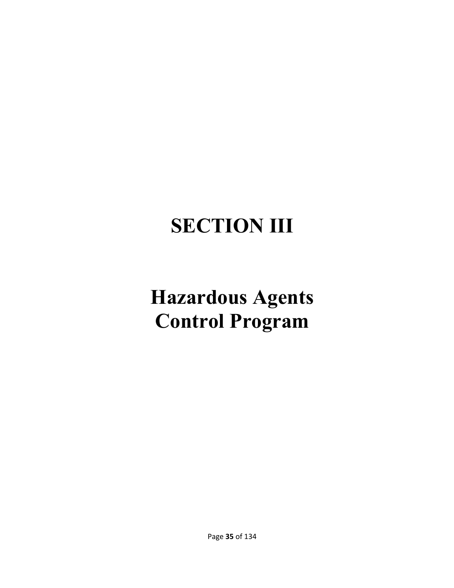# **SECTION III**

# **Hazardous Agents Control Program**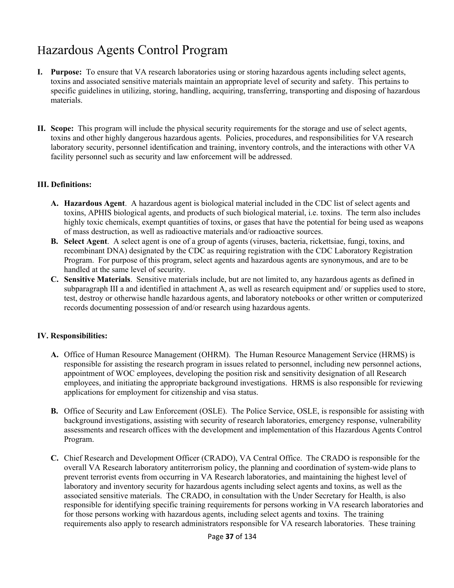# Hazardous Agents Control Program

- **I. Purpose:** To ensure that VA research laboratories using or storing hazardous agents including select agents, toxins and associated sensitive materials maintain an appropriate level of security and safety. This pertains to specific guidelines in utilizing, storing, handling, acquiring, transferring, transporting and disposing of hazardous materials.
- **II. Scope:** This program will include the physical security requirements for the storage and use of select agents, toxins and other highly dangerous hazardous agents. Policies, procedures, and responsibilities for VA research laboratory security, personnel identification and training, inventory controls, and the interactions with other VA facility personnel such as security and law enforcement will be addressed.

#### **III. Definitions:**

- **A. Hazardous Agent**. A hazardous agent is biological material included in the CDC list of select agents and toxins, APHIS biological agents, and products of such biological material, i.e. toxins. The term also includes highly toxic chemicals, exempt quantities of toxins, or gases that have the potential for being used as weapons of mass destruction, as well as radioactive materials and/or radioactive sources.
- **B. Select Agent**. A select agent is one of a group of agents (viruses, bacteria, rickettsiae, fungi, toxins, and recombinant DNA) designated by the CDC as requiring registration with the CDC Laboratory Registration Program. For purpose of this program, select agents and hazardous agents are synonymous, and are to be handled at the same level of security.
- **C. Sensitive Materials**. Sensitive materials include, but are not limited to, any hazardous agents as defined in subparagraph III a and identified in attachment A, as well as research equipment and/ or supplies used to store, test, destroy or otherwise handle hazardous agents, and laboratory notebooks or other written or computerized records documenting possession of and/or research using hazardous agents.

#### **IV. Responsibilities:**

- **A.** Office of Human Resource Management (OHRM).The Human Resource Management Service (HRMS) is responsible for assisting the research program in issues related to personnel, including new personnel actions, appointment of WOC employees, developing the position risk and sensitivity designation of all Research employees, and initiating the appropriate background investigations. HRMS is also responsible for reviewing applications for employment for citizenship and visa status.
- **B.** Office of Security and Law Enforcement (OSLE). The Police Service, OSLE, is responsible for assisting with background investigations, assisting with security of research laboratories, emergency response, vulnerability assessments and research offices with the development and implementation of this Hazardous Agents Control Program.
- **C.** Chief Research and Development Officer (CRADO), VA Central Office. The CRADO is responsible for the overall VA Research laboratory antiterrorism policy, the planning and coordination of system-wide plans to prevent terrorist events from occurring in VA Research laboratories, and maintaining the highest level of laboratory and inventory security for hazardous agents including select agents and toxins, as well as the associated sensitive materials. The CRADO, in consultation with the Under Secretary for Health, is also responsible for identifying specific training requirements for persons working in VA research laboratories and for those persons working with hazardous agents, including select agents and toxins. The training requirements also apply to research administrators responsible for VA research laboratories. These training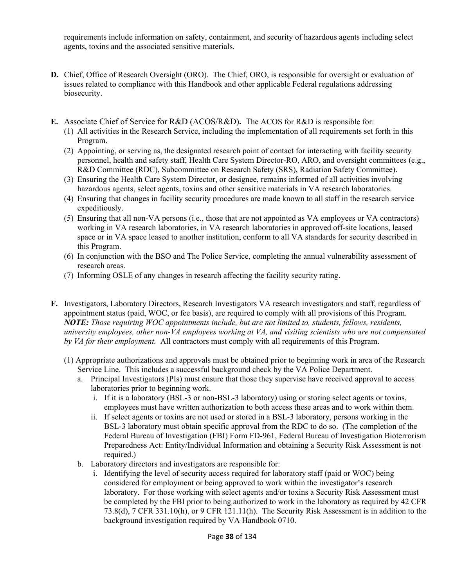requirements include information on safety, containment, and security of hazardous agents including select agents, toxins and the associated sensitive materials.

- **D.** Chief, Office of Research Oversight (ORO).The Chief, ORO, is responsible for oversight or evaluation of issues related to compliance with this Handbook and other applicable Federal regulations addressing biosecurity.
- **E.** Associate Chief of Service for R&D (ACOS/R&D)**.** The ACOS for R&D is responsible for:
	- (1)All activities in the Research Service, including the implementation of all requirements set forth in this Program.
	- (2)Appointing, or serving as, the designated research point of contact for interacting with facility security personnel, health and safety staff, Health Care System Director-RO, ARO, and oversight committees (e.g., R&D Committee (RDC), Subcommittee on Research Safety (SRS), Radiation Safety Committee).
	- (3)Ensuring the Health Care System Director, or designee, remains informed of all activities involving hazardous agents, select agents, toxins and other sensitive materials in VA research laboratories.
	- (4)Ensuring that changes in facility security procedures are made known to all staff in the research service expeditiously.
	- (5)Ensuring that all non-VA persons (i.e., those that are not appointed as VA employees or VA contractors) working in VA research laboratories, in VA research laboratories in approved off-site locations, leased space or in VA space leased to another institution, conform to all VA standards for security described in this Program.
	- (6)In conjunction with the BSO and The Police Service, completing the annual vulnerability assessment of research areas.
	- (7)Informing OSLE of any changes in research affecting the facility security rating.
- **F.** Investigators, Laboratory Directors, Research Investigators VA research investigators and staff, regardless of appointment status (paid, WOC, or fee basis), are required to comply with all provisions of this Program. *NOTE: Those requiring WOC appointments include, but are not limited to, students, fellows, residents, university employees, other non-VA employees working at VA, and visiting scientists who are not compensated by VA for their employment.* All contractors must comply with all requirements of this Program.
	- (1) Appropriate authorizations and approvals must be obtained prior to beginning work in area of the Research Service Line. This includes a successful background check by the VA Police Department.
		- a.Principal Investigators (PIs) must ensure that those they supervise have received approval to access laboratories prior to beginning work.
			- i. If it is a laboratory (BSL-3 or non-BSL-3 laboratory) using or storing select agents or toxins, employees must have written authorization to both access these areas and to work within them.
			- ii. If select agents or toxins are not used or stored in a BSL-3 laboratory, persons working in the BSL-3 laboratory must obtain specific approval from the RDC to do so. (The completion of the Federal Bureau of Investigation (FBI) Form FD-961, Federal Bureau of Investigation Bioterrorism Preparedness Act: Entity/Individual Information and obtaining a Security Risk Assessment is not required.)
		- b.Laboratory directors and investigators are responsible for:
			- i. Identifying the level of security access required for laboratory staff (paid or WOC) being considered for employment or being approved to work within the investigator's research laboratory. For those working with select agents and/or toxins a Security Risk Assessment must be completed by the FBI prior to being authorized to work in the laboratory as required by 42 CFR 73.8(d), 7 CFR 331.10(h), or 9 CFR 121.11(h). The Security Risk Assessment is in addition to the background investigation required by VA Handbook 0710.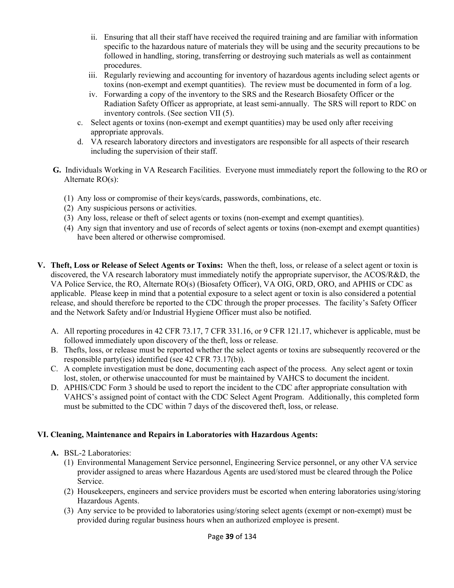- ii. Ensuring that all their staff have received the required training and are familiar with information specific to the hazardous nature of materials they will be using and the security precautions to be followed in handling, storing, transferring or destroying such materials as well as containment procedures.
- iii. Regularly reviewing and accounting for inventory of hazardous agents including select agents or toxins (non-exempt and exempt quantities). The review must be documented in form of a log.
- iv. Forwarding a copy of the inventory to the SRS and the Research Biosafety Officer or the Radiation Safety Officer as appropriate, at least semi-annually. The SRS will report to RDC on inventory controls. (See section VII (5).
- c.Select agents or toxins (non-exempt and exempt quantities) may be used only after receiving appropriate approvals.
- d.VA research laboratory directors and investigators are responsible for all aspects of their research including the supervision of their staff.
- **G.** Individuals Working in VA Research Facilities. Everyone must immediately report the following to the RO or Alternate RO(s):
	- (1)Any loss or compromise of their keys/cards, passwords, combinations, etc.
	- (2)Any suspicious persons or activities.
	- (3)Any loss, release or theft of select agents or toxins (non-exempt and exempt quantities).
	- (4)Any sign that inventory and use of records of select agents or toxins (non-exempt and exempt quantities) have been altered or otherwise compromised.
- **V. Theft, Loss or Release of Select Agents or Toxins:** When the theft, loss, or release of a select agent or toxin is discovered, the VA research laboratory must immediately notify the appropriate supervisor, the ACOS/R&D, the VA Police Service, the RO, Alternate RO(s) (Biosafety Officer), VA OIG, ORD, ORO, and APHIS or CDC as applicable. Please keep in mind that a potential exposure to a select agent or toxin is also considered a potential release, and should therefore be reported to the CDC through the proper processes. The facility's Safety Officer and the Network Safety and/or Industrial Hygiene Officer must also be notified.
	- A. All reporting procedures in 42 CFR 73.17, 7 CFR 331.16, or 9 CFR 121.17, whichever is applicable, must be followed immediately upon discovery of the theft, loss or release.
	- B. Thefts, loss, or release must be reported whether the select agents or toxins are subsequently recovered or the responsible party(ies) identified (see 42 CFR 73.17(b)).
	- C. A complete investigation must be done, documenting each aspect of the process. Any select agent or toxin lost, stolen, or otherwise unaccounted for must be maintained by VAHCS to document the incident.
	- D. APHIS/CDC Form 3 should be used to report the incident to the CDC after appropriate consultation with VAHCS's assigned point of contact with the CDC Select Agent Program. Additionally, this completed form must be submitted to the CDC within 7 days of the discovered theft, loss, or release.

#### **VI. Cleaning, Maintenance and Repairs in Laboratories with Hazardous Agents:**

- **A.** BSL-2 Laboratories:
	- (1)Environmental Management Service personnel, Engineering Service personnel, or any other VA service provider assigned to areas where Hazardous Agents are used/stored must be cleared through the Police Service.
	- (2)Housekeepers, engineers and service providers must be escorted when entering laboratories using/storing Hazardous Agents.
	- (3)Any service to be provided to laboratories using/storing select agents (exempt or non-exempt) must be provided during regular business hours when an authorized employee is present.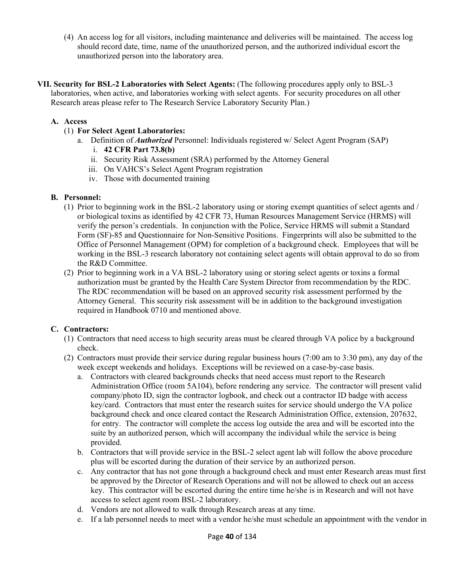(4)An access log for all visitors, including maintenance and deliveries will be maintained. The access log should record date, time, name of the unauthorized person, and the authorized individual escort the unauthorized person into the laboratory area.

**VII. Security for BSL-2 Laboratories with Select Agents:** (The following procedures apply only to BSL-3 laboratories, when active, and laboratories working with select agents. For security procedures on all other Research areas please refer to The Research Service Laboratory Security Plan.)

### **A. Access**

- (1) **For Select Agent Laboratories:**
	- a.Definition of *Authorized* Personnel: Individuals registered w/ Select Agent Program (SAP)
		- i. **42 CFR Part 73.8(b)**
		- ii. Security Risk Assessment (SRA) performed by the Attorney General
		- iii. On VAHCS's Select Agent Program registration
		- iv. Those with documented training

#### **B. Personnel:**

- (1)Prior to beginning work in the BSL-2 laboratory using or storing exempt quantities of select agents and / or biological toxins as identified by 42 CFR 73, Human Resources Management Service (HRMS) will verify the person's credentials. In conjunction with the Police, Service HRMS will submit a Standard Form (SF)-85 and Questionnaire for Non-Sensitive Positions. Fingerprints will also be submitted to the Office of Personnel Management (OPM) for completion of a background check. Employees that will be working in the BSL-3 research laboratory not containing select agents will obtain approval to do so from the R&D Committee.
- (2)Prior to beginning work in a VA BSL-2 laboratory using or storing select agents or toxins a formal authorization must be granted by the Health Care System Director from recommendation by the RDC. The RDC recommendation will be based on an approved security risk assessment performed by the Attorney General. This security risk assessment will be in addition to the background investigation required in Handbook 0710 and mentioned above.

#### **C. Contractors:**

- (1)Contractors that need access to high security areas must be cleared through VA police by a background check.
- (2)Contractors must provide their service during regular business hours (7:00 am to 3:30 pm), any day of the week except weekends and holidays. Exceptions will be reviewed on a case-by-case basis.
	- a.Contractors with cleared backgrounds checks that need access must report to the Research Administration Office (room 5A104), before rendering any service. The contractor will present valid company/photo ID, sign the contractor logbook, and check out a contractor ID badge with access key/card. Contractors that must enter the research suites for service should undergo the VA police background check and once cleared contact the Research Administration Office, extension, 207632, for entry. The contractor will complete the access log outside the area and will be escorted into the suite by an authorized person, which will accompany the individual while the service is being provided.
	- b.Contractors that will provide service in the BSL-2 select agent lab will follow the above procedure plus will be escorted during the duration of their service by an authorized person.
	- c.Any contractor that has not gone through a background check and must enter Research areas must first be approved by the Director of Research Operations and will not be allowed to check out an access key. This contractor will be escorted during the entire time he/she is in Research and will not have access to select agent room BSL-2 laboratory.
	- d.Vendors are not allowed to walk through Research areas at any time.
	- e.If a lab personnel needs to meet with a vendor he/she must schedule an appointment with the vendor in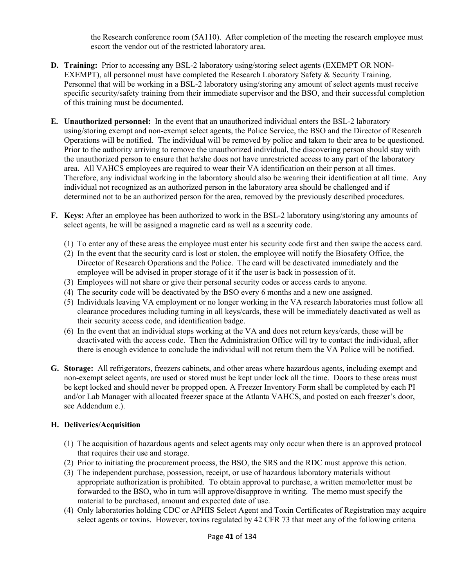the Research conference room (5A110). After completion of the meeting the research employee must escort the vendor out of the restricted laboratory area.

- **D. Training:** Prior to accessing any BSL-2 laboratory using/storing select agents (EXEMPT OR NON-EXEMPT), all personnel must have completed the Research Laboratory Safety & Security Training. Personnel that will be working in a BSL-2 laboratory using/storing any amount of select agents must receive specific security/safety training from their immediate supervisor and the BSO, and their successful completion of this training must be documented.
- **E. Unauthorized personnel:** In the event that an unauthorized individual enters the BSL-2 laboratory using/storing exempt and non-exempt select agents, the Police Service, the BSO and the Director of Research Operations will be notified. The individual will be removed by police and taken to their area to be questioned. Prior to the authority arriving to remove the unauthorized individual, the discovering person should stay with the unauthorized person to ensure that he/she does not have unrestricted access to any part of the laboratory area. All VAHCS employees are required to wear their VA identification on their person at all times. Therefore, any individual working in the laboratory should also be wearing their identification at all time. Any individual not recognized as an authorized person in the laboratory area should be challenged and if determined not to be an authorized person for the area, removed by the previously described procedures.
- **F. Keys:** After an employee has been authorized to work in the BSL-2 laboratory using/storing any amounts of select agents, he will be assigned a magnetic card as well as a security code.
	- (1)To enter any of these areas the employee must enter his security code first and then swipe the access card.
	- (2)In the event that the security card is lost or stolen, the employee will notify the Biosafety Office, the Director of Research Operations and the Police. The card will be deactivated immediately and the employee will be advised in proper storage of it if the user is back in possession of it.
	- (3)Employees will not share or give their personal security codes or access cards to anyone.
	- (4)The security code will be deactivated by the BSO every 6 months and a new one assigned.
	- (5)Individuals leaving VA employment or no longer working in the VA research laboratories must follow all clearance procedures including turning in all keys/cards, these will be immediately deactivated as well as their security access code, and identification badge.
	- (6)In the event that an individual stops working at the VA and does not return keys/cards, these will be deactivated with the access code. Then the Administration Office will try to contact the individual, after there is enough evidence to conclude the individual will not return them the VA Police will be notified.
- **G. Storage:** All refrigerators, freezers cabinets, and other areas where hazardous agents, including exempt and non-exempt select agents, are used or stored must be kept under lock all the time. Doors to these areas must be kept locked and should never be propped open. A Freezer Inventory Form shall be completed by each PI and/or Lab Manager with allocated freezer space at the Atlanta VAHCS, and posted on each freezer's door, see Addendum e.).

# **H. Deliveries/Acquisition**

- (1) The acquisition of hazardous agents and select agents may only occur when there is an approved protocol that requires their use and storage.
- (2)Prior to initiating the procurement process, the BSO, the SRS and the RDC must approve this action.
- (3)The independent purchase, possession, receipt, or use of hazardous laboratory materials without appropriate authorization is prohibited. To obtain approval to purchase, a written memo/letter must be forwarded to the BSO, who in turn will approve/disapprove in writing. The memo must specify the material to be purchased, amount and expected date of use.
- (4)Only laboratories holding CDC or APHIS Select Agent and Toxin Certificates of Registration may acquire select agents or toxins. However, toxins regulated by 42 CFR 73 that meet any of the following criteria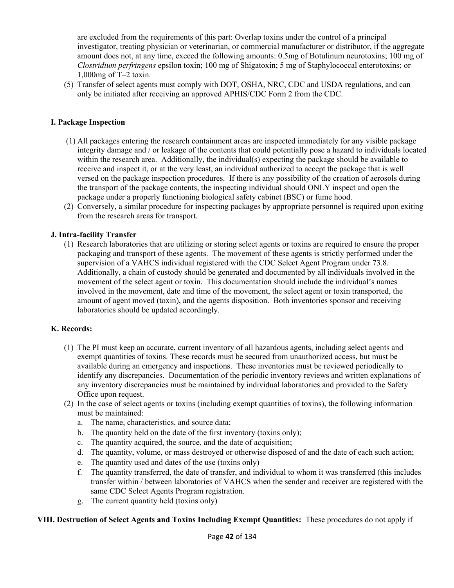are excluded from the requirements of this part: Overlap toxins under the control of a principal investigator, treating physician or veterinarian, or commercial manufacturer or distributor, if the aggregate amount does not, at any time, exceed the following amounts: 0.5mg of Botulinum neurotoxins; 100 mg of *Clostridium perfringens* epsilon toxin; 100 mg of Shigatoxin; 5 mg of Staphylococcal enterotoxins; or 1,000mg of T–2 toxin.

(5)Transfer of select agents must comply with DOT, OSHA, NRC, CDC and USDA regulations, and can only be initiated after receiving an approved APHIS/CDC Form 2 from the CDC.

#### **I. Package Inspection**

- (1) All packages entering the research containment areas are inspected immediately for any visible package integrity damage and / or leakage of the contents that could potentially pose a hazard to individuals located within the research area. Additionally, the individual(s) expecting the package should be available to receive and inspect it, or at the very least, an individual authorized to accept the package that is well versed on the package inspection procedures. If there is any possibility of the creation of aerosols during the transport of the package contents, the inspecting individual should ONLY inspect and open the package under a properly functioning biological safety cabinet (BSC) or fume hood.
- (2) Conversely, a similar procedure for inspecting packages by appropriate personnel is required upon exiting from the research areas for transport.

#### **J. Intra-facility Transfer**

(1)Research laboratories that are utilizing or storing select agents or toxins are required to ensure the proper packaging and transport of these agents. The movement of these agents is strictly performed under the supervision of a VAHCS individual registered with the CDC Select Agent Program under 73.8. Additionally, a chain of custody should be generated and documented by all individuals involved in the movement of the select agent or toxin. This documentation should include the individual's names involved in the movement, date and time of the movement, the select agent or toxin transported, the amount of agent moved (toxin), and the agents disposition. Both inventories sponsor and receiving laboratories should be updated accordingly.

#### **K. Records:**

- (1)The PI must keep an accurate, current inventory of all hazardous agents, including select agents and exempt quantities of toxins. These records must be secured from unauthorized access, but must be available during an emergency and inspections. These inventories must be reviewed periodically to identify any discrepancies. Documentation of the periodic inventory reviews and written explanations of any inventory discrepancies must be maintained by individual laboratories and provided to the Safety Office upon request.
- (2)In the case of select agents or toxins (including exempt quantities of toxins), the following information must be maintained:
	- a.The name, characteristics, and source data;
	- b.The quantity held on the date of the first inventory (toxins only);
	- c.The quantity acquired, the source, and the date of acquisition;
	- d.The quantity, volume, or mass destroyed or otherwise disposed of and the date of each such action;
	- e.The quantity used and dates of the use (toxins only)
	- f.The quantity transferred, the date of transfer, and individual to whom it was transferred (this includes transfer within / between laboratories of VAHCS when the sender and receiver are registered with the same CDC Select Agents Program registration.
	- g.The current quantity held (toxins only)

#### **VIII. Destruction of Select Agents and Toxins Including Exempt Quantities:** These procedures do not apply if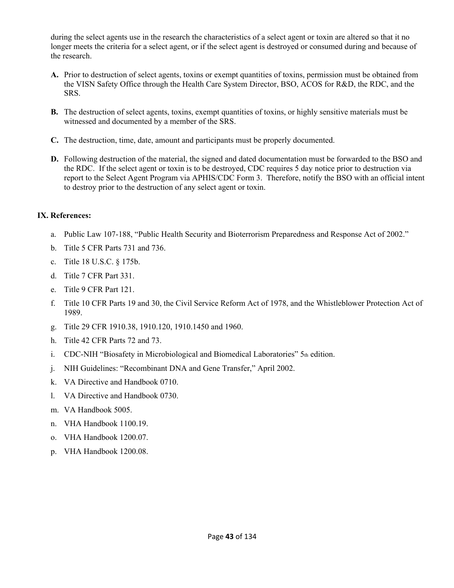during the select agents use in the research the characteristics of a select agent or toxin are altered so that it no longer meets the criteria for a select agent, or if the select agent is destroyed or consumed during and because of the research.

- **A.** Prior to destruction of select agents, toxins or exempt quantities of toxins, permission must be obtained from the VISN Safety Office through the Health Care System Director, BSO, ACOS for R&D, the RDC, and the SRS.
- **B.** The destruction of select agents, toxins, exempt quantities of toxins, or highly sensitive materials must be witnessed and documented by a member of the SRS.
- **C.** The destruction, time, date, amount and participants must be properly documented.
- **D.** Following destruction of the material, the signed and dated documentation must be forwarded to the BSO and the RDC. If the select agent or toxin is to be destroyed, CDC requires 5 day notice prior to destruction via report to the Select Agent Program via APHIS/CDC Form 3. Therefore, notify the BSO with an official intent to destroy prior to the destruction of any select agent or toxin.

#### **IX. References:**

- a.Public Law 107-188, "Public Health Security and Bioterrorism Preparedness and Response Act of 2002."
- b.Title 5 CFR Parts 731 and 736.
- c.Title 18 U.S.C. § 175b.
- d.Title 7 CFR Part 331.
- e.Title 9 CFR Part 121.
- f.Title 10 CFR Parts 19 and 30, the Civil Service Reform Act of 1978, and the Whistleblower Protection Act of 1989.
- g.Title 29 CFR 1910.38, 1910.120, 1910.1450 and 1960.
- h.Title 42 CFR Parts 72 and 73.
- i. CDC-NIH "Biosafety in Microbiological and Biomedical Laboratories" 5th edition.
- j.NIH Guidelines: "Recombinant DNA and Gene Transfer," April 2002.
- k.VA Directive and Handbook 0710.
- l.VA Directive and Handbook 0730.
- m.VA Handbook 5005.
- n.VHA Handbook 1100.19.
- o.VHA Handbook 1200.07.
- p.VHA Handbook 1200.08.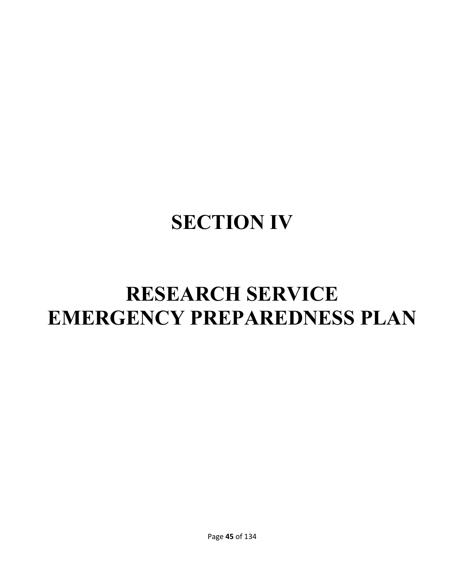# **SECTION IV**

# **RESEARCH SERVICE EMERGENCY PREPAREDNESS PLAN**

Page **45** of 134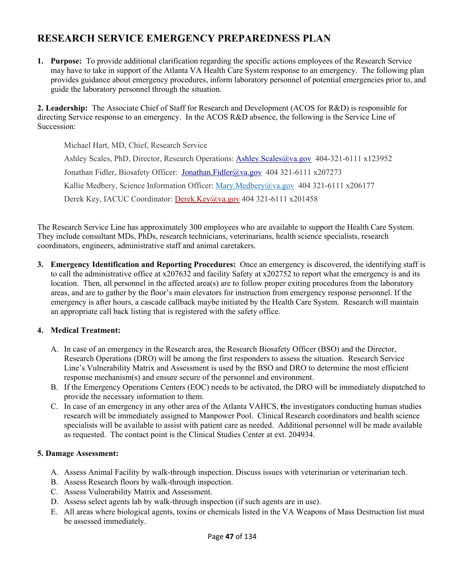# **RESEARCH SERVICE EMERGENCY PREPAREDNESS PLAN**

**1. Purpose:** To provide additional clarification regarding the specific actions employees of the Research Service may have to take in support of the Atlanta VA Health Care System response to an emergency. The following plan provides guidance about emergency procedures, inform laboratory personnel of potential emergencies prior to, and guide the laboratory personnel through the situation.

**2. Leadership:** The Associate Chief of Staff for Research and Development (ACOS for R&D) is responsible for directing Service response to an emergency. In the ACOS R&D absence, the following is the Service Line of Succession:

Michael Hart, MD, Chief, Research Service Ashley Scales, PhD, Director, Research Operations: Ashley.Scales@va.gov 404-321-6111 x123952 Jonathan Fidler, Biosafety Officer: Jonathan.Fidler@va.gov 404 321-6111 x207273 Kallie Medbery, Science Information Officer: Mary.Medbery@va.gov 404 321-6111 x206177 Derek Key, IACUC Coordinator: Derek.Key@va.gov 404 321-6111 x201458

The Research Service Line has approximately 300 employees who are available to support the Health Care System. They include consultant MDs, PhDs, research technicians, veterinarians, health science specialists, research coordinators, engineers, administrative staff and animal caretakers.

**3. Emergency Identification and Reporting Procedures:** Once an emergency is discovered, the identifying staff is to call the administrative office at x207632 and facility Safety at x202752 to report what the emergency is and its location. Then, all personnel in the affected area(s) are to follow proper exiting procedures from the laboratory areas, and are to gather by the floor's main elevators for instruction from emergency response personnel. If the emergency is after hours, a cascade callback maybe initiated by the Health Care System. Research will maintain an appropriate call back listing that is registered with the safety office.

#### **4. Medical Treatment:**

- A.In case of an emergency in the Research area, the Research Biosafety Officer (BSO) and the Director, Research Operations (DRO) will be among the first responders to assess the situation. Research Service Line's Vulnerability Matrix and Assessment is used by the BSO and DRO to determine the most efficient response mechanism(s) and ensure secure of the personnel and environment.
- B.If the Emergency Operations Centers (EOC) needs to be activated, the DRO will be immediately dispatched to provide the necessary information to them.
- C.In case of an emergency in any other area of the Atlanta VAHCS, **t**he investigators conducting human studies research will be immediately assigned to Manpower Pool. Clinical Research coordinators and health science specialists will be available to assist with patient care as needed. Additional personnel will be made available as requested. The contact point is the Clinical Studies Center at ext. 204934.

#### **5. Damage Assessment:**

- A.Assess Animal Facility by walk-through inspection. Discuss issues with veterinarian or veterinarian tech.
- B.Assess Research floors by walk-through inspection.
- C.Assess Vulnerability Matrix and Assessment.
- D.Assess select agents lab by walk-through inspection (if such agents are in use).
- E.All areas where biological agents, toxins or chemicals listed in the VA Weapons of Mass Destruction list must be assessed immediately.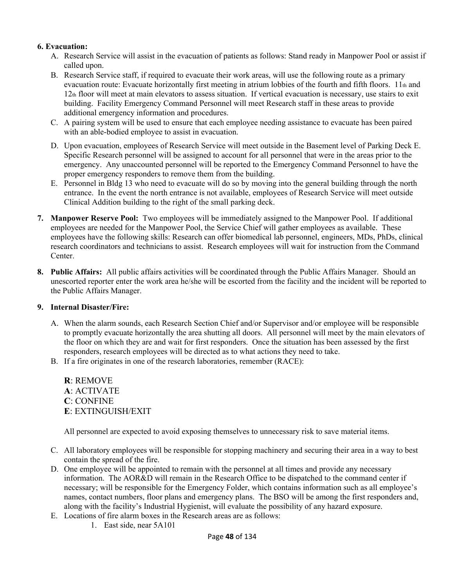#### **6. Evacuation:**

- A.Research Service will assist in the evacuation of patients as follows: Stand ready in Manpower Pool or assist if called upon.
- B.Research Service staff, if required to evacuate their work areas, will use the following route as a primary evacuation route: Evacuate horizontally first meeting in atrium lobbies of the fourth and fifth floors.  $11<sub>th</sub>$  and 12th floor will meet at main elevators to assess situation. If vertical evacuation is necessary, use stairs to exit building. Facility Emergency Command Personnel will meet Research staff in these areas to provide additional emergency information and procedures.
- C.A pairing system will be used to ensure that each employee needing assistance to evacuate has been paired with an able-bodied employee to assist in evacuation.
- D. Upon evacuation, employees of Research Service will meet outside in the Basement level of Parking Deck E. Specific Research personnel will be assigned to account for all personnel that were in the areas prior to the emergency. Any unaccounted personnel will be reported to the Emergency Command Personnel to have the proper emergency responders to remove them from the building.
- E. Personnel in Bldg 13 who need to evacuate will do so by moving into the general building through the north entrance. In the event the north entrance is not available, employees of Research Service will meet outside Clinical Addition building to the right of the small parking deck.
- **7. Manpower Reserve Pool:** Two employees will be immediately assigned to the Manpower Pool. If additional employees are needed for the Manpower Pool, the Service Chief will gather employees as available. These employees have the following skills: Research can offer biomedical lab personnel, engineers, MDs, PhDs, clinical research coordinators and technicians to assist. Research employees will wait for instruction from the Command Center.
- **8. Public Affairs:** All public affairs activities will be coordinated through the Public Affairs Manager. Should an unescorted reporter enter the work area he/she will be escorted from the facility and the incident will be reported to the Public Affairs Manager.

#### **9. Internal Disaster/Fire:**

- A.When the alarm sounds, each Research Section Chief and/or Supervisor and/or employee will be responsible to promptly evacuate horizontally the area shutting all doors. All personnel will meet by the main elevators of the floor on which they are and wait for first responders. Once the situation has been assessed by the first responders, research employees will be directed as to what actions they need to take.
- B.If a fire originates in one of the research laboratories, remember (RACE):

**R**: REMOVE **A**: ACTIVATE **C**: CONFINE **E**: EXTINGUISH/EXIT

All personnel are expected to avoid exposing themselves to unnecessary risk to save material items.

- C.All laboratory employees will be responsible for stopping machinery and securing their area in a way to best contain the spread of the fire.
- D.One employee will be appointed to remain with the personnel at all times and provide any necessary information. The AOR&D will remain in the Research Office to be dispatched to the command center if necessary; will be responsible for the Emergency Folder, which contains information such as all employee's names, contact numbers, floor plans and emergency plans. The BSO will be among the first responders and, along with the facility's Industrial Hygienist, will evaluate the possibility of any hazard exposure.
- E.Locations of fire alarm boxes in the Research areas are as follows:
	- 1. East side, near 5A101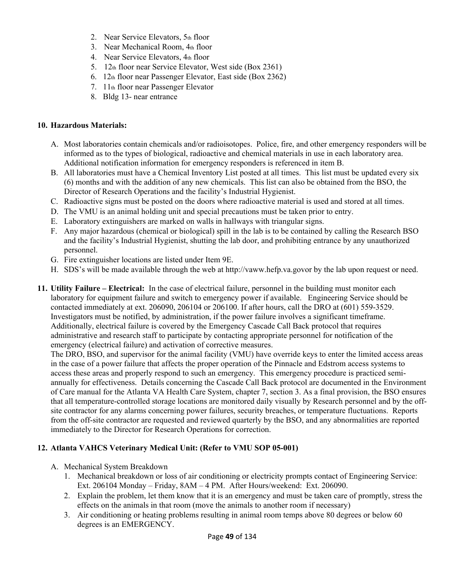- 2. Near Service Elevators, 5th floor
- 3. Near Mechanical Room, 4th floor
- 4. Near Service Elevators, 4th floor
- 5. 12th floor near Service Elevator, West side (Box 2361)
- 6. 12th floor near Passenger Elevator, East side (Box 2362)
- 7. 11th floor near Passenger Elevator
- 8. Bldg 13- near entrance

#### **10. Hazardous Materials:**

- A.Most laboratories contain chemicals and/or radioisotopes. Police, fire, and other emergency responders will be informed as to the types of biological, radioactive and chemical materials in use in each laboratory area. Additional notification information for emergency responders is referenced in item B.
- B.All laboratories must have a Chemical Inventory List posted at all times. This list must be updated every six (6) months and with the addition of any new chemicals. This list can also be obtained from the BSO, the Director of Research Operations and the facility's Industrial Hygienist.
- C.Radioactive signs must be posted on the doors where radioactive material is used and stored at all times.
- D.The VMU is an animal holding unit and special precautions must be taken prior to entry.
- E.Laboratory extinguishers are marked on walls in hallways with triangular signs.
- F.Any major hazardous (chemical or biological) spill in the lab is to be contained by calling the Research BSO and the facility's Industrial Hygienist, shutting the lab door, and prohibiting entrance by any unauthorized personnel.
- G.Fire extinguisher locations are listed under Item 9E.
- H.SDS's will be made available through the web at http://vaww.hefp.va.govor by the lab upon request or need.
- **11. Utility Failure Electrical:** In the case of electrical failure, personnel in the building must monitor each laboratory for equipment failure and switch to emergency power if available. Engineering Service should be contacted immediately at ext. 206090, 206104 or 206100. If after hours, call the DRO at (601) 559-3529. Investigators must be notified, by administration, if the power failure involves a significant timeframe. Additionally, electrical failure is covered by the Emergency Cascade Call Back protocol that requires administrative and research staff to participate by contacting appropriate personnel for notification of the emergency (electrical failure) and activation of corrective measures.

The DRO, BSO, and supervisor for the animal facility (VMU) have override keys to enter the limited access areas in the case of a power failure that affects the proper operation of the Pinnacle and Edstrom access systems to access these areas and properly respond to such an emergency. This emergency procedure is practiced semiannually for effectiveness. Details concerning the Cascade Call Back protocol are documented in the Environment of Care manual for the Atlanta VA Health Care System, chapter 7, section 3. As a final provision, the BSO ensures that all temperature-controlled storage locations are monitored daily visually by Research personnel and by the offsite contractor for any alarms concerning power failures, security breaches, or temperature fluctuations. Reports from the off-site contractor are requested and reviewed quarterly by the BSO, and any abnormalities are reported immediately to the Director for Research Operations for correction.

# **12. Atlanta VAHCS Veterinary Medical Unit: (Refer to VMU SOP 05-001)**

- A.Mechanical System Breakdown
	- 1. Mechanical breakdown or loss of air conditioning or electricity prompts contact of Engineering Service: Ext. 206104 Monday – Friday, 8AM – 4 PM. After Hours/weekend: Ext. 206090.
	- 2. Explain the problem, let them know that it is an emergency and must be taken care of promptly, stress the effects on the animals in that room (move the animals to another room if necessary)
	- 3. Air conditioning or heating problems resulting in animal room temps above 80 degrees or below 60 degrees is an EMERGENCY.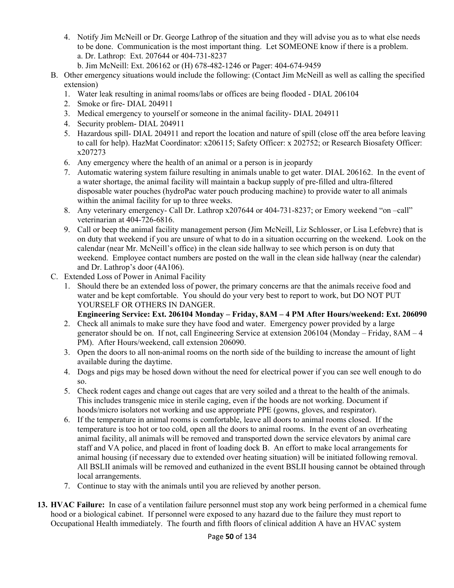- 4. Notify Jim McNeill or Dr. George Lathrop of the situation and they will advise you as to what else needs to be done. Communication is the most important thing. Let SOMEONE know if there is a problem. a. Dr. Lathrop: Ext. 207644 or 404-731-8237
	- b. Jim McNeill: Ext. 206162 or (H) 678-482-1246 or Pager: 404-674-9459
- B.Other emergency situations would include the following: (Contact Jim McNeill as well as calling the specified extension)
	- 1. Water leak resulting in animal rooms/labs or offices are being flooded DIAL 206104
	- 2. Smoke or fire- DIAL 204911
	- 3. Medical emergency to yourself or someone in the animal facility- DIAL 204911
	- 4. Security problem- DIAL 204911
	- 5. Hazardous spill- DIAL 204911 and report the location and nature of spill (close off the area before leaving to call for help). HazMat Coordinator: x206115; Safety Officer: x 202752; or Research Biosafety Officer: x207273
	- 6. Any emergency where the health of an animal or a person is in jeopardy
	- 7. Automatic watering system failure resulting in animals unable to get water. DIAL 206162. In the event of a water shortage, the animal facility will maintain a backup supply of pre-filled and ultra-filtered disposable water pouches (hydroPac water pouch producing machine) to provide water to all animals within the animal facility for up to three weeks.
	- 8. Any veterinary emergency- Call Dr. Lathrop x207644 or 404-731-8237; or Emory weekend "on -call" veterinarian at 404-726-6816.
	- 9. Call or beep the animal facility management person (Jim McNeill, Liz Schlosser, or Lisa Lefebvre) that is on duty that weekend if you are unsure of what to do in a situation occurring on the weekend. Look on the calendar (near Mr. McNeill's office) in the clean side hallway to see which person is on duty that weekend. Employee contact numbers are posted on the wall in the clean side hallway (near the calendar) and Dr. Lathrop's door (4A106).
- C.Extended Loss of Power in Animal Facility
	- 1. Should there be an extended loss of power, the primary concerns are that the animals receive food and water and be kept comfortable. You should do your very best to report to work, but DO NOT PUT YOURSELF OR OTHERS IN DANGER.

# **Engineering Service: Ext. 206104 Monday – Friday, 8AM – 4 PM After Hours/weekend: Ext. 206090**

- 2. Check all animals to make sure they have food and water. Emergency power provided by a large generator should be on. If not, call Engineering Service at extension 206104 (Monday – Friday, 8AM – 4 PM). After Hours/weekend, call extension 206090.
- 3. Open the doors to all non-animal rooms on the north side of the building to increase the amount of light available during the daytime.
- 4. Dogs and pigs may be hosed down without the need for electrical power if you can see well enough to do so.
- 5. Check rodent cages and change out cages that are very soiled and a threat to the health of the animals. This includes transgenic mice in sterile caging, even if the hoods are not working. Document if hoods/micro isolators not working and use appropriate PPE (gowns, gloves, and respirator).
- 6. If the temperature in animal rooms is comfortable, leave all doors to animal rooms closed. If the temperature is too hot or too cold, open all the doors to animal rooms. In the event of an overheating animal facility, all animals will be removed and transported down the service elevators by animal care staff and VA police, and placed in front of loading dock B. An effort to make local arrangements for animal housing (if necessary due to extended over heating situation) will be initiated following removal. All BSLII animals will be removed and euthanized in the event BSLII housing cannot be obtained through local arrangements.
- 7. Continue to stay with the animals until you are relieved by another person.
- **13. HVAC Failure:** In case of a ventilation failure personnel must stop any work being performed in a chemical fume hood or a biological cabinet. If personnel were exposed to any hazard due to the failure they must report to Occupational Health immediately. The fourth and fifth floors of clinical addition A have an HVAC system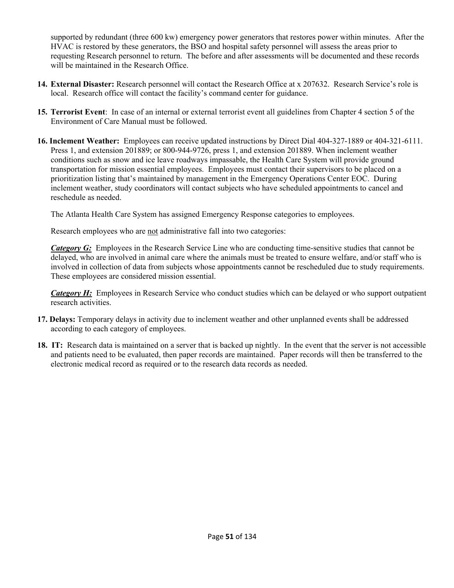supported by redundant (three 600 kw) emergency power generators that restores power within minutes. After the HVAC is restored by these generators, the BSO and hospital safety personnel will assess the areas prior to requesting Research personnel to return. The before and after assessments will be documented and these records will be maintained in the Research Office.

- **14. External Disaster:** Research personnel will contact the Research Office at x 207632. Research Service's role is local. Research office will contact the facility's command center for guidance.
- **15. Terrorist Event**: In case of an internal or external terrorist event all guidelines from Chapter 4 section 5 of the Environment of Care Manual must be followed.
- **16. Inclement Weather:** Employees can receive updated instructions by Direct Dial 404-327-1889 or 404-321-6111. Press 1, and extension 201889; or 800-944-9726, press 1, and extension 201889. When inclement weather conditions such as snow and ice leave roadways impassable, the Health Care System will provide ground transportation for mission essential employees. Employees must contact their supervisors to be placed on a prioritization listing that's maintained by management in the Emergency Operations Center EOC. During inclement weather, study coordinators will contact subjects who have scheduled appointments to cancel and reschedule as needed.

The Atlanta Health Care System has assigned Emergency Response categories to employees.

Research employees who are not administrative fall into two categories:

*Category G:* Employees in the Research Service Line who are conducting time-sensitive studies that cannot be delayed, who are involved in animal care where the animals must be treated to ensure welfare, and/or staff who is involved in collection of data from subjects whose appointments cannot be rescheduled due to study requirements. These employees are considered mission essential.

*Category H:* Employees in Research Service who conduct studies which can be delayed or who support outpatient research activities.

- **17. Delays:** Temporary delays in activity due to inclement weather and other unplanned events shall be addressed according to each category of employees.
- **18. IT:** Research data is maintained on a server that is backed up nightly. In the event that the server is not accessible and patients need to be evaluated, then paper records are maintained. Paper records will then be transferred to the electronic medical record as required or to the research data records as needed.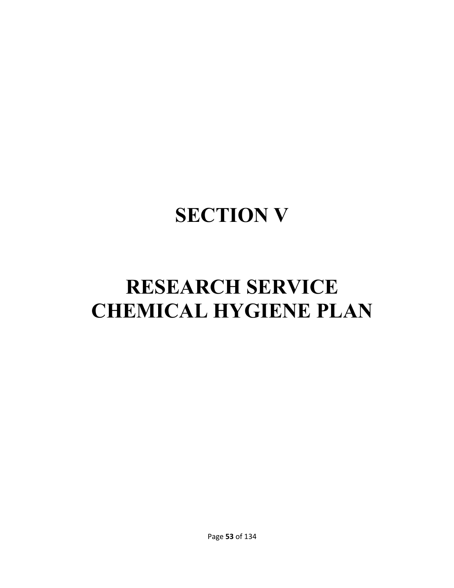# **SECTION V**

# **RESEARCH SERVICE CHEMICAL HYGIENE PLAN**

Page **53** of 134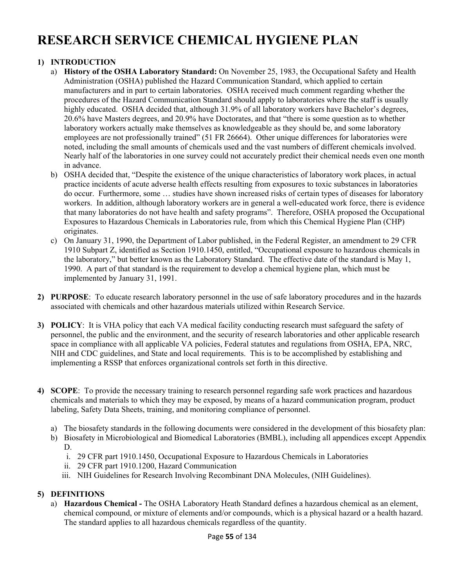# **RESEARCH SERVICE CHEMICAL HYGIENE PLAN**

# **1) INTRODUCTION**

- a) **History of the OSHA Laboratory Standard:** On November 25, 1983, the Occupational Safety and Health Administration (OSHA) published the Hazard Communication Standard, which applied to certain manufacturers and in part to certain laboratories. OSHA received much comment regarding whether the procedures of the Hazard Communication Standard should apply to laboratories where the staff is usually highly educated. OSHA decided that, although 31.9% of all laboratory workers have Bachelor's degrees, 20.6% have Masters degrees, and 20.9% have Doctorates, and that "there is some question as to whether laboratory workers actually make themselves as knowledgeable as they should be, and some laboratory employees are not professionally trained" (51 FR 26664). Other unique differences for laboratories were noted, including the small amounts of chemicals used and the vast numbers of different chemicals involved. Nearly half of the laboratories in one survey could not accurately predict their chemical needs even one month in advance.
- b)OSHA decided that, "Despite the existence of the unique characteristics of laboratory work places, in actual practice incidents of acute adverse health effects resulting from exposures to toxic substances in laboratories do occur. Furthermore, some … studies have shown increased risks of certain types of diseases for laboratory workers. In addition, although laboratory workers are in general a well-educated work force, there is evidence that many laboratories do not have health and safety programs". Therefore, OSHA proposed the Occupational Exposures to Hazardous Chemicals in Laboratories rule, from which this Chemical Hygiene Plan (CHP) originates.
- c)On January 31, 1990, the Department of Labor published, in the Federal Register, an amendment to 29 CFR 1910 Subpart Z, identified as Section 1910.1450, entitled, "Occupational exposure to hazardous chemicals in the laboratory," but better known as the Laboratory Standard. The effective date of the standard is May 1, 1990. A part of that standard is the requirement to develop a chemical hygiene plan, which must be implemented by January 31, 1991.
- **2) PURPOSE**: To educate research laboratory personnel in the use of safe laboratory procedures and in the hazards associated with chemicals and other hazardous materials utilized within Research Service.
- **3) POLICY**: It is VHA policy that each VA medical facility conducting research must safeguard the safety of personnel, the public and the environment, and the security of research laboratories and other applicable research space in compliance with all applicable VA policies, Federal statutes and regulations from OSHA, EPA, NRC, NIH and CDC guidelines, and State and local requirements. This is to be accomplished by establishing and implementing a RSSP that enforces organizational controls set forth in this directive.
- **4) SCOPE**: To provide the necessary training to research personnel regarding safe work practices and hazardous chemicals and materials to which they may be exposed, by means of a hazard communication program, product labeling, Safety Data Sheets, training, and monitoring compliance of personnel.
	- a)The biosafety standards in the following documents were considered in the development of this biosafety plan:
	- b)Biosafety in Microbiological and Biomedical Laboratories (BMBL), including all appendices except Appendix D.
		- i. 29 CFR part 1910.1450, Occupational Exposure to Hazardous Chemicals in Laboratories
		- ii. 29 CFR part 1910.1200, Hazard Communication
		- iii. NIH Guidelines for Research Involving Recombinant DNA Molecules, (NIH Guidelines).

# **5) DEFINITIONS**

a) **Hazardous Chemical -** The OSHA Laboratory Heath Standard defines a hazardous chemical as an element, chemical compound, or mixture of elements and/or compounds, which is a physical hazard or a health hazard. The standard applies to all hazardous chemicals regardless of the quantity.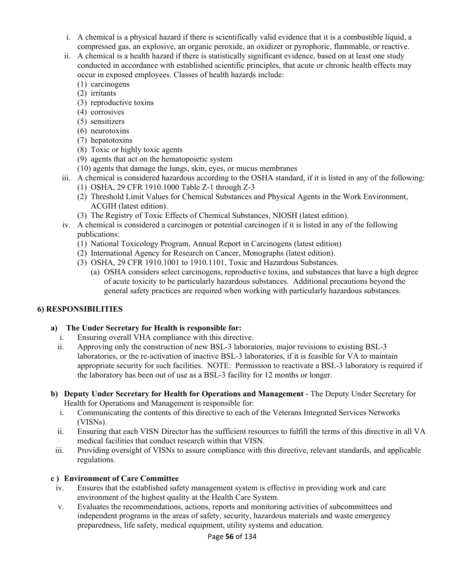- i. A chemical is a physical hazard if there is scientifically valid evidence that it is a combustible liquid, a compressed gas, an explosive, an organic peroxide, an oxidizer or pyrophoric, flammable, or reactive.
- ii. A chemical is a health hazard if there is statistically significant evidence, based on at least one study conducted in accordance with established scientific principles, that acute or chronic health effects may occur in exposed employees. Classes of health hazards include:
	- (1)carcinogens
	- (2)irritants
	- (3) reproductive toxins
	- (4)corrosives
	- (5) sensitizers
	- (6)neurotoxins
	- (7)hepatotoxins
	- (8)Toxic or highly toxic agents
	- (9)agents that act on the hematopoietic system
	- (10) agents that damage the lungs, skin, eyes, or mucus membranes
- iii. A chemical is considered hazardous according to the OSHA standard, if it is listed in any of the following:
	- (1)OSHA, 29 CFR 1910.1000 Table Z-1 through Z-3
	- (2)Threshold Limit Values for Chemical Substances and Physical Agents in the Work Environment, ACGIH (latest edition).
	- (3)The Registry of Toxic Effects of Chemical Substances, NIOSH (latest edition).
- iv. A chemical is considered a carcinogen or potential carcinogen if it is listed in any of the following publications:
	- (1)National Toxicology Program, Annual Report in Carcinogens (latest edition)
	- (2)International Agency for Research on Cancer, Monographs (latest edition).
	- (3) OSHA, 29 CFR 1910.1001 to 1910.1101, Toxic and Hazardous Substances.
		- (a)OSHA considers select carcinogens, reproductive toxins, and substances that have a high degree of acute toxicity to be particularly hazardous substances. Additional precautions beyond the general safety practices are required when working with particularly hazardous substances.

# **6) RESPONSIBILITIES**

# **a) The Under Secretary for Health is responsible for:**

- i. Ensuring overall VHA compliance with this directive.
- ii. Approving only the construction of new BSL-3 laboratories, major revisions to existing BSL-3 laboratories, or the re-activation of inactive BSL-3 laboratories, if it is feasible for VA to maintain appropriate security for such facilities. NOTE: Permission to reactivate a BSL-3 laboratory is required if the laboratory has been out of use as a BSL-3 facility for 12 months or longer.
- **b) Deputy Under Secretary for Health for Operations and Management** The Deputy Under Secretary for Health for Operations and Management is responsible for:
	- i. Communicating the contents of this directive to each of the Veterans Integrated Services Networks (VISNs).
	- ii. Ensuring that each VISN Director has the sufficient resources to fulfill the terms of this directive in all VA medical facilities that conduct research within that VISN.
- iii. Providing oversight of VISNs to assure compliance with this directive, relevant standards, and applicable regulations.

# **c ) Environment of Care Committee**

- iv. Ensures that the established safety management system is effective in providing work and care environment of the highest quality at the Health Care System.
- v. Evaluates the recommendations, actions, reports and monitoring activities of subcommittees and independent programs in the areas of safety, security, hazardous materials and waste emergency preparedness, life safety, medical equipment, utility systems and education.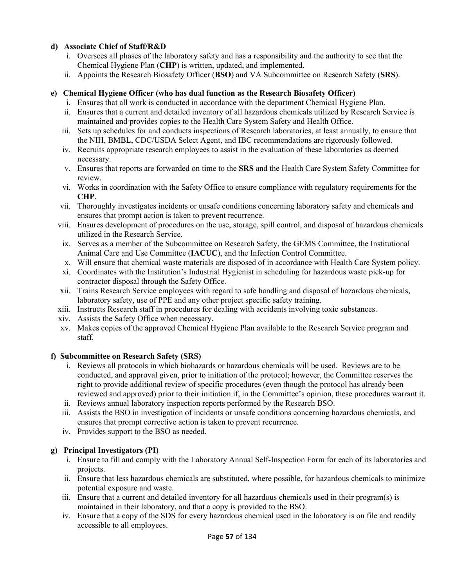#### **d) Associate Chief of Staff/R&D**

- i. Oversees all phases of the laboratory safety and has a responsibility and the authority to see that the Chemical Hygiene Plan (**CHP**) is written, updated, and implemented.
- ii. Appoints the Research Biosafety Officer (**BSO**) and VA Subcommittee on Research Safety (**SRS**).

#### **e) Chemical Hygiene Officer (who has dual function as the Research Biosafety Officer)**

- i. Ensures that all work is conducted in accordance with the department Chemical Hygiene Plan.
- ii. Ensures that a current and detailed inventory of all hazardous chemicals utilized by Research Service is maintained and provides copies to the Health Care System Safety and Health Office.
- iii. Sets up schedules for and conducts inspections of Research laboratories, at least annually, to ensure that the NIH, BMBL, CDC/USDA Select Agent, and IBC recommendations are rigorously followed.
- iv. Recruits appropriate research employees to assist in the evaluation of these laboratories as deemed necessary.
- v. Ensures that reports are forwarded on time to the **SRS** and the Health Care System Safety Committee for review.
- vi. Works in coordination with the Safety Office to ensure compliance with regulatory requirements for the **CHP**.
- vii. Thoroughly investigates incidents or unsafe conditions concerning laboratory safety and chemicals and ensures that prompt action is taken to prevent recurrence.
- viii. Ensures development of procedures on the use, storage, spill control, and disposal of hazardous chemicals utilized in the Research Service.
- ix. Serves as a member of the Subcommittee on Research Safety, the GEMS Committee, the Institutional Animal Care and Use Committee (**IACUC**), and the Infection Control Committee.
- x. Will ensure that chemical waste materials are disposed of in accordance with Health Care System policy.
- xi. Coordinates with the Institution's Industrial Hygienist in scheduling for hazardous waste pick-up for contractor disposal through the Safety Office.
- xii. Trains Research Service employees with regard to safe handling and disposal of hazardous chemicals, laboratory safety, use of PPE and any other project specific safety training.
- xiii. Instructs Research staff in procedures for dealing with accidents involving toxic substances.
- xiv. Assists the Safety Office when necessary.
- xv. Makes copies of the approved Chemical Hygiene Plan available to the Research Service program and staff.

#### **f) Subcommittee on Research Safety (SRS)**

- i. Reviews all protocols in which biohazards or hazardous chemicals will be used. Reviews are to be conducted, and approval given, prior to initiation of the protocol; however, the Committee reserves the right to provide additional review of specific procedures (even though the protocol has already been reviewed and approved) prior to their initiation if, in the Committee's opinion, these procedures warrant it.
- ii. Reviews annual laboratory inspection reports performed by the Research BSO.
- iii. Assists the BSO in investigation of incidents or unsafe conditions concerning hazardous chemicals, and ensures that prompt corrective action is taken to prevent recurrence.
- iv. Provides support to the BSO as needed.

#### **g) Principal Investigators (PI)**

- i. Ensure to fill and comply with the Laboratory Annual Self-Inspection Form for each of its laboratories and projects.
- ii. Ensure that less hazardous chemicals are substituted, where possible, for hazardous chemicals to minimize potential exposure and waste.
- iii. Ensure that a current and detailed inventory for all hazardous chemicals used in their program(s) is maintained in their laboratory, and that a copy is provided to the BSO.
- iv. Ensure that a copy of the SDS for every hazardous chemical used in the laboratory is on file and readily accessible to all employees.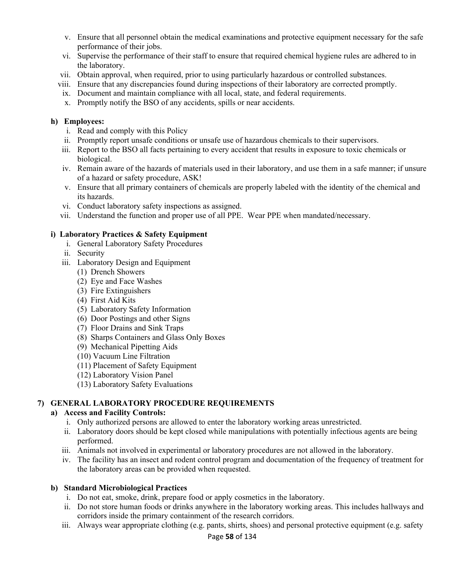- v. Ensure that all personnel obtain the medical examinations and protective equipment necessary for the safe performance of their jobs.
- vi. Supervise the performance of their staff to ensure that required chemical hygiene rules are adhered to in the laboratory.
- vii. Obtain approval, when required, prior to using particularly hazardous or controlled substances.
- viii. Ensure that any discrepancies found during inspections of their laboratory are corrected promptly.
- ix. Document and maintain compliance with all local, state, and federal requirements.
- x. Promptly notify the BSO of any accidents, spills or near accidents.

#### **h) Employees:**

- i. Read and comply with this Policy
- ii. Promptly report unsafe conditions or unsafe use of hazardous chemicals to their supervisors.
- iii. Report to the BSO all facts pertaining to every accident that results in exposure to toxic chemicals or biological.
- iv. Remain aware of the hazards of materials used in their laboratory, and use them in a safe manner; if unsure of a hazard or safety procedure, ASK!
- v. Ensure that all primary containers of chemicals are properly labeled with the identity of the chemical and its hazards.
- vi. Conduct laboratory safety inspections as assigned.
- vii. Understand the function and proper use of all PPE. Wear PPE when mandated/necessary.

#### **i) Laboratory Practices & Safety Equipment**

- i. General Laboratory Safety Procedures
- ii. Security
- iii. Laboratory Design and Equipment
	- (1)Drench Showers
	- (2)Eye and Face Washes
	- (3)Fire Extinguishers
	- (4)First Aid Kits
	- (5)Laboratory Safety Information
	- (6)Door Postings and other Signs
	- (7)Floor Drains and Sink Traps
	- (8)Sharps Containers and Glass Only Boxes
	- (9)Mechanical Pipetting Aids
	- (10) Vacuum Line Filtration
	- (11) Placement of Safety Equipment
	- (12) Laboratory Vision Panel
	- (13) Laboratory Safety Evaluations

#### **7) GENERAL LABORATORY PROCEDURE REQUIREMENTS**

#### **a) Access and Facility Controls:**

- i. Only authorized persons are allowed to enter the laboratory working areas unrestricted.
- ii. Laboratory doors should be kept closed while manipulations with potentially infectious agents are being performed.
- iii. Animals not involved in experimental or laboratory procedures are not allowed in the laboratory.
- iv. The facility has an insect and rodent control program and documentation of the frequency of treatment for the laboratory areas can be provided when requested.

#### **b) Standard Microbiological Practices**

- i. Do not eat, smoke, drink, prepare food or apply cosmetics in the laboratory.
- ii. Do not store human foods or drinks anywhere in the laboratory working areas. This includes hallways and corridors inside the primary containment of the research corridors.
- iii. Always wear appropriate clothing (e.g. pants, shirts, shoes) and personal protective equipment (e.g. safety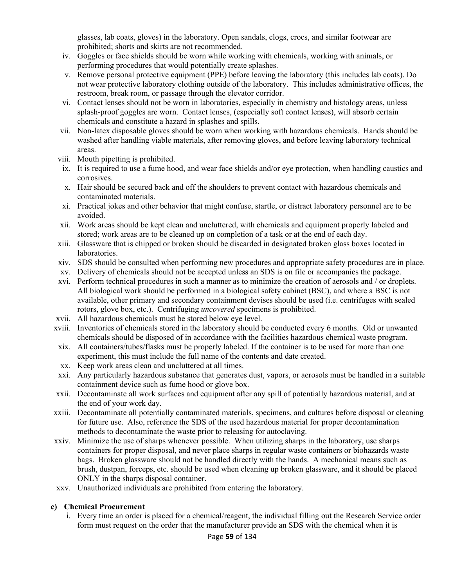glasses, lab coats, gloves) in the laboratory. Open sandals, clogs, crocs, and similar footwear are prohibited; shorts and skirts are not recommended.

- iv. Goggles or face shields should be worn while working with chemicals, working with animals, or performing procedures that would potentially create splashes.
- v. Remove personal protective equipment (PPE) before leaving the laboratory (this includes lab coats). Do not wear protective laboratory clothing outside of the laboratory. This includes administrative offices, the restroom, break room, or passage through the elevator corridor.
- vi. Contact lenses should not be worn in laboratories, especially in chemistry and histology areas, unless splash-proof goggles are worn. Contact lenses, (especially soft contact lenses), will absorb certain chemicals and constitute a hazard in splashes and spills.
- vii. Non-latex disposable gloves should be worn when working with hazardous chemicals. Hands should be washed after handling viable materials, after removing gloves, and before leaving laboratory technical areas.
- viii. Mouth pipetting is prohibited.
- ix. It is required to use a fume hood, and wear face shields and/or eye protection, when handling caustics and corrosives.
- x. Hair should be secured back and off the shoulders to prevent contact with hazardous chemicals and contaminated materials.
- xi. Practical jokes and other behavior that might confuse, startle, or distract laboratory personnel are to be avoided.
- xii. Work areas should be kept clean and uncluttered, with chemicals and equipment properly labeled and stored; work areas are to be cleaned up on completion of a task or at the end of each day.
- xiii. Glassware that is chipped or broken should be discarded in designated broken glass boxes located in laboratories.
- xiv. SDS should be consulted when performing new procedures and appropriate safety procedures are in place.
- xv. Delivery of chemicals should not be accepted unless an SDS is on file or accompanies the package.
- xvi. Perform technical procedures in such a manner as to minimize the creation of aerosols and / or droplets. All biological work should be performed in a biological safety cabinet (BSC), and where a BSC is not available, other primary and secondary containment devises should be used (i.e. centrifuges with sealed rotors, glove box, etc.). Centrifuging *uncovered* specimens is prohibited.
- xvii. All hazardous chemicals must be stored below eye level.
- xviii. Inventories of chemicals stored in the laboratory should be conducted every 6 months. Old or unwanted chemicals should be disposed of in accordance with the facilities hazardous chemical waste program.
- xix. All containers/tubes/flasks must be properly labeled. If the container is to be used for more than one experiment, this must include the full name of the contents and date created.
- xx. Keep work areas clean and uncluttered at all times.
- xxi. Any particularly hazardous substance that generates dust, vapors, or aerosols must be handled in a suitable containment device such as fume hood or glove box.
- xxii. Decontaminate all work surfaces and equipment after any spill of potentially hazardous material, and at the end of your work day.
- xxiii. Decontaminate all potentially contaminated materials, specimens, and cultures before disposal or cleaning for future use. Also, reference the SDS of the used hazardous material for proper decontamination methods to decontaminate the waste prior to releasing for autoclaving.
- xxiv. Minimize the use of sharps whenever possible. When utilizing sharps in the laboratory, use sharps containers for proper disposal, and never place sharps in regular waste containers or biohazards waste bags. Broken glassware should not be handled directly with the hands. A mechanical means such as brush, dustpan, forceps, etc. should be used when cleaning up broken glassware, and it should be placed ONLY in the sharps disposal container.
- xxv. Unauthorized individuals are prohibited from entering the laboratory.

#### **c) Chemical Procurement**

i. Every time an order is placed for a chemical/reagent, the individual filling out the Research Service order form must request on the order that the manufacturer provide an SDS with the chemical when it is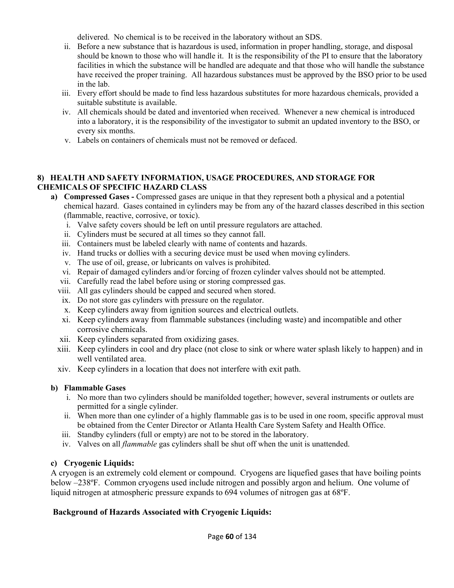delivered. No chemical is to be received in the laboratory without an SDS.

- ii. Before a new substance that is hazardous is used, information in proper handling, storage, and disposal should be known to those who will handle it. It is the responsibility of the PI to ensure that the laboratory facilities in which the substance will be handled are adequate and that those who will handle the substance have received the proper training. All hazardous substances must be approved by the BSO prior to be used in the lab.
- iii. Every effort should be made to find less hazardous substitutes for more hazardous chemicals, provided a suitable substitute is available.
- iv. All chemicals should be dated and inventoried when received. Whenever a new chemical is introduced into a laboratory, it is the responsibility of the investigator to submit an updated inventory to the BSO, or every six months.
- v. Labels on containers of chemicals must not be removed or defaced.

### **8) HEALTH AND SAFETY INFORMATION, USAGE PROCEDURES, AND STORAGE FOR CHEMICALS OF SPECIFIC HAZARD CLASS**

- **a) Compressed Gases** Compressed gases are unique in that they represent both a physical and a potential chemical hazard. Gases contained in cylinders may be from any of the hazard classes described in this section (flammable, reactive, corrosive, or toxic).
	- i. Valve safety covers should be left on until pressure regulators are attached.
	- ii. Cylinders must be secured at all times so they cannot fall.
	- iii. Containers must be labeled clearly with name of contents and hazards.
	- iv. Hand trucks or dollies with a securing device must be used when moving cylinders.
	- v. The use of oil, grease, or lubricants on valves is prohibited.
	- vi. Repair of damaged cylinders and/or forcing of frozen cylinder valves should not be attempted.
	- vii. Carefully read the label before using or storing compressed gas.
	- viii. All gas cylinders should be capped and secured when stored.
	- ix. Do not store gas cylinders with pressure on the regulator.
	- x. Keep cylinders away from ignition sources and electrical outlets.
	- xi. Keep cylinders away from flammable substances (including waste) and incompatible and other corrosive chemicals.
	- xii. Keep cylinders separated from oxidizing gases.
	- xiii. Keep cylinders in cool and dry place (not close to sink or where water splash likely to happen) and in well ventilated area.
	- xiv. Keep cylinders in a location that does not interfere with exit path.

# **b) Flammable Gases**

- i. No more than two cylinders should be manifolded together; however, several instruments or outlets are permitted for a single cylinder.
- ii. When more than one cylinder of a highly flammable gas is to be used in one room, specific approval must be obtained from the Center Director or Atlanta Health Care System Safety and Health Office.
- iii. Standby cylinders (full or empty) are not to be stored in the laboratory.
- iv. Valves on all *flammable* gas cylinders shall be shut off when the unit is unattended.

# **c) Cryogenic Liquids:**

A cryogen is an extremely cold element or compound. Cryogens are liquefied gases that have boiling points below –238ºF. Common cryogens used include nitrogen and possibly argon and helium. One volume of liquid nitrogen at atmospheric pressure expands to 694 volumes of nitrogen gas at 68ºF.

# **Background of Hazards Associated with Cryogenic Liquids:**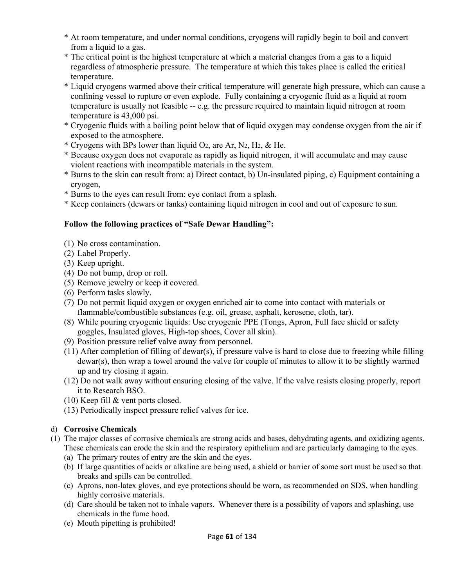- \* At room temperature, and under normal conditions, cryogens will rapidly begin to boil and convert from a liquid to a gas.
- \* The critical point is the highest temperature at which a material changes from a gas to a liquid regardless of atmospheric pressure. The temperature at which this takes place is called the critical temperature.
- \* Liquid cryogens warmed above their critical temperature will generate high pressure, which can cause a confining vessel to rupture or even explode. Fully containing a cryogenic fluid as a liquid at room temperature is usually not feasible -- e.g. the pressure required to maintain liquid nitrogen at room temperature is 43,000 psi.
- \* Cryogenic fluids with a boiling point below that of liquid oxygen may condense oxygen from the air if exposed to the atmosphere.
- \* Cryogens with BPs lower than liquid O2, are Ar, N2, H2, & He.
- \* Because oxygen does not evaporate as rapidly as liquid nitrogen, it will accumulate and may cause violent reactions with incompatible materials in the system.
- \* Burns to the skin can result from: a) Direct contact, b) Un-insulated piping, c) Equipment containing a cryogen,
- \* Burns to the eyes can result from: eye contact from a splash.
- \* Keep containers (dewars or tanks) containing liquid nitrogen in cool and out of exposure to sun.

# **Follow the following practices of "Safe Dewar Handling":**

- (1) No cross contamination.
- (2) Label Properly.
- (3) Keep upright.
- (4) Do not bump, drop or roll.
- (5) Remove jewelry or keep it covered.
- (6) Perform tasks slowly.
- (7) Do not permit liquid oxygen or oxygen enriched air to come into contact with materials or flammable/combustible substances (e.g. oil, grease, asphalt, kerosene, cloth, tar).
- (8) While pouring cryogenic liquids: Use cryogenic PPE (Tongs, Apron, Full face shield or safety goggles, Insulated gloves, High-top shoes, Cover all skin).
- (9) Position pressure relief valve away from personnel.
- (11) After completion of filling of dewar(s), if pressure valve is hard to close due to freezing while filling dewar(s), then wrap a towel around the valve for couple of minutes to allow it to be slightly warmed up and try closing it again.
- (12) Do not walk away without ensuring closing of the valve. If the valve resists closing properly, report it to Research BSO.
- (10) Keep fill & vent ports closed.
- (13) Periodically inspect pressure relief valves for ice.

# d) **Corrosive Chemicals**

- (1)The major classes of corrosive chemicals are strong acids and bases, dehydrating agents, and oxidizing agents. These chemicals can erode the skin and the respiratory epithelium and are particularly damaging to the eyes.
	- (a)The primary routes of entry are the skin and the eyes.
	- (b)If large quantities of acids or alkaline are being used, a shield or barrier of some sort must be used so that breaks and spills can be controlled.
	- (c)Aprons, non-latex gloves, and eye protections should be worn, as recommended on SDS, when handling highly corrosive materials.
	- (d)Care should be taken not to inhale vapors. Whenever there is a possibility of vapors and splashing, use chemicals in the fume hood.
	- (e)Mouth pipetting is prohibited!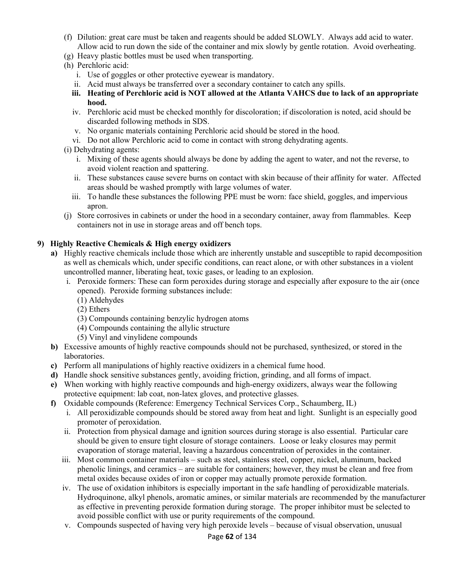- (f)Dilution: great care must be taken and reagents should be added SLOWLY. Always add acid to water. Allow acid to run down the side of the container and mix slowly by gentle rotation. Avoid overheating.
- (g)Heavy plastic bottles must be used when transporting.
- (h)Perchloric acid:
	- i. Use of goggles or other protective eyewear is mandatory.
	- ii. Acid must always be transferred over a secondary container to catch any spills.
	- **iii. Heating of Perchloric acid is NOT allowed at the Atlanta VAHCS due to lack of an appropriate hood.**
	- iv. Perchloric acid must be checked monthly for discoloration; if discoloration is noted, acid should be discarded following methods in SDS.
	- v. No organic materials containing Perchloric acid should be stored in the hood.
	- vi. Do not allow Perchloric acid to come in contact with strong dehydrating agents.
- (i) Dehydrating agents:
	- i. Mixing of these agents should always be done by adding the agent to water, and not the reverse, to avoid violent reaction and spattering.
	- ii. These substances cause severe burns on contact with skin because of their affinity for water. Affected areas should be washed promptly with large volumes of water.
	- iii. To handle these substances the following PPE must be worn: face shield, goggles, and impervious apron.
- (j)Store corrosives in cabinets or under the hood in a secondary container, away from flammables. Keep containers not in use in storage areas and off bench tops.

#### **9) Highly Reactive Chemicals & High energy oxidizers**

- **a)** Highly reactive chemicals include those which are inherently unstable and susceptible to rapid decomposition as well as chemicals which, under specific conditions, can react alone, or with other substances in a violent uncontrolled manner, liberating heat, toxic gases, or leading to an explosion.
	- i. Peroxide formers: These can form peroxides during storage and especially after exposure to the air (once opened). Peroxide forming substances include:
		- (1) Aldehydes
		- (2) Ethers
		- (3) Compounds containing benzylic hydrogen atoms
		- (4) Compounds containing the allylic structure
		- (5) Vinyl and vinylidene compounds
- **b)** Excessive amounts of highly reactive compounds should not be purchased, synthesized, or stored in the laboratories.
- **c)** Perform all manipulations of highly reactive oxidizers in a chemical fume hood.
- **d)** Handle shock sensitive substances gently, avoiding friction, grinding, and all forms of impact.
- **e)** When working with highly reactive compounds and high-energy oxidizers, always wear the following protective equipment: lab coat, non-latex gloves, and protective glasses.
- **f)** Oxidable compounds (Reference: Emergency Technical Services Corp., Schaumberg, IL)
	- i. All peroxidizable compounds should be stored away from heat and light. Sunlight is an especially good promoter of peroxidation.
	- ii. Protection from physical damage and ignition sources during storage is also essential. Particular care should be given to ensure tight closure of storage containers. Loose or leaky closures may permit evaporation of storage material, leaving a hazardous concentration of peroxides in the container.
	- iii. Most common container materials such as steel, stainless steel, copper, nickel, aluminum, backed phenolic linings, and ceramics – are suitable for containers; however, they must be clean and free from metal oxides because oxides of iron or copper may actually promote peroxide formation.
	- iv. The use of oxidation inhibitors is especially important in the safe handling of peroxidizable materials. Hydroquinone, alkyl phenols, aromatic amines, or similar materials are recommended by the manufacturer as effective in preventing peroxide formation during storage. The proper inhibitor must be selected to avoid possible conflict with use or purity requirements of the compound.
	- v. Compounds suspected of having very high peroxide levels because of visual observation, unusual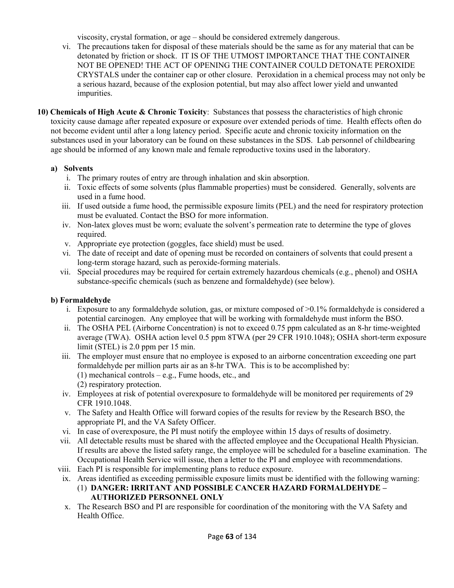viscosity, crystal formation, or age – should be considered extremely dangerous.

- vi. The precautions taken for disposal of these materials should be the same as for any material that can be detonated by friction or shock. IT IS OF THE UTMOST IMPORTANCE THAT THE CONTAINER NOT BE OPENED! THE ACT OF OPENING THE CONTAINER COULD DETONATE PEROXIDE CRYSTALS under the container cap or other closure. Peroxidation in a chemical process may not only be a serious hazard, because of the explosion potential, but may also affect lower yield and unwanted impurities.
- **10) Chemicals of High Acute & Chronic Toxicity**: Substances that possess the characteristics of high chronic toxicity cause damage after repeated exposure or exposure over extended periods of time. Health effects often do not become evident until after a long latency period. Specific acute and chronic toxicity information on the substances used in your laboratory can be found on these substances in the SDS. Lab personnel of childbearing age should be informed of any known male and female reproductive toxins used in the laboratory.

#### **a) Solvents**

- i. The primary routes of entry are through inhalation and skin absorption.
- ii. Toxic effects of some solvents (plus flammable properties) must be considered. Generally, solvents are used in a fume hood.
- iii. If used outside a fume hood, the permissible exposure limits (PEL) and the need for respiratory protection must be evaluated. Contact the BSO for more information.
- iv. Non-latex gloves must be worn; evaluate the solvent's permeation rate to determine the type of gloves required.
- v. Appropriate eye protection (goggles, face shield) must be used.
- vi. The date of receipt and date of opening must be recorded on containers of solvents that could present a long-term storage hazard, such as peroxide-forming materials.
- vii. Special procedures may be required for certain extremely hazardous chemicals (e.g., phenol) and OSHA substance-specific chemicals (such as benzene and formaldehyde) (see below).

# **b) Formaldehyde**

- i. Exposure to any formaldehyde solution, gas, or mixture composed of >0.1% formaldehyde is considered a potential carcinogen. Any employee that will be working with formaldehyde must inform the BSO.
- ii. The OSHA PEL (Airborne Concentration) is not to exceed 0.75 ppm calculated as an 8-hr time-weighted average (TWA). OSHA action level 0.5 ppm 8TWA (per 29 CFR 1910.1048); OSHA short-term exposure limit (STEL) is 2.0 ppm per 15 min.
- iii. The employer must ensure that no employee is exposed to an airborne concentration exceeding one part formaldehyde per million parts air as an 8-hr TWA. This is to be accomplished by: (1) mechanical controls – e.g., Fume hoods, etc., and (2) respiratory protection.
- iv. Employees at risk of potential overexposure to formaldehyde will be monitored per requirements of 29 CFR 1910.1048.
- v. The Safety and Health Office will forward copies of the results for review by the Research BSO, the appropriate PI, and the VA Safety Officer.
- vi. In case of overexposure, the PI must notify the employee within 15 days of results of dosimetry.
- vii. All detectable results must be shared with the affected employee and the Occupational Health Physician. If results are above the listed safety range, the employee will be scheduled for a baseline examination. The Occupational Health Service will issue, then a letter to the PI and employee with recommendations.
- viii. Each PI is responsible for implementing plans to reduce exposure.
- ix. Areas identified as exceeding permissible exposure limits must be identified with the following warning:
	- (1) **DANGER: IRRITANT AND POSSIBLE CANCER HAZARD FORMALDEHYDE AUTHORIZED PERSONNEL ONLY**
- x. The Research BSO and PI are responsible for coordination of the monitoring with the VA Safety and Health Office.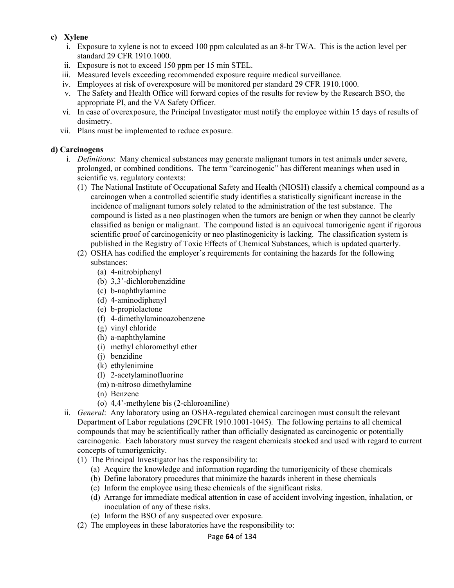#### **c) Xylene**

- i. Exposure to xylene is not to exceed 100 ppm calculated as an 8-hr TWA. This is the action level per standard 29 CFR 1910.1000.
- ii. Exposure is not to exceed 150 ppm per 15 min STEL.
- iii. Measured levels exceeding recommended exposure require medical surveillance.
- iv. Employees at risk of overexposure will be monitored per standard 29 CFR 1910.1000.
- v. The Safety and Health Office will forward copies of the results for review by the Research BSO, the appropriate PI, and the VA Safety Officer.
- vi. In case of overexposure, the Principal Investigator must notify the employee within 15 days of results of dosimetry.
- vii. Plans must be implemented to reduce exposure.

#### **d) Carcinogens**

- i. *Definitions*: Many chemical substances may generate malignant tumors in test animals under severe, prolonged, or combined conditions. The term "carcinogenic" has different meanings when used in scientific vs. regulatory contexts:
	- (1)The National Institute of Occupational Safety and Health (NIOSH) classify a chemical compound as a carcinogen when a controlled scientific study identifies a statistically significant increase in the incidence of malignant tumors solely related to the administration of the test substance. The compound is listed as a neo plastinogen when the tumors are benign or when they cannot be clearly classified as benign or malignant. The compound listed is an equivocal tumorigenic agent if rigorous scientific proof of carcinogenicity or neo plastinogenicity is lacking. The classification system is published in the Registry of Toxic Effects of Chemical Substances, which is updated quarterly.
	- (2)OSHA has codified the employer's requirements for containing the hazards for the following substances:
		- (a)4-nitrobiphenyl
		- (b)3,3'-dichlorobenzidine
		- (c)b-naphthylamine
		- (d)4-aminodiphenyl
		- (e)b-propiolactone
		- (f)4-dimethylaminoazobenzene
		- (g)vinyl chloride
		- (h)a-naphthylamine
		- (i)methyl chloromethyl ether
		- (j)benzidine
		- (k)ethylenimine
		- (l)2-acetylaminofluorine
		- (m) n-nitroso dimethylamine
		- (n)Benzene
		- (o)4,4'-methylene bis (2-chloroaniline)
- ii. *General*: Any laboratory using an OSHA-regulated chemical carcinogen must consult the relevant Department of Labor regulations (29CFR 1910.1001-1045). The following pertains to all chemical compounds that may be scientifically rather than officially designated as carcinogenic or potentially carcinogenic. Each laboratory must survey the reagent chemicals stocked and used with regard to current concepts of tumorigenicity.
	- (1)The Principal Investigator has the responsibility to:
		- (a)Acquire the knowledge and information regarding the tumorigenicity of these chemicals
		- (b)Define laboratory procedures that minimize the hazards inherent in these chemicals
		- (c)Inform the employee using these chemicals of the significant risks.
		- (d)Arrange for immediate medical attention in case of accident involving ingestion, inhalation, or inoculation of any of these risks.
		- (e)Inform the BSO of any suspected over exposure.
	- (2)The employees in these laboratories have the responsibility to: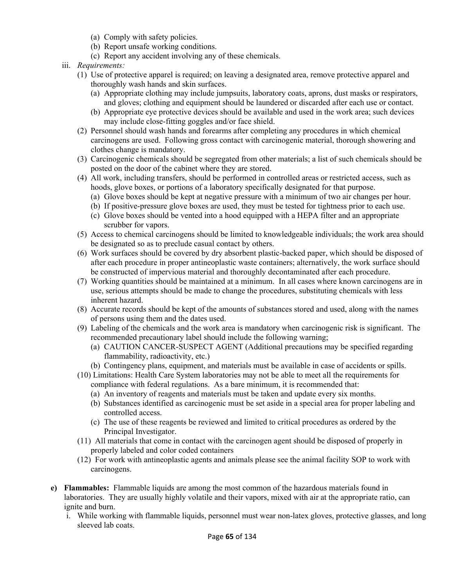- (a)Comply with safety policies.
- (b)Report unsafe working conditions.
- (c)Report any accident involving any of these chemicals.
- iii. *Requirements:* 
	- (1)Use of protective apparel is required; on leaving a designated area, remove protective apparel and thoroughly wash hands and skin surfaces.
		- (a)Appropriate clothing may include jumpsuits, laboratory coats, aprons, dust masks or respirators, and gloves; clothing and equipment should be laundered or discarded after each use or contact.
		- (b)Appropriate eye protective devices should be available and used in the work area; such devices may include close-fitting goggles and/or face shield.
	- (2)Personnel should wash hands and forearms after completing any procedures in which chemical carcinogens are used. Following gross contact with carcinogenic material, thorough showering and clothes change is mandatory.
	- (3)Carcinogenic chemicals should be segregated from other materials; a list of such chemicals should be posted on the door of the cabinet where they are stored.
	- (4)All work, including transfers, should be performed in controlled areas or restricted access, such as hoods, glove boxes, or portions of a laboratory specifically designated for that purpose.
		- (a)Glove boxes should be kept at negative pressure with a minimum of two air changes per hour.
		- (b)If positive-pressure glove boxes are used, they must be tested for tightness prior to each use.
		- (c)Glove boxes should be vented into a hood equipped with a HEPA filter and an appropriate scrubber for vapors.
	- (5)Access to chemical carcinogens should be limited to knowledgeable individuals; the work area should be designated so as to preclude casual contact by others.
	- (6)Work surfaces should be covered by dry absorbent plastic-backed paper, which should be disposed of after each procedure in proper antineoplastic waste containers; alternatively, the work surface should be constructed of impervious material and thoroughly decontaminated after each procedure.
	- (7)Working quantities should be maintained at a minimum. In all cases where known carcinogens are in use, serious attempts should be made to change the procedures, substituting chemicals with less inherent hazard.
	- (8)Accurate records should be kept of the amounts of substances stored and used, along with the names of persons using them and the dates used.
	- (9)Labeling of the chemicals and the work area is mandatory when carcinogenic risk is significant. The recommended precautionary label should include the following warning;
		- (a)CAUTION CANCER-SUSPECT AGENT (Additional precautions may be specified regarding flammability, radioactivity, etc.)
		- (b)Contingency plans, equipment, and materials must be available in case of accidents or spills.
	- (10) Limitations: Health Care System laboratories may not be able to meet all the requirements for compliance with federal regulations. As a bare minimum, it is recommended that:
		- (a)An inventory of reagents and materials must be taken and update every six months.
		- (b)Substances identified as carcinogenic must be set aside in a special area for proper labeling and controlled access.
		- (c)The use of these reagents be reviewed and limited to critical procedures as ordered by the Principal Investigator.
	- (11) All materials that come in contact with the carcinogen agent should be disposed of properly in properly labeled and color coded containers
	- (12) For work with antineoplastic agents and animals please see the animal facility SOP to work with carcinogens.
- **e) Flammables:** Flammable liquids are among the most common of the hazardous materials found in laboratories. They are usually highly volatile and their vapors, mixed with air at the appropriate ratio, can ignite and burn.
	- i. While working with flammable liquids, personnel must wear non-latex gloves, protective glasses, and long sleeved lab coats.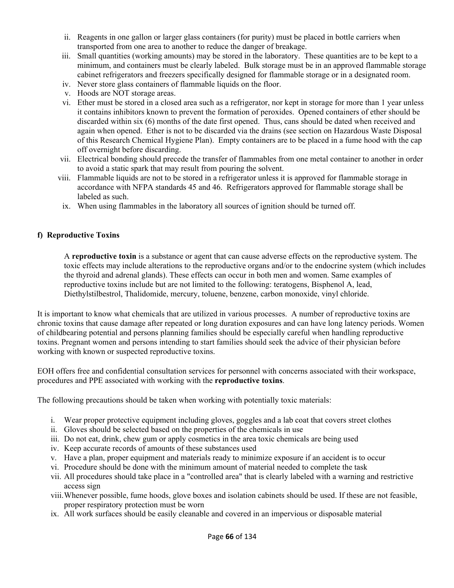- ii. Reagents in one gallon or larger glass containers (for purity) must be placed in bottle carriers when transported from one area to another to reduce the danger of breakage.
- iii. Small quantities (working amounts) may be stored in the laboratory. These quantities are to be kept to a minimum, and containers must be clearly labeled. Bulk storage must be in an approved flammable storage cabinet refrigerators and freezers specifically designed for flammable storage or in a designated room.
- iv. Never store glass containers of flammable liquids on the floor.
- v. Hoods are NOT storage areas.
- vi. Ether must be stored in a closed area such as a refrigerator, nor kept in storage for more than 1 year unless it contains inhibitors known to prevent the formation of peroxides. Opened containers of ether should be discarded within six (6) months of the date first opened. Thus, cans should be dated when received and again when opened. Ether is not to be discarded via the drains (see section on Hazardous Waste Disposal of this Research Chemical Hygiene Plan). Empty containers are to be placed in a fume hood with the cap off overnight before discarding.
- vii. Electrical bonding should precede the transfer of flammables from one metal container to another in order to avoid a static spark that may result from pouring the solvent.
- viii. Flammable liquids are not to be stored in a refrigerator unless it is approved for flammable storage in accordance with NFPA standards 45 and 46. Refrigerators approved for flammable storage shall be labeled as such.
- ix. When using flammables in the laboratory all sources of ignition should be turned off.

#### **f) Reproductive Toxins**

A **reproductive toxin** is a substance or agent that can cause adverse effects on the reproductive system. The toxic effects may include alterations to the reproductive organs and/or to the endocrine system (which includes the thyroid and adrenal glands). These effects can occur in both men and women. Same examples of reproductive toxins include but are not limited to the following: teratogens, Bisphenol A, lead, Diethylstilbestrol, Thalidomide, mercury, toluene, benzene, carbon monoxide, vinyl chloride.

It is important to know what chemicals that are utilized in various processes. A number of reproductive toxins are chronic toxins that cause damage after repeated or long duration exposures and can have long latency periods. Women of childbearing potential and persons planning families should be especially careful when handling reproductive toxins. Pregnant women and persons intending to start families should seek the advice of their physician before working with known or suspected reproductive toxins.

EOH offers free and confidential consultation services for personnel with concerns associated with their workspace, procedures and PPE associated with working with the **reproductive toxins**.

The following precautions should be taken when working with potentially toxic materials:

- i. Wear proper protective equipment including gloves, goggles and a lab coat that covers street clothes
- ii. Gloves should be selected based on the properties of the chemicals in use
- iii. Do not eat, drink, chew gum or apply cosmetics in the area toxic chemicals are being used
- iv. Keep accurate records of amounts of these substances used
- v. Have a plan, proper equipment and materials ready to minimize exposure if an accident is to occur
- vi. Procedure should be done with the minimum amount of material needed to complete the task
- vii. All procedures should take place in a "controlled area" that is clearly labeled with a warning and restrictive access sign
- viii.Whenever possible, fume hoods, glove boxes and isolation cabinets should be used. If these are not feasible, proper respiratory protection must be worn
- ix. All work surfaces should be easily cleanable and covered in an impervious or disposable material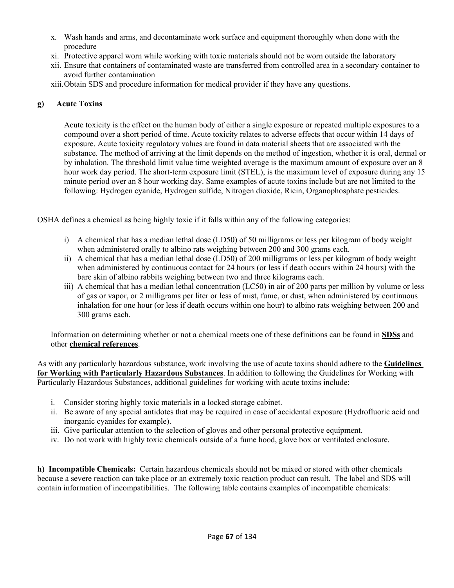- x. Wash hands and arms, and decontaminate work surface and equipment thoroughly when done with the procedure
- xi. Protective apparel worn while working with toxic materials should not be worn outside the laboratory
- xii. Ensure that containers of contaminated waste are transferred from controlled area in a secondary container to avoid further contamination
- xiii.Obtain SDS and procedure information for medical provider if they have any questions.

### **g) Acute Toxins**

Acute toxicity is the effect on the human body of either a single exposure or repeated multiple exposures to a compound over a short period of time. Acute toxicity relates to adverse effects that occur within 14 days of exposure. Acute toxicity regulatory values are found in data material sheets that are associated with the substance. The method of arriving at the limit depends on the method of ingestion, whether it is oral, dermal or by inhalation. The threshold limit value time weighted average is the maximum amount of exposure over an 8 hour work day period. The short-term exposure limit (STEL), is the maximum level of exposure during any 15 minute period over an 8 hour working day. Same examples of acute toxins include but are not limited to the following: Hydrogen cyanide, Hydrogen sulfide, Nitrogen dioxide, Ricin, Organophosphate pesticides.

OSHA defines a chemical as being highly toxic if it falls within any of the following categories:

- i) A chemical that has a median lethal dose (LD50) of 50 milligrams or less per kilogram of body weight when administered orally to albino rats weighing between 200 and 300 grams each.
- ii) A chemical that has a median lethal dose (LD50) of 200 milligrams or less per kilogram of body weight when administered by continuous contact for 24 hours (or less if death occurs within 24 hours) with the bare skin of albino rabbits weighing between two and three kilograms each.
- iii) A chemical that has a median lethal concentration (LC50) in air of 200 parts per million by volume or less of gas or vapor, or 2 milligrams per liter or less of mist, fume, or dust, when administered by continuous inhalation for one hour (or less if death occurs within one hour) to albino rats weighing between 200 and 300 grams each.

Information on determining whether or not a chemical meets one of these definitions can be found in **SDSs** and other **chemical references**.

As with any particularly hazardous substance, work involving the use of acute toxins should adhere to the **Guidelines for Working with Particularly Hazardous Substances**. In addition to following the Guidelines for Working with Particularly Hazardous Substances, additional guidelines for working with acute toxins include:

- i. Consider storing highly toxic materials in a locked storage cabinet.
- ii. Be aware of any special antidotes that may be required in case of accidental exposure (Hydrofluoric acid and inorganic cyanides for example).
- iii. Give particular attention to the selection of gloves and other personal protective equipment.
- iv. Do not work with highly toxic chemicals outside of a fume hood, glove box or ventilated enclosure.

**h) Incompatible Chemicals:** Certain hazardous chemicals should not be mixed or stored with other chemicals because a severe reaction can take place or an extremely toxic reaction product can result. The label and SDS will contain information of incompatibilities. The following table contains examples of incompatible chemicals: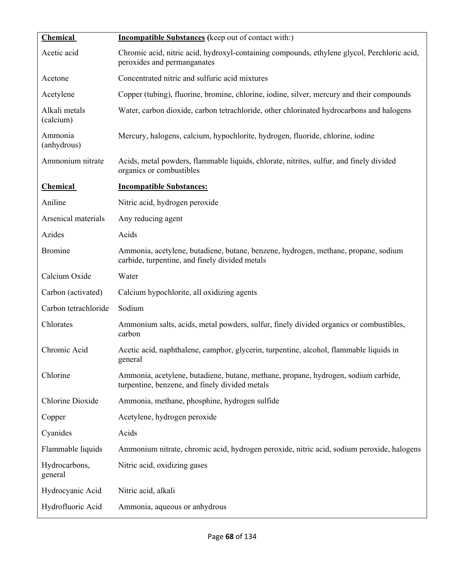| Chemical                   | <b>Incompatible Substances</b> (keep out of contact with:)                                                                           |
|----------------------------|--------------------------------------------------------------------------------------------------------------------------------------|
| Acetic acid                | Chromic acid, nitric acid, hydroxyl-containing compounds, ethylene glycol, Perchloric acid,<br>peroxides and permanganates           |
| Acetone                    | Concentrated nitric and sulfuric acid mixtures                                                                                       |
| Acetylene                  | Copper (tubing), fluorine, bromine, chlorine, iodine, silver, mercury and their compounds                                            |
| Alkali metals<br>(calcium) | Water, carbon dioxide, carbon tetrachloride, other chlorinated hydrocarbons and halogens                                             |
| Ammonia<br>(anhydrous)     | Mercury, halogens, calcium, hypochlorite, hydrogen, fluoride, chlorine, iodine                                                       |
| Ammonium nitrate           | Acids, metal powders, flammable liquids, chlorate, nitrites, sulfur, and finely divided<br>organics or combustibles                  |
| <b>Chemical</b>            | <b>Incompatible Substances:</b>                                                                                                      |
| Aniline                    | Nitric acid, hydrogen peroxide                                                                                                       |
| Arsenical materials        | Any reducing agent                                                                                                                   |
| Azides                     | Acids                                                                                                                                |
| <b>Bromine</b>             | Ammonia, acetylene, butadiene, butane, benzene, hydrogen, methane, propane, sodium<br>carbide, turpentine, and finely divided metals |
| Calcium Oxide              | Water                                                                                                                                |
| Carbon (activated)         | Calcium hypochlorite, all oxidizing agents                                                                                           |
| Carbon tetrachloride       | Sodium                                                                                                                               |
| Chlorates                  | Ammonium salts, acids, metal powders, sulfur, finely divided organics or combustibles,<br>carbon                                     |
| Chromic Acid               | Acetic acid, naphthalene, camphor, glycerin, turpentine, alcohol, flammable liquids in<br>general                                    |
| Chlorine                   | Ammonia, acetylene, butadiene, butane, methane, propane, hydrogen, sodium carbide,<br>turpentine, benzene, and finely divided metals |
| Chlorine Dioxide           | Ammonia, methane, phosphine, hydrogen sulfide                                                                                        |
| Copper                     | Acetylene, hydrogen peroxide                                                                                                         |
| Cyanides                   | Acids                                                                                                                                |
| Flammable liquids          | Ammonium nitrate, chromic acid, hydrogen peroxide, nitric acid, sodium peroxide, halogens                                            |
| Hydrocarbons,<br>general   | Nitric acid, oxidizing gases                                                                                                         |
| Hydrocyanic Acid           | Nitric acid, alkali                                                                                                                  |
| Hydrofluoric Acid          | Ammonia, aqueous or anhydrous                                                                                                        |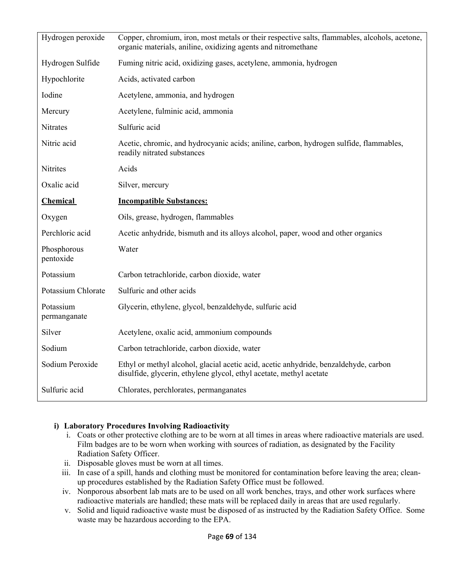| Hydrogen peroxide         | Copper, chromium, iron, most metals or their respective salts, flammables, alcohols, acetone,<br>organic materials, aniline, oxidizing agents and nitromethane |
|---------------------------|----------------------------------------------------------------------------------------------------------------------------------------------------------------|
| Hydrogen Sulfide          | Fuming nitric acid, oxidizing gases, acetylene, ammonia, hydrogen                                                                                              |
| Hypochlorite              | Acids, activated carbon                                                                                                                                        |
| Iodine                    | Acetylene, ammonia, and hydrogen                                                                                                                               |
| Mercury                   | Acetylene, fulminic acid, ammonia                                                                                                                              |
| Nitrates                  | Sulfuric acid                                                                                                                                                  |
| Nitric acid               | Acetic, chromic, and hydrocyanic acids; aniline, carbon, hydrogen sulfide, flammables,<br>readily nitrated substances                                          |
| Nitrites                  | Acids                                                                                                                                                          |
| Oxalic acid               | Silver, mercury                                                                                                                                                |
| <b>Chemical</b>           | <b>Incompatible Substances:</b>                                                                                                                                |
| Oxygen                    | Oils, grease, hydrogen, flammables                                                                                                                             |
| Perchloric acid           | Acetic anhydride, bismuth and its alloys alcohol, paper, wood and other organics                                                                               |
| Phosphorous<br>pentoxide  | Water                                                                                                                                                          |
| Potassium                 | Carbon tetrachloride, carbon dioxide, water                                                                                                                    |
| Potassium Chlorate        | Sulfuric and other acids                                                                                                                                       |
| Potassium<br>permanganate | Glycerin, ethylene, glycol, benzaldehyde, sulfuric acid                                                                                                        |
| Silver                    | Acetylene, oxalic acid, ammonium compounds                                                                                                                     |
| Sodium                    | Carbon tetrachloride, carbon dioxide, water                                                                                                                    |
| Sodium Peroxide           | Ethyl or methyl alcohol, glacial acetic acid, acetic anhydride, benzaldehyde, carbon<br>disulfide, glycerin, ethylene glycol, ethyl acetate, methyl acetate    |
| Sulfuric acid             | Chlorates, perchlorates, permanganates                                                                                                                         |

#### **i) Laboratory Procedures Involving Radioactivity**

- i. Coats or other protective clothing are to be worn at all times in areas where radioactive materials are used. Film badges are to be worn when working with sources of radiation, as designated by the Facility Radiation Safety Officer.
- ii. Disposable gloves must be worn at all times.
- iii. In case of a spill, hands and clothing must be monitored for contamination before leaving the area; cleanup procedures established by the Radiation Safety Office must be followed.
- iv. Nonporous absorbent lab mats are to be used on all work benches, trays, and other work surfaces where radioactive materials are handled; these mats will be replaced daily in areas that are used regularly.
- v. Solid and liquid radioactive waste must be disposed of as instructed by the Radiation Safety Office. Some waste may be hazardous according to the EPA.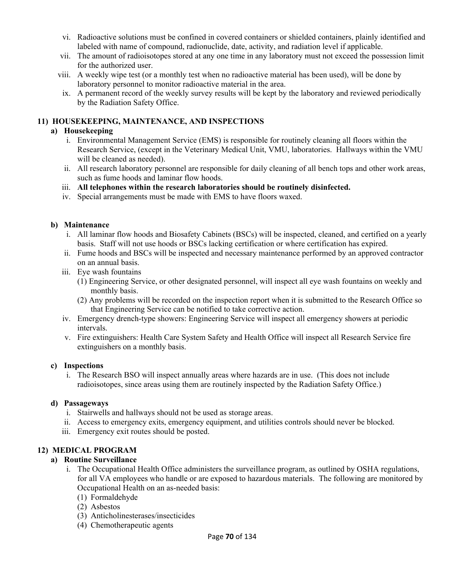- vi. Radioactive solutions must be confined in covered containers or shielded containers, plainly identified and labeled with name of compound, radionuclide, date, activity, and radiation level if applicable.
- vii. The amount of radioisotopes stored at any one time in any laboratory must not exceed the possession limit for the authorized user.
- viii. A weekly wipe test (or a monthly test when no radioactive material has been used), will be done by laboratory personnel to monitor radioactive material in the area.
- ix. A permanent record of the weekly survey results will be kept by the laboratory and reviewed periodically by the Radiation Safety Office.

#### **11) HOUSEKEEPING, MAINTENANCE, AND INSPECTIONS**

#### **a) Housekeeping**

- i. Environmental Management Service (EMS) is responsible for routinely cleaning all floors within the Research Service, (except in the Veterinary Medical Unit, VMU, laboratories. Hallways within the VMU will be cleaned as needed).
- ii. All research laboratory personnel are responsible for daily cleaning of all bench tops and other work areas, such as fume hoods and laminar flow hoods.

#### iii. **All telephones within the research laboratories should be routinely disinfected.**

iv. Special arrangements must be made with EMS to have floors waxed.

#### **b) Maintenance**

- i. All laminar flow hoods and Biosafety Cabinets (BSCs) will be inspected, cleaned, and certified on a yearly basis. Staff will not use hoods or BSCs lacking certification or where certification has expired.
- ii. Fume hoods and BSCs will be inspected and necessary maintenance performed by an approved contractor on an annual basis.
- iii. Eye wash fountains
	- (1) Engineering Service, or other designated personnel, will inspect all eye wash fountains on weekly and monthly basis.
	- (2) Any problems will be recorded on the inspection report when it is submitted to the Research Office so that Engineering Service can be notified to take corrective action.
- iv. Emergency drench-type showers: Engineering Service will inspect all emergency showers at periodic intervals.
- v. Fire extinguishers: Health Care System Safety and Health Office will inspect all Research Service fire extinguishers on a monthly basis.

#### **c) Inspections**

i. The Research BSO will inspect annually areas where hazards are in use. (This does not include radioisotopes, since areas using them are routinely inspected by the Radiation Safety Office.)

#### **d) Passageways**

- i. Stairwells and hallways should not be used as storage areas.
- ii. Access to emergency exits, emergency equipment, and utilities controls should never be blocked.
- iii. Emergency exit routes should be posted.

#### **12) MEDICAL PROGRAM**

#### **a) Routine Surveillance**

- i. The Occupational Health Office administers the surveillance program, as outlined by OSHA regulations, for all VA employees who handle or are exposed to hazardous materials. The following are monitored by Occupational Health on an as-needed basis:
	- (1)Formaldehyde
	- (2)Asbestos
	- (3)Anticholinesterases/insecticides
	- (4)Chemotherapeutic agents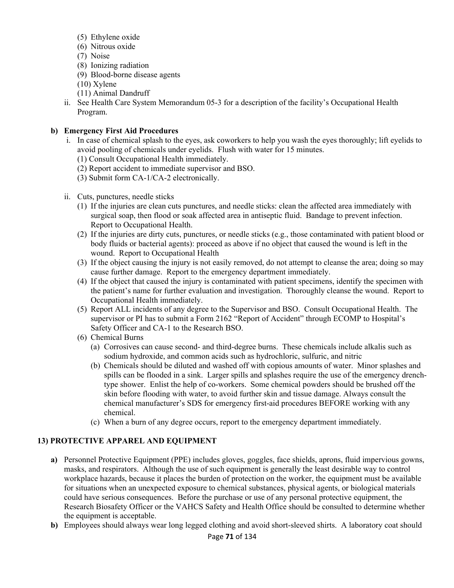- (5)Ethylene oxide
- (6)Nitrous oxide
- (7)Noise
- (8)Ionizing radiation
- (9)Blood-borne disease agents
- (10) Xylene
- (11) Animal Dandruff
- ii. See Health Care System Memorandum 05-3 for a description of the facility's Occupational Health Program.

# **b) Emergency First Aid Procedures**

- i. In case of chemical splash to the eyes, ask coworkers to help you wash the eyes thoroughly; lift eyelids to avoid pooling of chemicals under eyelids. Flush with water for 15 minutes.
	- (1) Consult Occupational Health immediately.
	- (2) Report accident to immediate supervisor and BSO.
	- (3) Submit form CA-1/CA-2 electronically.
- ii. Cuts, punctures, needle sticks
	- (1)If the injuries are clean cuts punctures, and needle sticks: clean the affected area immediately with surgical soap, then flood or soak affected area in antiseptic fluid. Bandage to prevent infection. Report to Occupational Health.
	- (2)If the injuries are dirty cuts, punctures, or needle sticks (e.g., those contaminated with patient blood or body fluids or bacterial agents): proceed as above if no object that caused the wound is left in the wound. Report to Occupational Health
	- (3)If the object causing the injury is not easily removed, do not attempt to cleanse the area; doing so may cause further damage. Report to the emergency department immediately.
	- (4)If the object that caused the injury is contaminated with patient specimens, identify the specimen with the patient's name for further evaluation and investigation. Thoroughly cleanse the wound. Report to Occupational Health immediately.
	- (5)Report ALL incidents of any degree to the Supervisor and BSO. Consult Occupational Health. The supervisor or PI has to submit a Form 2162 "Report of Accident" through ECOMP to Hospital's Safety Officer and CA-1 to the Research BSO.
	- (6)Chemical Burns
		- (a)Corrosives can cause second- and third-degree burns. These chemicals include alkalis such as sodium hydroxide, and common acids such as hydrochloric, sulfuric, and nitric
		- (b)Chemicals should be diluted and washed off with copious amounts of water. Minor splashes and spills can be flooded in a sink. Larger spills and splashes require the use of the emergency drenchtype shower. Enlist the help of co-workers. Some chemical powders should be brushed off the skin before flooding with water, to avoid further skin and tissue damage. Always consult the chemical manufacturer's SDS for emergency first-aid procedures BEFORE working with any chemical.
		- (c)When a burn of any degree occurs, report to the emergency department immediately.

# **13) PROTECTIVE APPAREL AND EQUIPMENT**

- **a)** Personnel Protective Equipment (PPE) includes gloves, goggles, face shields, aprons, fluid impervious gowns, masks, and respirators. Although the use of such equipment is generally the least desirable way to control workplace hazards, because it places the burden of protection on the worker, the equipment must be available for situations when an unexpected exposure to chemical substances, physical agents, or biological materials could have serious consequences. Before the purchase or use of any personal protective equipment, the Research Biosafety Officer or the VAHCS Safety and Health Office should be consulted to determine whether the equipment is acceptable.
- **b)** Employees should always wear long legged clothing and avoid short-sleeved shirts. A laboratory coat should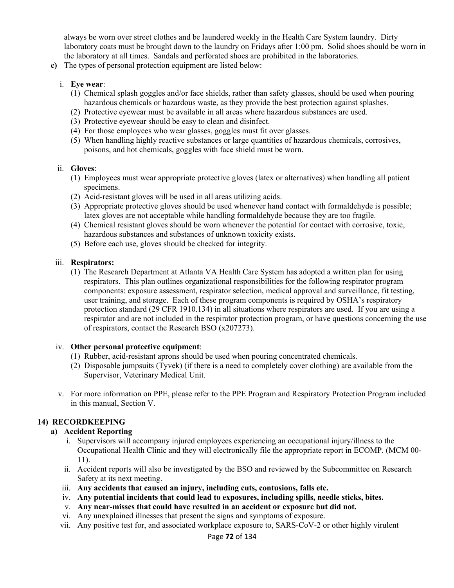always be worn over street clothes and be laundered weekly in the Health Care System laundry. Dirty laboratory coats must be brought down to the laundry on Fridays after 1:00 pm. Solid shoes should be worn in the laboratory at all times. Sandals and perforated shoes are prohibited in the laboratories.

**c)** The types of personal protection equipment are listed below:

#### i. **Eye wear**:

- (1)Chemical splash goggles and/or face shields, rather than safety glasses, should be used when pouring hazardous chemicals or hazardous waste, as they provide the best protection against splashes.
- (2)Protective eyewear must be available in all areas where hazardous substances are used.
- (3)Protective eyewear should be easy to clean and disinfect.
- (4)For those employees who wear glasses, goggles must fit over glasses.
- (5)When handling highly reactive substances or large quantities of hazardous chemicals, corrosives, poisons, and hot chemicals, goggles with face shield must be worn.

#### ii. **Gloves**:

- (1)Employees must wear appropriate protective gloves (latex or alternatives) when handling all patient specimens.
- (2)Acid-resistant gloves will be used in all areas utilizing acids.
- (3)Appropriate protective gloves should be used whenever hand contact with formaldehyde is possible; latex gloves are not acceptable while handling formaldehyde because they are too fragile.
- (4)Chemical resistant gloves should be worn whenever the potential for contact with corrosive, toxic, hazardous substances and substances of unknown toxicity exists.
- (5)Before each use, gloves should be checked for integrity.

#### iii. **Respirators:**

(1) The Research Department at Atlanta VA Health Care System has adopted a written plan for using respirators. This plan outlines organizational responsibilities for the following respirator program components: exposure assessment, respirator selection, medical approval and surveillance, fit testing, user training, and storage. Each of these program components is required by OSHA's respiratory protection standard (29 CFR 1910.134) in all situations where respirators are used. If you are using a respirator and are not included in the respirator protection program, or have questions concerning the use of respirators, contact the Research BSO (x207273).

#### iv. **Other personal protective equipment**:

- (1)Rubber, acid-resistant aprons should be used when pouring concentrated chemicals.
- (2)Disposable jumpsuits (Tyvek) (if there is a need to completely cover clothing) are available from the Supervisor, Veterinary Medical Unit.
- v. For more information on PPE, please refer to the PPE Program and Respiratory Protection Program included in this manual, Section V.

## **14) RECORDKEEPING**

## **a) Accident Reporting**

- i. Supervisors will accompany injured employees experiencing an occupational injury/illness to the Occupational Health Clinic and they will electronically file the appropriate report in ECOMP. (MCM 00- 11).
- ii. Accident reports will also be investigated by the BSO and reviewed by the Subcommittee on Research Safety at its next meeting.
- iii. **Any accidents that caused an injury, including cuts, contusions, falls etc.**
- iv. **Any potential incidents that could lead to exposures, including spills, needle sticks, bites.**
- v. **Any near-misses that could have resulted in an accident or exposure but did not.**
- vi. Any unexplained illnesses that present the signs and symptoms of exposure.
- vii. Any positive test for, and associated workplace exposure to, SARS-CoV-2 or other highly virulent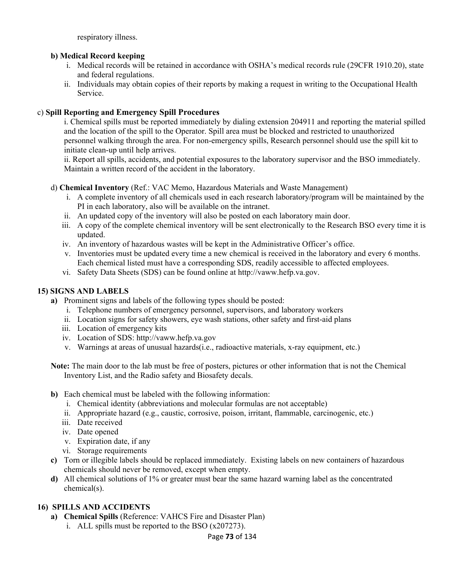respiratory illness.

# **b) Medical Record keeping**

- i. Medical records will be retained in accordance with OSHA's medical records rule (29CFR 1910.20), state and federal regulations.
- ii. Individuals may obtain copies of their reports by making a request in writing to the Occupational Health Service.

# c) **Spill Reporting and Emergency Spill Procedures**

i. Chemical spills must be reported immediately by dialing extension 204911 and reporting the material spilled and the location of the spill to the Operator. Spill area must be blocked and restricted to unauthorized personnel walking through the area. For non-emergency spills, Research personnel should use the spill kit to initiate clean-up until help arrives.

ii. Report all spills, accidents, and potential exposures to the laboratory supervisor and the BSO immediately. Maintain a written record of the accident in the laboratory.

# d) **Chemical Inventory** (Ref.: VAC Memo, Hazardous Materials and Waste Management)

- i. A complete inventory of all chemicals used in each research laboratory/program will be maintained by the PI in each laboratory, also will be available on the intranet.
- ii. An updated copy of the inventory will also be posted on each laboratory main door.
- iii. A copy of the complete chemical inventory will be sent electronically to the Research BSO every time it is updated.
- iv. An inventory of hazardous wastes will be kept in the Administrative Officer's office.
- v. Inventories must be updated every time a new chemical is received in the laboratory and every 6 months. Each chemical listed must have a corresponding SDS, readily accessible to affected employees.
- vi. Safety Data Sheets (SDS) can be found online at http://vaww.hefp.va.gov.

# **15) SIGNS AND LABELS**

- **a)** Prominent signs and labels of the following types should be posted:
	- i. Telephone numbers of emergency personnel, supervisors, and laboratory workers
	- ii. Location signs for safety showers, eye wash stations, other safety and first-aid plans
	- iii. Location of emergency kits
	- iv. Location of SDS: http://vaww.hefp.va.gov
	- v. Warnings at areas of unusual hazards(i.e., radioactive materials, x-ray equipment, etc.)

**Note:** The main door to the lab must be free of posters, pictures or other information that is not the Chemical Inventory List, and the Radio safety and Biosafety decals.

- **b)** Each chemical must be labeled with the following information:
	- i. Chemical identity (abbreviations and molecular formulas are not acceptable)
	- ii. Appropriate hazard (e.g., caustic, corrosive, poison, irritant, flammable, carcinogenic, etc.)
	- iii. Date received
	- iv. Date opened
	- v. Expiration date, if any
	- vi. Storage requirements
- **c)** Torn or illegible labels should be replaced immediately. Existing labels on new containers of hazardous chemicals should never be removed, except when empty.
- **d)** All chemical solutions of 1% or greater must bear the same hazard warning label as the concentrated chemical(s).

## **16) SPILLS AND ACCIDENTS**

- **a) Chemical Spills** (Reference: VAHCS Fire and Disaster Plan)
	- i. ALL spills must be reported to the BSO (x207273).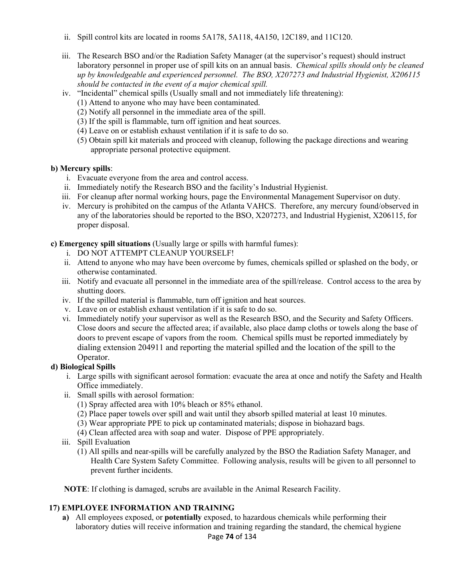- ii. Spill control kits are located in rooms 5A178, 5A118, 4A150, 12C189, and 11C120.
- iii. The Research BSO and/or the Radiation Safety Manager (at the supervisor's request) should instruct laboratory personnel in proper use of spill kits on an annual basis. *Chemical spills should only be cleaned up by knowledgeable and experienced personnel. The BSO, X207273 and Industrial Hygienist, X206115 should be contacted in the event of a major chemical spill.*
- iv. "Incidental" chemical spills (Usually small and not immediately life threatening):
	- (1) Attend to anyone who may have been contaminated.
	- (2) Notify all personnel in the immediate area of the spill.
	- (3) If the spill is flammable, turn off ignition and heat sources.
	- (4) Leave on or establish exhaust ventilation if it is safe to do so.
	- (5) Obtain spill kit materials and proceed with cleanup, following the package directions and wearing appropriate personal protective equipment.

## **b) Mercury spills**:

- i. Evacuate everyone from the area and control access.
- ii. Immediately notify the Research BSO and the facility's Industrial Hygienist.
- iii. For cleanup after normal working hours, page the Environmental Management Supervisor on duty.
- iv. Mercury is prohibited on the campus of the Atlanta VAHCS. Therefore, any mercury found/observed in any of the laboratories should be reported to the BSO, X207273, and Industrial Hygienist, X206115, for proper disposal.

**c) Emergency spill situations** (Usually large or spills with harmful fumes):

- i. DO NOT ATTEMPT CLEANUP YOURSELF!
- ii. Attend to anyone who may have been overcome by fumes, chemicals spilled or splashed on the body, or otherwise contaminated.
- iii. Notify and evacuate all personnel in the immediate area of the spill/release. Control access to the area by shutting doors.
- iv. If the spilled material is flammable, turn off ignition and heat sources.
- v. Leave on or establish exhaust ventilation if it is safe to do so.
- vi. Immediately notify your supervisor as well as the Research BSO, and the Security and Safety Officers. Close doors and secure the affected area; if available, also place damp cloths or towels along the base of doors to prevent escape of vapors from the room. Chemical spills must be reported immediately by dialing extension 204911 and reporting the material spilled and the location of the spill to the Operator.

# **d) Biological Spills**

- i. Large spills with significant aerosol formation: evacuate the area at once and notify the Safety and Health Office immediately.
- ii. Small spills with aerosol formation:
	- (1) Spray affected area with 10% bleach or 85% ethanol.
	- (2) Place paper towels over spill and wait until they absorb spilled material at least 10 minutes.
	- (3) Wear appropriate PPE to pick up contaminated materials; dispose in biohazard bags.
	- (4) Clean affected area with soap and water. Dispose of PPE appropriately.
- iii. Spill Evaluation
	- (1) All spills and near-spills will be carefully analyzed by the BSO the Radiation Safety Manager, and Health Care System Safety Committee. Following analysis, results will be given to all personnel to prevent further incidents.

**NOTE**: If clothing is damaged, scrubs are available in the Animal Research Facility.

# **17) EMPLOYEE INFORMATION AND TRAINING**

**a)** All employees exposed, or **potentially** exposed, to hazardous chemicals while performing their laboratory duties will receive information and training regarding the standard, the chemical hygiene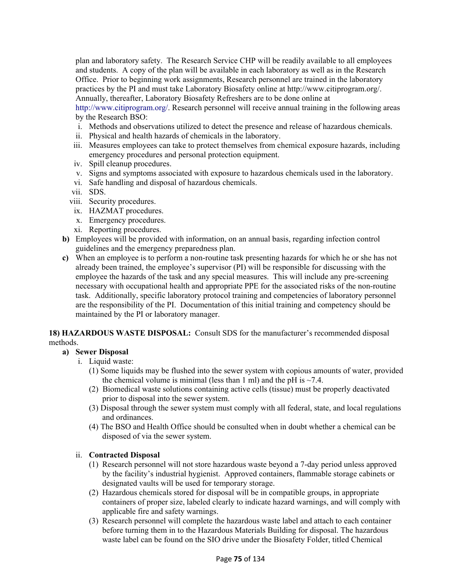plan and laboratory safety. The Research Service CHP will be readily available to all employees and students. A copy of the plan will be available in each laboratory as well as in the Research Office. Prior to beginning work assignments, Research personnel are trained in the laboratory practices by the PI and must take Laboratory Biosafety online at http://www.citiprogram.org/. Annually, thereafter, Laboratory Biosafety Refreshers are to be done online at

http://www.citiprogram.org/. Research personnel will receive annual training in the following areas by the Research BSO:

- i. Methods and observations utilized to detect the presence and release of hazardous chemicals.
- ii. Physical and health hazards of chemicals in the laboratory.
- iii. Measures employees can take to protect themselves from chemical exposure hazards, including emergency procedures and personal protection equipment.
- iv. Spill cleanup procedures.
- v. Signs and symptoms associated with exposure to hazardous chemicals used in the laboratory.
- vi. Safe handling and disposal of hazardous chemicals.
- vii. SDS.
- viii. Security procedures.
- ix. HAZMAT procedures.
- x. Emergency procedures.
- xi. Reporting procedures.
- **b)** Employees will be provided with information, on an annual basis, regarding infection control guidelines and the emergency preparedness plan.
- **c)** When an employee is to perform a non-routine task presenting hazards for which he or she has not already been trained, the employee's supervisor (PI) will be responsible for discussing with the employee the hazards of the task and any special measures. This will include any pre-screening necessary with occupational health and appropriate PPE for the associated risks of the non-routine task. Additionally, specific laboratory protocol training and competencies of laboratory personnel are the responsibility of the PI. Documentation of this initial training and competency should be maintained by the PI or laboratory manager.

**18) HAZARDOUS WASTE DISPOSAL:** Consult SDS for the manufacturer's recommended disposal methods.

## **a) Sewer Disposal**

- i. Liquid waste:
	- (1) Some liquids may be flushed into the sewer system with copious amounts of water, provided the chemical volume is minimal (less than 1 ml) and the pH is  $\sim$ 7.4.
	- (2) Biomedical waste solutions containing active cells (tissue) must be properly deactivated prior to disposal into the sewer system.
	- (3) Disposal through the sewer system must comply with all federal, state, and local regulations and ordinances.
	- (4) The BSO and Health Office should be consulted when in doubt whether a chemical can be disposed of via the sewer system.

## ii. **Contracted Disposal**

- (1)Research personnel will not store hazardous waste beyond a 7-day period unless approved by the facility's industrial hygienist. Approved containers, flammable storage cabinets or designated vaults will be used for temporary storage.
- (2)Hazardous chemicals stored for disposal will be in compatible groups, in appropriate containers of proper size, labeled clearly to indicate hazard warnings, and will comply with applicable fire and safety warnings.
- (3)Research personnel will complete the hazardous waste label and attach to each container before turning them in to the Hazardous Materials Building for disposal. The hazardous waste label can be found on the SIO drive under the Biosafety Folder, titled Chemical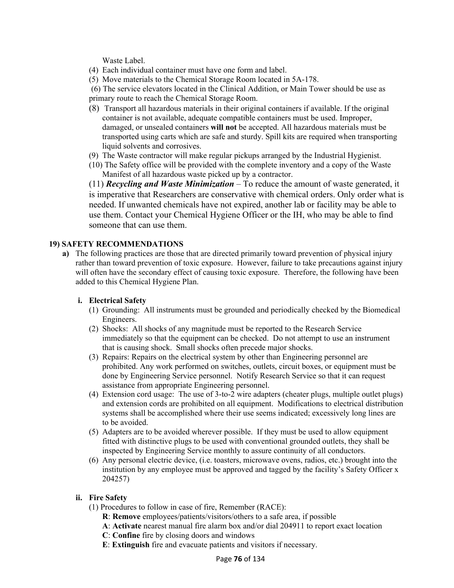Waste Label.

- (4)Each individual container must have one form and label.
- (5)Move materials to the Chemical Storage Room located in 5A-178.
- (6) The service elevators located in the Clinical Addition, or Main Tower should be use as primary route to reach the Chemical Storage Room.
- (8)Transport all hazardous materials in their original containers if available. If the original container is not available, adequate compatible containers must be used. Improper, damaged, or unsealed containers **will not** be accepted. All hazardous materials must be transported using carts which are safe and sturdy. Spill kits are required when transporting liquid solvents and corrosives.
- (9)The Waste contractor will make regular pickups arranged by the Industrial Hygienist.
- (10) The Safety office will be provided with the complete inventory and a copy of the Waste Manifest of all hazardous waste picked up by a contractor.

(11) *Recycling and Waste Minimization* – To reduce the amount of waste generated, it is imperative that Researchers are conservative with chemical orders. Only order what is needed. If unwanted chemicals have not expired, another lab or facility may be able to use them. Contact your Chemical Hygiene Officer or the IH, who may be able to find someone that can use them.

#### **19) SAFETY RECOMMENDATIONS**

**a)** The following practices are those that are directed primarily toward prevention of physical injury rather than toward prevention of toxic exposure. However, failure to take precautions against injury will often have the secondary effect of causing toxic exposure. Therefore, the following have been added to this Chemical Hygiene Plan.

#### **i. Electrical Safety**

- (1)Grounding: All instruments must be grounded and periodically checked by the Biomedical Engineers.
- (2)Shocks: All shocks of any magnitude must be reported to the Research Service immediately so that the equipment can be checked. Do not attempt to use an instrument that is causing shock. Small shocks often precede major shocks.
- (3)Repairs: Repairs on the electrical system by other than Engineering personnel are prohibited. Any work performed on switches, outlets, circuit boxes, or equipment must be done by Engineering Service personnel. Notify Research Service so that it can request assistance from appropriate Engineering personnel.
- (4)Extension cord usage: The use of 3-to-2 wire adapters (cheater plugs, multiple outlet plugs) and extension cords are prohibited on all equipment. Modifications to electrical distribution systems shall be accomplished where their use seems indicated; excessively long lines are to be avoided.
- (5)Adapters are to be avoided wherever possible. If they must be used to allow equipment fitted with distinctive plugs to be used with conventional grounded outlets, they shall be inspected by Engineering Service monthly to assure continuity of all conductors.
- (6)Any personal electric device, (i.e. toasters, microwave ovens, radios, etc.) brought into the institution by any employee must be approved and tagged by the facility's Safety Officer x 204257)

#### **ii. Fire Safety**

- (1) Procedures to follow in case of fire, Remember (RACE):
	- **R**: **Remove** employees/patients/visitors/others to a safe area, if possible
	- **A**: **Activate** nearest manual fire alarm box and/or dial 204911 to report exact location
	- **C**: **Confine** fire by closing doors and windows
	- **E**: **Extinguish** fire and evacuate patients and visitors if necessary.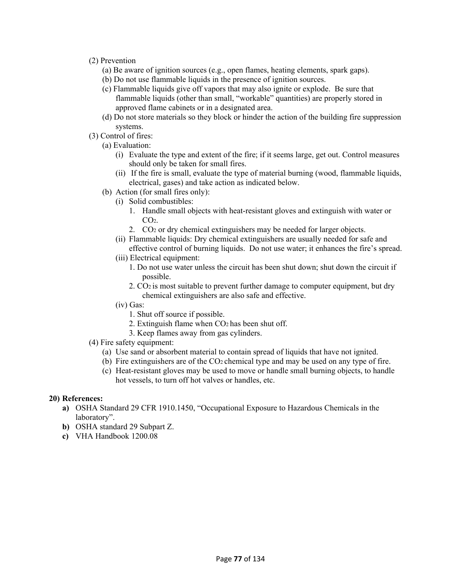- (2) Prevention
	- (a) Be aware of ignition sources (e.g., open flames, heating elements, spark gaps).
	- (b) Do not use flammable liquids in the presence of ignition sources.
	- (c) Flammable liquids give off vapors that may also ignite or explode. Be sure that flammable liquids (other than small, "workable" quantities) are properly stored in approved flame cabinets or in a designated area.
	- (d) Do not store materials so they block or hinder the action of the building fire suppression systems.
- (3) Control of fires:
	- (a) Evaluation:
		- (i)Evaluate the type and extent of the fire; if it seems large, get out. Control measures should only be taken for small fires.
		- (ii) If the fire is small, evaluate the type of material burning (wood, flammable liquids, electrical, gases) and take action as indicated below.
	- (b)Action (for small fires only):
		- (i)Solid combustibles:
			- 1.Handle small objects with heat-resistant gloves and extinguish with water or  $CO<sub>2</sub>$ .
			- 2.CO2 or dry chemical extinguishers may be needed for larger objects.
		- (ii)Flammable liquids: Dry chemical extinguishers are usually needed for safe and effective control of burning liquids. Do not use water; it enhances the fire's spread.
		- (iii) Electrical equipment:
			- 1. Do not use water unless the circuit has been shut down; shut down the circuit if possible.
			- 2. CO2 is most suitable to prevent further damage to computer equipment, but dry chemical extinguishers are also safe and effective.
		- (iv) Gas:
			- 1. Shut off source if possible.
			- 2. Extinguish flame when CO2 has been shut off.
			- 3. Keep flames away from gas cylinders.
- (4) Fire safety equipment:
	- (a)Use sand or absorbent material to contain spread of liquids that have not ignited.
	- (b)Fire extinguishers are of the CO2 chemical type and may be used on any type of fire.
	- (c) Heat-resistant gloves may be used to move or handle small burning objects, to handle hot vessels, to turn off hot valves or handles, etc.

#### **20) References:**

- **a)** OSHA Standard 29 CFR 1910.1450, "Occupational Exposure to Hazardous Chemicals in the laboratory".
- **b)** OSHA standard 29 Subpart Z.
- **c)** VHA Handbook 1200.08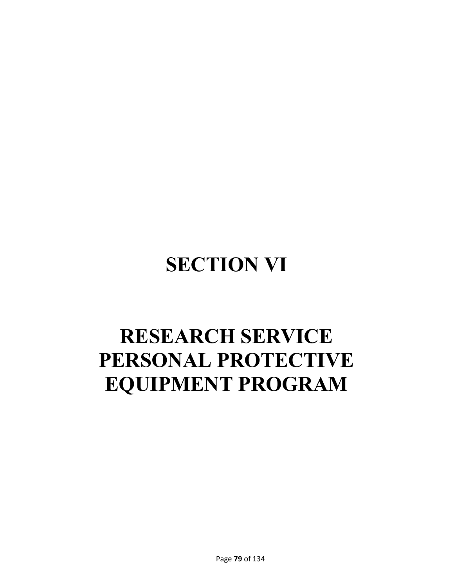# **SECTION VI**

# **RESEARCH SERVICE PERSONAL PROTECTIVE EQUIPMENT PROGRAM**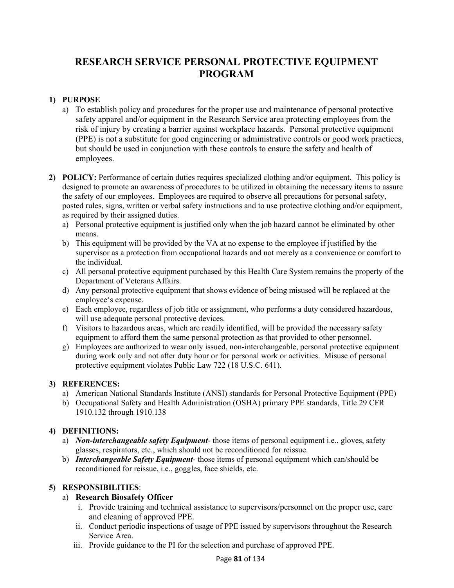# **RESEARCH SERVICE PERSONAL PROTECTIVE EQUIPMENT PROGRAM**

# **1) PURPOSE**

- a)To establish policy and procedures for the proper use and maintenance of personal protective safety apparel and/or equipment in the Research Service area protecting employees from the risk of injury by creating a barrier against workplace hazards. Personal protective equipment (PPE) is not a substitute for good engineering or administrative controls or good work practices, but should be used in conjunction with these controls to ensure the safety and health of employees.
- **2) POLICY:** Performance of certain duties requires specialized clothing and/or equipment. This policy is designed to promote an awareness of procedures to be utilized in obtaining the necessary items to assure the safety of our employees. Employees are required to observe all precautions for personal safety, posted rules, signs, written or verbal safety instructions and to use protective clothing and/or equipment, as required by their assigned duties.
	- a)Personal protective equipment is justified only when the job hazard cannot be eliminated by other means.
	- b)This equipment will be provided by the VA at no expense to the employee if justified by the supervisor as a protection from occupational hazards and not merely as a convenience or comfort to the individual.
	- c)All personal protective equipment purchased by this Health Care System remains the property of the Department of Veterans Affairs.
	- d)Any personal protective equipment that shows evidence of being misused will be replaced at the employee's expense.
	- e)Each employee, regardless of job title or assignment, who performs a duty considered hazardous, will use adequate personal protective devices.
	- f)Visitors to hazardous areas, which are readily identified, will be provided the necessary safety equipment to afford them the same personal protection as that provided to other personnel.
	- g)Employees are authorized to wear only issued, non-interchangeable, personal protective equipment during work only and not after duty hour or for personal work or activities. Misuse of personal protective equipment violates Public Law 722 (18 U.S.C. 641).

## **3) REFERENCES:**

- a)American National Standards Institute (ANSI) standards for Personal Protective Equipment (PPE)
- b)Occupational Safety and Health Administration (OSHA) primary PPE standards, Title 29 CFR 1910.132 through 1910.138

# **4) DEFINITIONS:**

- a)*Non-interchangeable safety Equipment* those items of personal equipment i.e., gloves, safety glasses, respirators, etc., which should not be reconditioned for reissue.
- b)*Interchangeable Safety Equipment* those items of personal equipment which can/should be reconditioned for reissue, i.e., goggles, face shields, etc.

# **5) RESPONSIBILITIES**:

# a) **Research Biosafety Officer**

- i. Provide training and technical assistance to supervisors/personnel on the proper use, care and cleaning of approved PPE.
- ii. Conduct periodic inspections of usage of PPE issued by supervisors throughout the Research Service Area.
- iii. Provide guidance to the PI for the selection and purchase of approved PPE.

## Page **81** of 134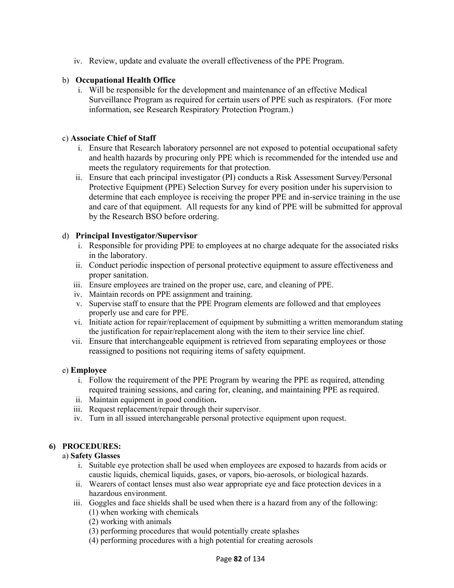iv. Review, update and evaluate the overall effectiveness of the PPE Program.

# b) **Occupational Health Office**

i. Will be responsible for the development and maintenance of an effective Medical Surveillance Program as required for certain users of PPE such as respirators. (For more information, see Research Respiratory Protection Program.)

#### c) **Associate Chief of Staff**

- i. Ensure that Research laboratory personnel are not exposed to potential occupational safety and health hazards by procuring only PPE which is recommended for the intended use and meets the regulatory requirements for that protection.
- ii. Ensure that each principal investigator (PI) conducts a Risk Assessment Survey/Personal Protective Equipment (PPE) Selection Survey for every position under his supervision to determine that each employee is receiving the proper PPE and in-service training in the use and care of that equipment. All requests for any kind of PPE will be submitted for approval by the Research BSO before ordering.

## d) **Principal Investigator/Supervisor**

- i. Responsible for providing PPE to employees at no charge adequate for the associated risks in the laboratory.
- ii. Conduct periodic inspection of personal protective equipment to assure effectiveness and proper sanitation.
- iii. Ensure employees are trained on the proper use, care, and cleaning of PPE.
- iv. Maintain records on PPE assignment and training.
- v. Supervise staff to ensure that the PPE Program elements are followed and that employees properly use and care for PPE.
- vi. Initiate action for repair/replacement of equipment by submitting a written memorandum stating the justification for repair/replacement along with the item to their service line chief.
- vii. Ensure that interchangeable equipment is retrieved from separating employees or those reassigned to positions not requiring items of safety equipment.

## e) **Employee**

- i. Follow the requirement of the PPE Program by wearing the PPE as required, attending required training sessions, and caring for, cleaning, and maintaining PPE as required.
- ii. Maintain equipment in good condition**.**
- iii. Request replacement/repair through their supervisor.
- iv. Turn in all issued interchangeable personal protective equipment upon request.

## **6) PROCEDURES:**

## a) **Safety Glasses**

- i. Suitable eye protection shall be used when employees are exposed to hazards from acids or caustic liquids, chemical liquids, gases, or vapors, bio-aerosols, or biological hazards.
- ii. Wearers of contact lenses must also wear appropriate eye and face protection devices in a hazardous environment.
- iii. Goggles and face shields shall be used when there is a hazard from any of the following: (1) when working with chemicals
	- (2) working with animals
	- (3) performing procedures that would potentially create splashes
	- (4) performing procedures with a high potential for creating aerosols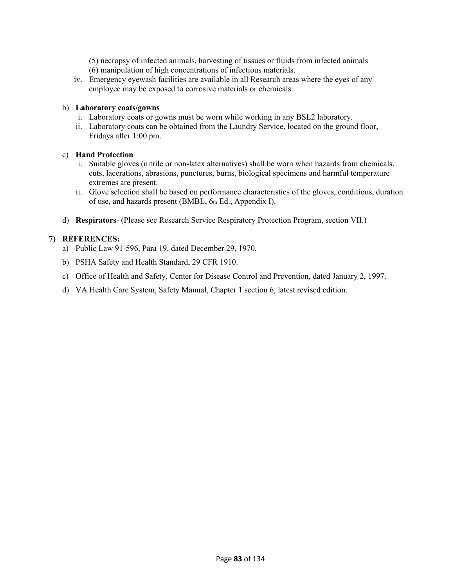(5) necropsy of infected animals, harvesting of tissues or fluids from infected animals (6) manipulation of high concentrations of infectious materials.

iv. Emergency eyewash facilities are available in all Research areas where the eyes of any employee may be exposed to corrosive materials or chemicals.

#### b) **Laboratory coats/gowns**

- i. Laboratory coats or gowns must be worn while working in any BSL2 laboratory.
- ii. Laboratory coats can be obtained from the Laundry Service, located on the ground floor, Fridays after 1:00 pm.

#### c) **Hand Protection**

- i. Suitable gloves (nitrile or non-latex alternatives) shall be worn when hazards from chemicals, cuts, lacerations, abrasions, punctures, burns, biological specimens and harmful temperature extremes are present.
- ii. Glove selection shall be based on performance characteristics of the gloves, conditions, duration of use, and hazards present (BMBL, 6th Ed., Appendix I).
- d) **Respirators** (Please see Research Service Respiratory Protection Program, section VII.)

#### **7) REFERENCES:**

- a)Public Law 91-596, Para 19, dated December 29, 1970.
- b)PSHA Safety and Health Standard, 29 CFR 1910.
- c)Office of Health and Safety, Center for Disease Control and Prevention, dated January 2, 1997.
- d)VA Health Care System, Safety Manual, Chapter 1 section 6, latest revised edition.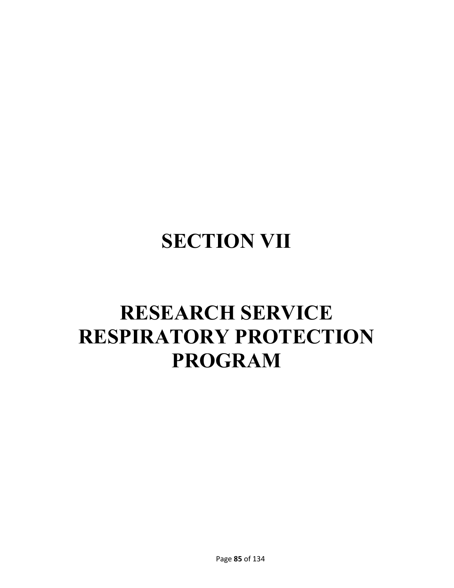# **SECTION VII**

# **RESEARCH SERVICE RESPIRATORY PROTECTION PROGRAM**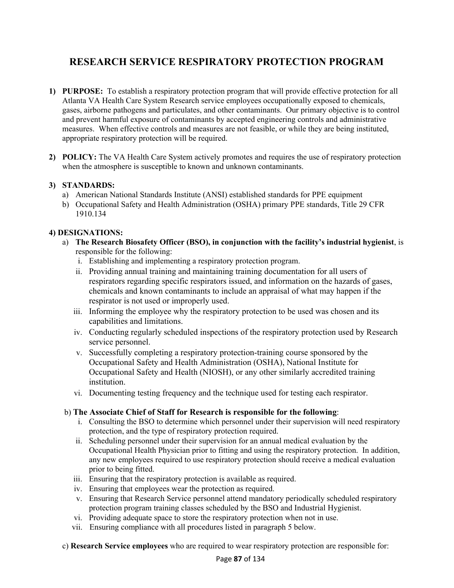# **RESEARCH SERVICE RESPIRATORY PROTECTION PROGRAM**

- **1) PURPOSE:** To establish a respiratory protection program that will provide effective protection for all Atlanta VA Health Care System Research service employees occupationally exposed to chemicals, gases, airborne pathogens and particulates, and other contaminants. Our primary objective is to control and prevent harmful exposure of contaminants by accepted engineering controls and administrative measures. When effective controls and measures are not feasible, or while they are being instituted, appropriate respiratory protection will be required.
- **2) POLICY:** The VA Health Care System actively promotes and requires the use of respiratory protection when the atmosphere is susceptible to known and unknown contaminants.

## **3) STANDARDS:**

- a)American National Standards Institute (ANSI) established standards for PPE equipment
- b)Occupational Safety and Health Administration (OSHA) primary PPE standards, Title 29 CFR 1910.134

## **4) DESIGNATIONS:**

- a) **The Research Biosafety Officer (BSO), in conjunction with the facility's industrial hygienist**, is responsible for the following:
	- i. Establishing and implementing a respiratory protection program.
	- ii. Providing annual training and maintaining training documentation for all users of respirators regarding specific respirators issued, and information on the hazards of gases, chemicals and known contaminants to include an appraisal of what may happen if the respirator is not used or improperly used.
	- iii. Informing the employee why the respiratory protection to be used was chosen and its capabilities and limitations.
	- iv. Conducting regularly scheduled inspections of the respiratory protection used by Research service personnel.
	- v. Successfully completing a respiratory protection-training course sponsored by the Occupational Safety and Health Administration (OSHA), National Institute for Occupational Safety and Health (NIOSH), or any other similarly accredited training institution.
	- vi. Documenting testing frequency and the technique used for testing each respirator.

#### b) **The Associate Chief of Staff for Research is responsible for the following**:

- i. Consulting the BSO to determine which personnel under their supervision will need respiratory protection, and the type of respiratory protection required.
- ii. Scheduling personnel under their supervision for an annual medical evaluation by the Occupational Health Physician prior to fitting and using the respiratory protection. In addition, any new employees required to use respiratory protection should receive a medical evaluation prior to being fitted.
- iii. Ensuring that the respiratory protection is available as required.
- iv. Ensuring that employees wear the protection as required.
- v. Ensuring that Research Service personnel attend mandatory periodically scheduled respiratory protection program training classes scheduled by the BSO and Industrial Hygienist.
- vi. Providing adequate space to store the respiratory protection when not in use.
- vii. Ensuring compliance with all procedures listed in paragraph 5 below.
- c) **Research Service employees** who are required to wear respiratory protection are responsible for: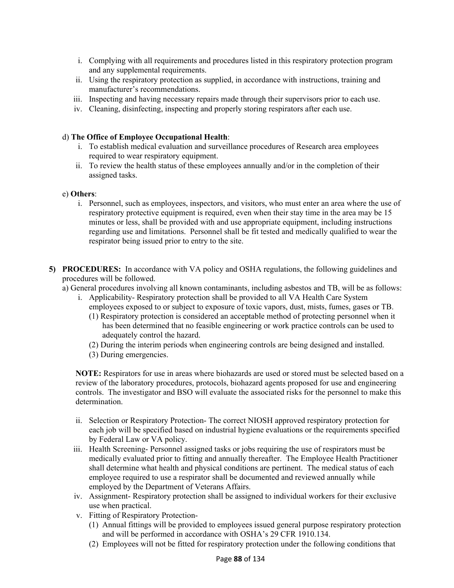- i. Complying with all requirements and procedures listed in this respiratory protection program and any supplemental requirements.
- ii. Using the respiratory protection as supplied, in accordance with instructions, training and manufacturer's recommendations.
- iii. Inspecting and having necessary repairs made through their supervisors prior to each use.
- iv. Cleaning, disinfecting, inspecting and properly storing respirators after each use.

#### d) **The Office of Employee Occupational Health**:

- i. To establish medical evaluation and surveillance procedures of Research area employees required to wear respiratory equipment.
- ii. To review the health status of these employees annually and/or in the completion of their assigned tasks.

#### e) **Others**:

- i. Personnel, such as employees, inspectors, and visitors, who must enter an area where the use of respiratory protective equipment is required, even when their stay time in the area may be 15 minutes or less, shall be provided with and use appropriate equipment, including instructions regarding use and limitations. Personnel shall be fit tested and medically qualified to wear the respirator being issued prior to entry to the site.
- **5) PROCEDURES:** In accordance with VA policy and OSHA regulations, the following guidelines and procedures will be followed.
	- a) General procedures involving all known contaminants, including asbestos and TB, will be as follows:
		- i. Applicability- Respiratory protection shall be provided to all VA Health Care System employees exposed to or subject to exposure of toxic vapors, dust, mists, fumes, gases or TB.
			- (1) Respiratory protection is considered an acceptable method of protecting personnel when it has been determined that no feasible engineering or work practice controls can be used to adequately control the hazard.
			- (2) During the interim periods when engineering controls are being designed and installed.
			- (3) During emergencies.

**NOTE:** Respirators for use in areas where biohazards are used or stored must be selected based on a review of the laboratory procedures, protocols, biohazard agents proposed for use and engineering controls. The investigator and BSO will evaluate the associated risks for the personnel to make this determination.

- ii. Selection or Respiratory Protection- The correct NIOSH approved respiratory protection for each job will be specified based on industrial hygiene evaluations or the requirements specified by Federal Law or VA policy.
- iii. Health Screening- Personnel assigned tasks or jobs requiring the use of respirators must be medically evaluated prior to fitting and annually thereafter. The Employee Health Practitioner shall determine what health and physical conditions are pertinent. The medical status of each employee required to use a respirator shall be documented and reviewed annually while employed by the Department of Veterans Affairs.
- iv. Assignment- Respiratory protection shall be assigned to individual workers for their exclusive use when practical.
- v. Fitting of Respiratory Protection-
	- (1)Annual fittings will be provided to employees issued general purpose respiratory protection and will be performed in accordance with OSHA's 29 CFR 1910.134.
	- (2)Employees will not be fitted for respiratory protection under the following conditions that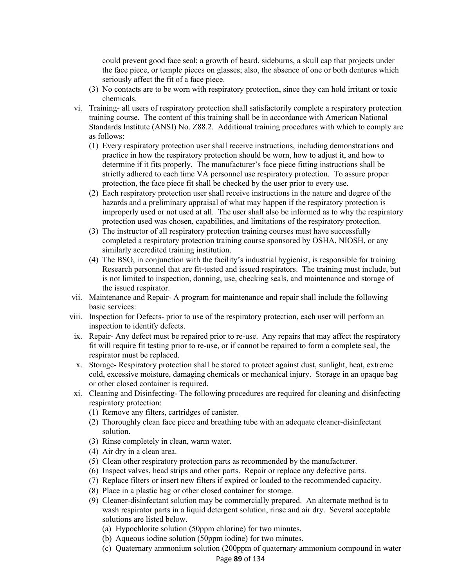could prevent good face seal; a growth of beard, sideburns, a skull cap that projects under the face piece, or temple pieces on glasses; also, the absence of one or both dentures which seriously affect the fit of a face piece.

- (3)No contacts are to be worn with respiratory protection, since they can hold irritant or toxic chemicals.
- vi. Training- all users of respiratory protection shall satisfactorily complete a respiratory protection training course. The content of this training shall be in accordance with American National Standards Institute (ANSI) No. Z88.2. Additional training procedures with which to comply are as follows:
	- (1)Every respiratory protection user shall receive instructions, including demonstrations and practice in how the respiratory protection should be worn, how to adjust it, and how to determine if it fits properly. The manufacturer's face piece fitting instructions shall be strictly adhered to each time VA personnel use respiratory protection. To assure proper protection, the face piece fit shall be checked by the user prior to every use.
	- (2)Each respiratory protection user shall receive instructions in the nature and degree of the hazards and a preliminary appraisal of what may happen if the respiratory protection is improperly used or not used at all. The user shall also be informed as to why the respiratory protection used was chosen, capabilities, and limitations of the respiratory protection.
	- (3)The instructor of all respiratory protection training courses must have successfully completed a respiratory protection training course sponsored by OSHA, NIOSH, or any similarly accredited training institution.
	- (4)The BSO, in conjunction with the facility's industrial hygienist, is responsible for training Research personnel that are fit-tested and issued respirators. The training must include, but is not limited to inspection, donning, use, checking seals, and maintenance and storage of the issued respirator.
- vii. Maintenance and Repair- A program for maintenance and repair shall include the following basic services:
- viii. Inspection for Defects- prior to use of the respiratory protection, each user will perform an inspection to identify defects.
- ix. Repair- Any defect must be repaired prior to re-use. Any repairs that may affect the respiratory fit will require fit testing prior to re-use, or if cannot be repaired to form a complete seal, the respirator must be replaced.
- x. Storage- Respiratory protection shall be stored to protect against dust, sunlight, heat, extreme cold, excessive moisture, damaging chemicals or mechanical injury. Storage in an opaque bag or other closed container is required.
- xi. Cleaning and Disinfecting- The following procedures are required for cleaning and disinfecting respiratory protection:
	- (1)Remove any filters, cartridges of canister.
	- (2)Thoroughly clean face piece and breathing tube with an adequate cleaner-disinfectant solution.
	- (3)Rinse completely in clean, warm water.
	- (4)Air dry in a clean area.
	- (5)Clean other respiratory protection parts as recommended by the manufacturer.
	- (6)Inspect valves, head strips and other parts. Repair or replace any defective parts.
	- (7)Replace filters or insert new filters if expired or loaded to the recommended capacity.
	- (8)Place in a plastic bag or other closed container for storage.
	- (9)Cleaner-disinfectant solution may be commercially prepared. An alternate method is to wash respirator parts in a liquid detergent solution, rinse and air dry. Several acceptable solutions are listed below.
		- (a)Hypochlorite solution (50ppm chlorine) for two minutes.
		- (b)Aqueous iodine solution (50ppm iodine) for two minutes.
		- (c)Quaternary ammonium solution (200ppm of quaternary ammonium compound in water

#### Page **89** of 134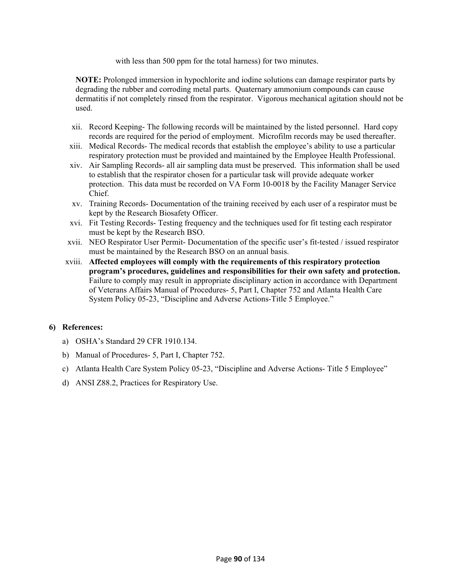with less than 500 ppm for the total harness) for two minutes.

**NOTE:** Prolonged immersion in hypochlorite and iodine solutions can damage respirator parts by degrading the rubber and corroding metal parts. Quaternary ammonium compounds can cause dermatitis if not completely rinsed from the respirator. Vigorous mechanical agitation should not be used.

- xii. Record Keeping- The following records will be maintained by the listed personnel. Hard copy records are required for the period of employment. Microfilm records may be used thereafter.
- xiii. Medical Records- The medical records that establish the employee's ability to use a particular respiratory protection must be provided and maintained by the Employee Health Professional.
- xiv. Air Sampling Records- all air sampling data must be preserved. This information shall be used to establish that the respirator chosen for a particular task will provide adequate worker protection. This data must be recorded on VA Form 10-0018 by the Facility Manager Service Chief.
- xv. Training Records- Documentation of the training received by each user of a respirator must be kept by the Research Biosafety Officer.
- xvi. Fit Testing Records- Testing frequency and the techniques used for fit testing each respirator must be kept by the Research BSO.
- xvii. NEO Respirator User Permit- Documentation of the specific user's fit-tested / issued respirator must be maintained by the Research BSO on an annual basis.
- xviii. **Affected employees will comply with the requirements of this respiratory protection program's procedures, guidelines and responsibilities for their own safety and protection.**  Failure to comply may result in appropriate disciplinary action in accordance with Department of Veterans Affairs Manual of Procedures- 5, Part I, Chapter 752 and Atlanta Health Care System Policy 05-23, "Discipline and Adverse Actions-Title 5 Employee."

#### **6) References:**

- a)OSHA's Standard 29 CFR 1910.134.
- b)Manual of Procedures- 5, Part I, Chapter 752.
- c)Atlanta Health Care System Policy 05-23, "Discipline and Adverse Actions- Title 5 Employee"
- d) ANSI Z88.2, Practices for Respiratory Use.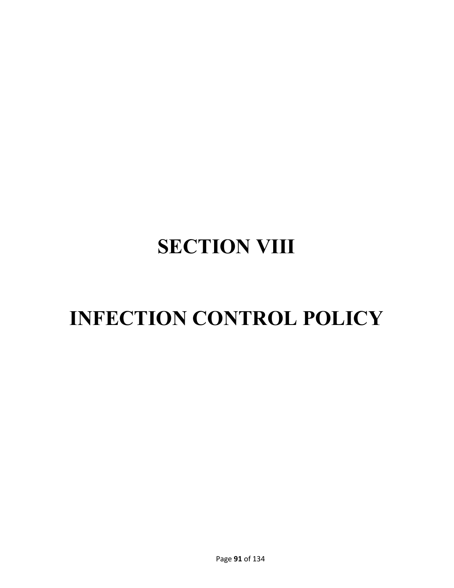# **SECTION VIII**

# **INFECTION CONTROL POLICY**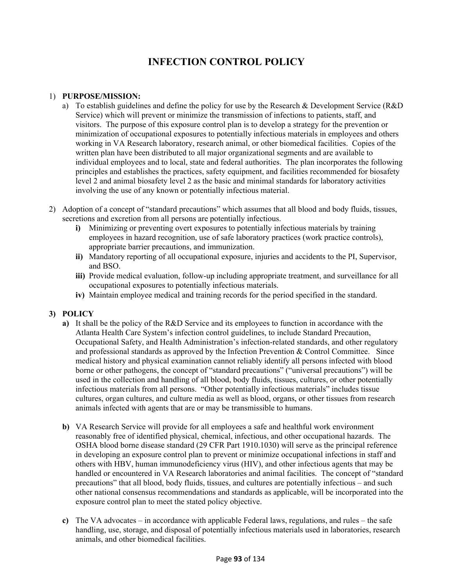# **INFECTION CONTROL POLICY**

#### 1) **PURPOSE/MISSION:**

- a) To establish guidelines and define the policy for use by the Research & Development Service (R&D Service) which will prevent or minimize the transmission of infections to patients, staff, and visitors. The purpose of this exposure control plan is to develop a strategy for the prevention or minimization of occupational exposures to potentially infectious materials in employees and others working in VA Research laboratory, research animal, or other biomedical facilities. Copies of the written plan have been distributed to all major organizational segments and are available to individual employees and to local, state and federal authorities. The plan incorporates the following principles and establishes the practices, safety equipment, and facilities recommended for biosafety level 2 and animal biosafety level 2 as the basic and minimal standards for laboratory activities involving the use of any known or potentially infectious material.
- 2) Adoption of a concept of "standard precautions" which assumes that all blood and body fluids, tissues, secretions and excretion from all persons are potentially infectious.
	- **i)** Minimizing or preventing overt exposures to potentially infectious materials by training employees in hazard recognition, use of safe laboratory practices (work practice controls), appropriate barrier precautions, and immunization.
	- **ii)** Mandatory reporting of all occupational exposure, injuries and accidents to the PI, Supervisor, and BSO.
	- **iii)** Provide medical evaluation, follow-up including appropriate treatment, and surveillance for all occupational exposures to potentially infectious materials.
	- **iv)** Maintain employee medical and training records for the period specified in the standard.

## **3) POLICY**

- **a)** It shall be the policy of the R&D Service and its employees to function in accordance with the Atlanta Health Care System's infection control guidelines, to include Standard Precaution, Occupational Safety, and Health Administration's infection-related standards, and other regulatory and professional standards as approved by the Infection Prevention & Control Committee. Since medical history and physical examination cannot reliably identify all persons infected with blood borne or other pathogens, the concept of "standard precautions" ("universal precautions") will be used in the collection and handling of all blood, body fluids, tissues, cultures, or other potentially infectious materials from all persons. "Other potentially infectious materials" includes tissue cultures, organ cultures, and culture media as well as blood, organs, or other tissues from research animals infected with agents that are or may be transmissible to humans.
- **b)** VA Research Service will provide for all employees a safe and healthful work environment reasonably free of identified physical, chemical, infectious, and other occupational hazards. The OSHA blood borne disease standard (29 CFR Part 1910.1030) will serve as the principal reference in developing an exposure control plan to prevent or minimize occupational infections in staff and others with HBV, human immunodeficiency virus (HIV), and other infectious agents that may be handled or encountered in VA Research laboratories and animal facilities. The concept of "standard precautions" that all blood, body fluids, tissues, and cultures are potentially infectious – and such other national consensus recommendations and standards as applicable, will be incorporated into the exposure control plan to meet the stated policy objective.
- **c)** The VA advocates in accordance with applicable Federal laws, regulations, and rules the safe handling, use, storage, and disposal of potentially infectious materials used in laboratories, research animals, and other biomedical facilities.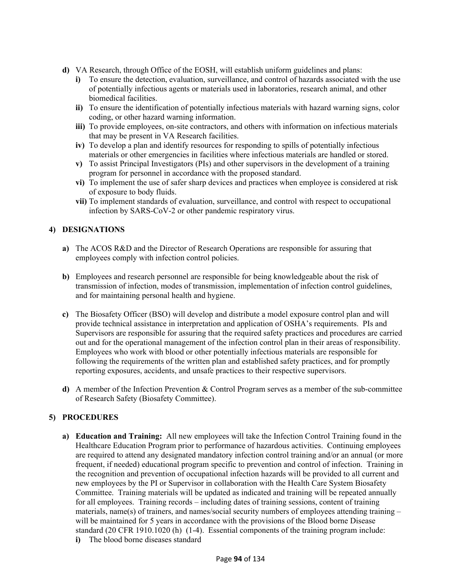- **d)** VA Research, through Office of the EOSH, will establish uniform guidelines and plans:
	- **i)** To ensure the detection, evaluation, surveillance, and control of hazards associated with the use of potentially infectious agents or materials used in laboratories, research animal, and other biomedical facilities.
	- **ii)** To ensure the identification of potentially infectious materials with hazard warning signs, color coding, or other hazard warning information.
	- **iii)** To provide employees, on-site contractors, and others with information on infectious materials that may be present in VA Research facilities.
	- **iv)** To develop a plan and identify resources for responding to spills of potentially infectious materials or other emergencies in facilities where infectious materials are handled or stored.
	- **v)** To assist Principal Investigators (PIs) and other supervisors in the development of a training program for personnel in accordance with the proposed standard.
	- **vi)** To implement the use of safer sharp devices and practices when employee is considered at risk of exposure to body fluids.
	- **vii)** To implement standards of evaluation, surveillance, and control with respect to occupational infection by SARS-CoV-2 or other pandemic respiratory virus.

## **4) DESIGNATIONS**

- **a)** The ACOS R&D and the Director of Research Operations are responsible for assuring that employees comply with infection control policies.
- **b)** Employees and research personnel are responsible for being knowledgeable about the risk of transmission of infection, modes of transmission, implementation of infection control guidelines, and for maintaining personal health and hygiene.
- **c)** The Biosafety Officer (BSO) will develop and distribute a model exposure control plan and will provide technical assistance in interpretation and application of OSHA's requirements. PIs and Supervisors are responsible for assuring that the required safety practices and procedures are carried out and for the operational management of the infection control plan in their areas of responsibility. Employees who work with blood or other potentially infectious materials are responsible for following the requirements of the written plan and established safety practices, and for promptly reporting exposures, accidents, and unsafe practices to their respective supervisors.
- **d)** A member of the Infection Prevention & Control Program serves as a member of the sub-committee of Research Safety (Biosafety Committee).

## **5) PROCEDURES**

- **a) Education and Training:** All new employees will take the Infection Control Training found in the Healthcare Education Program prior to performance of hazardous activities. Continuing employees are required to attend any designated mandatory infection control training and/or an annual (or more frequent, if needed) educational program specific to prevention and control of infection. Training in the recognition and prevention of occupational infection hazards will be provided to all current and new employees by the PI or Supervisor in collaboration with the Health Care System Biosafety Committee. Training materials will be updated as indicated and training will be repeated annually for all employees. Training records – including dates of training sessions, content of training materials, name(s) of trainers, and names/social security numbers of employees attending training  $$ will be maintained for 5 years in accordance with the provisions of the Blood borne Disease standard (20 CFR 1910.1020 (h) (1-4). Essential components of the training program include:
	- **i**) The blood borne diseases standard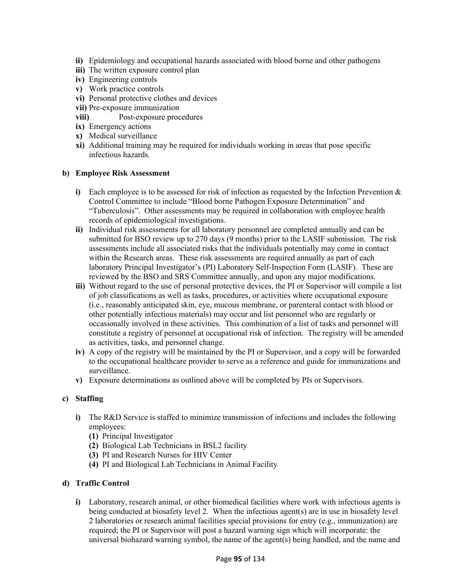- **ii)** Epidemiology and occupational hazards associated with blood borne and other pathogens
- **iii)** The written exposure control plan
- **iv)** Engineering controls
- **v)** Work practice controls
- **vi)** Personal protective clothes and devices
- **vii)** Pre-exposure immunization
- **viii)** Post-exposure procedures
- **ix)** Emergency actions
- **x)** Medical surveillance
- **xi)** Additional training may be required for individuals working in areas that pose specific infectious hazards.

#### **b) Employee Risk Assessment**

- **i)** Each employee is to be assessed for risk of infection as requested by the Infection Prevention & Control Committee to include "Blood borne Pathogen Exposure Determination" and "Tuberculosis". Other assessments may be required in collaboration with employee health records of epidemiological investigations.
- **ii)** Individual risk assessments for all laboratory personnel are completed annually and can be submitted for BSO review up to 270 days (9 months) prior to the LASIF submission. The risk assessments include all associated risks that the individuals potentially may come in contact within the Research areas. These risk assessments are required annually as part of each laboratory Principal Investigator's (PI) Laboratory Self-Inspection Form (LASIF). These are reviewed by the BSO and SRS Committee annually, and upon any major modifications.
- **iii)** Without regard to the use of personal protective devices, the PI or Supervisor will compile a list of job classifications as well as tasks, procedures, or activities where occupational exposure (i.e., reasonably anticipated skin, eye, mucous membrane, or parenteral contact with blood or other potentially infectious materials) may occur and list personnel who are regularly or occasionally involved in these activities. This combination of a list of tasks and personnel will constitute a registry of personnel at occupational risk of infection. The registry will be amended as activities, tasks, and personnel change.
- **iv)** A copy of the registry will be maintained by the PI or Supervisor, and a copy will be forwarded to the occupational healthcare provider to serve as a reference and guide for immunizations and surveillance.
- **v)** Exposure determinations as outlined above will be completed by PIs or Supervisors.

#### **c) Staffing**

- **i)** The R&D Service is staffed to minimize transmission of infections and includes the following employees:
	- **(1)** Principal Investigator
	- **(2)** Biological Lab Technicians in BSL2 facility
	- **(3)** PI and Research Nurses for HIV Center
	- **(4)** PI and Biological Lab Technicians in Animal Facility

#### **d) Traffic Control**

**i)** Laboratory, research animal, or other biomedical facilities where work with infectious agents is being conducted at biosafety level 2. When the infectious agent(s) are in use in biosafety level 2 laboratories or research animal facilities special provisions for entry (e.g., immunization) are required; the PI or Supervisor will post a hazard warning sign which will incorporate: the universal biohazard warning symbol, the name of the agent(s) being handled, and the name and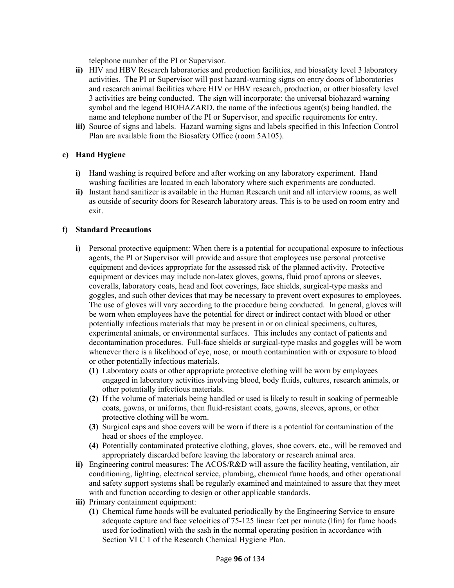telephone number of the PI or Supervisor.

- **ii)** HIV and HBV Research laboratories and production facilities, and biosafety level 3 laboratory activities. The PI or Supervisor will post hazard-warning signs on entry doors of laboratories and research animal facilities where HIV or HBV research, production, or other biosafety level 3 activities are being conducted. The sign will incorporate: the universal biohazard warning symbol and the legend BIOHAZARD, the name of the infectious agent(s) being handled, the name and telephone number of the PI or Supervisor, and specific requirements for entry.
- **iii)** Source of signs and labels. Hazard warning signs and labels specified in this Infection Control Plan are available from the Biosafety Office (room 5A105).

#### **e) Hand Hygiene**

- **i)** Hand washing is required before and after working on any laboratory experiment. Hand washing facilities are located in each laboratory where such experiments are conducted.
- **ii)** Instant hand sanitizer is available in the Human Research unit and all interview rooms, as well as outside of security doors for Research laboratory areas. This is to be used on room entry and exit.

#### **f) Standard Precautions**

- **i)** Personal protective equipment: When there is a potential for occupational exposure to infectious agents, the PI or Supervisor will provide and assure that employees use personal protective equipment and devices appropriate for the assessed risk of the planned activity. Protective equipment or devices may include non-latex gloves, gowns, fluid proof aprons or sleeves, coveralls, laboratory coats, head and foot coverings, face shields, surgical-type masks and goggles, and such other devices that may be necessary to prevent overt exposures to employees. The use of gloves will vary according to the procedure being conducted. In general, gloves will be worn when employees have the potential for direct or indirect contact with blood or other potentially infectious materials that may be present in or on clinical specimens, cultures, experimental animals, or environmental surfaces. This includes any contact of patients and decontamination procedures. Full-face shields or surgical-type masks and goggles will be worn whenever there is a likelihood of eye, nose, or mouth contamination with or exposure to blood or other potentially infectious materials.
	- **(1)** Laboratory coats or other appropriate protective clothing will be worn by employees engaged in laboratory activities involving blood, body fluids, cultures, research animals, or other potentially infectious materials.
	- **(2)** If the volume of materials being handled or used is likely to result in soaking of permeable coats, gowns, or uniforms, then fluid-resistant coats, gowns, sleeves, aprons, or other protective clothing will be worn.
	- **(3)** Surgical caps and shoe covers will be worn if there is a potential for contamination of the head or shoes of the employee.
	- **(4)** Potentially contaminated protective clothing, gloves, shoe covers, etc., will be removed and appropriately discarded before leaving the laboratory or research animal area.
- **ii)** Engineering control measures: The ACOS/R&D will assure the facility heating, ventilation, air conditioning, lighting, electrical service, plumbing, chemical fume hoods, and other operational and safety support systems shall be regularly examined and maintained to assure that they meet with and function according to design or other applicable standards.
- **iii)** Primary containment equipment:
	- **(1)** Chemical fume hoods will be evaluated periodically by the Engineering Service to ensure adequate capture and face velocities of 75-125 linear feet per minute (lfm) for fume hoods used for iodination) with the sash in the normal operating position in accordance with Section VI C 1 of the Research Chemical Hygiene Plan.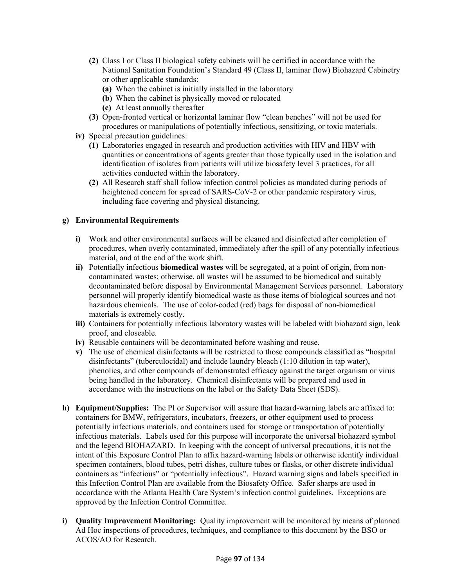- **(2)** Class I or Class II biological safety cabinets will be certified in accordance with the National Sanitation Foundation's Standard 49 (Class II, laminar flow) Biohazard Cabinetry or other applicable standards:
	- **(a)** When the cabinet is initially installed in the laboratory
	- **(b)** When the cabinet is physically moved or relocated
	- **(c)** At least annually thereafter
- **(3)** Open-fronted vertical or horizontal laminar flow "clean benches" will not be used for procedures or manipulations of potentially infectious, sensitizing, or toxic materials.
- **iv)** Special precaution guidelines:
	- **(1)** Laboratories engaged in research and production activities with HIV and HBV with quantities or concentrations of agents greater than those typically used in the isolation and identification of isolates from patients will utilize biosafety level 3 practices, for all activities conducted within the laboratory.
	- **(2)** All Research staff shall follow infection control policies as mandated during periods of heightened concern for spread of SARS-CoV-2 or other pandemic respiratory virus, including face covering and physical distancing.

#### **g) Environmental Requirements**

- **i)** Work and other environmental surfaces will be cleaned and disinfected after completion of procedures, when overly contaminated, immediately after the spill of any potentially infectious material, and at the end of the work shift.
- **ii)** Potentially infectious **biomedical wastes** will be segregated, at a point of origin, from noncontaminated wastes; otherwise, all wastes will be assumed to be biomedical and suitably decontaminated before disposal by Environmental Management Services personnel. Laboratory personnel will properly identify biomedical waste as those items of biological sources and not hazardous chemicals. The use of color-coded (red) bags for disposal of non-biomedical materials is extremely costly.
- **iii)** Containers for potentially infectious laboratory wastes will be labeled with biohazard sign, leak proof, and closeable.
- **iv)** Reusable containers will be decontaminated before washing and reuse.
- **v)** The use of chemical disinfectants will be restricted to those compounds classified as "hospital disinfectants" (tuberculocidal) and include laundry bleach (1:10 dilution in tap water), phenolics, and other compounds of demonstrated efficacy against the target organism or virus being handled in the laboratory. Chemical disinfectants will be prepared and used in accordance with the instructions on the label or the Safety Data Sheet (SDS).
- **h) Equipment/Supplies:** The PI or Supervisor will assure that hazard-warning labels are affixed to: containers for BMW, refrigerators, incubators, freezers, or other equipment used to process potentially infectious materials, and containers used for storage or transportation of potentially infectious materials. Labels used for this purpose will incorporate the universal biohazard symbol and the legend BIOHAZARD. In keeping with the concept of universal precautions, it is not the intent of this Exposure Control Plan to affix hazard-warning labels or otherwise identify individual specimen containers, blood tubes, petri dishes, culture tubes or flasks, or other discrete individual containers as "infectious" or "potentially infectious". Hazard warning signs and labels specified in this Infection Control Plan are available from the Biosafety Office. Safer sharps are used in accordance with the Atlanta Health Care System's infection control guidelines. Exceptions are approved by the Infection Control Committee.
- **i) Quality Improvement Monitoring:** Quality improvement will be monitored by means of planned Ad Hoc inspections of procedures, techniques, and compliance to this document by the BSO or ACOS/AO for Research.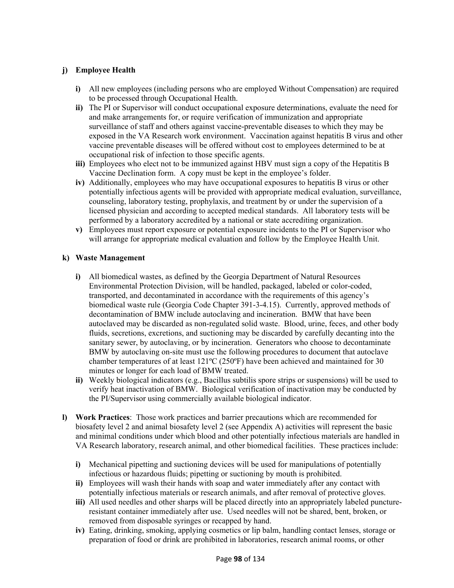# **j) Employee Health**

- **i)** All new employees (including persons who are employed Without Compensation) are required to be processed through Occupational Health.
- **ii)** The PI or Supervisor will conduct occupational exposure determinations, evaluate the need for and make arrangements for, or require verification of immunization and appropriate surveillance of staff and others against vaccine-preventable diseases to which they may be exposed in the VA Research work environment. Vaccination against hepatitis B virus and other vaccine preventable diseases will be offered without cost to employees determined to be at occupational risk of infection to those specific agents.
- **iii)** Employees who elect not to be immunized against HBV must sign a copy of the Hepatitis B Vaccine Declination form. A copy must be kept in the employee's folder.
- **iv)** Additionally, employees who may have occupational exposures to hepatitis B virus or other potentially infectious agents will be provided with appropriate medical evaluation, surveillance, counseling, laboratory testing, prophylaxis, and treatment by or under the supervision of a licensed physician and according to accepted medical standards. All laboratory tests will be performed by a laboratory accredited by a national or state accrediting organization.
- **v)** Employees must report exposure or potential exposure incidents to the PI or Supervisor who will arrange for appropriate medical evaluation and follow by the Employee Health Unit.

#### **k) Waste Management**

- **i)** All biomedical wastes, as defined by the Georgia Department of Natural Resources Environmental Protection Division, will be handled, packaged, labeled or color-coded, transported, and decontaminated in accordance with the requirements of this agency's biomedical waste rule (Georgia Code Chapter 391-3-4.15). Currently, approved methods of decontamination of BMW include autoclaving and incineration. BMW that have been autoclaved may be discarded as non-regulated solid waste. Blood, urine, feces, and other body fluids, secretions, excretions, and suctioning may be discarded by carefully decanting into the sanitary sewer, by autoclaving, or by incineration. Generators who choose to decontaminate BMW by autoclaving on-site must use the following procedures to document that autoclave chamber temperatures of at least 121ºC (250ºF) have been achieved and maintained for 30 minutes or longer for each load of BMW treated.
- **ii)** Weekly biological indicators (e.g., Bacillus subtilis spore strips or suspensions) will be used to verify heat inactivation of BMW. Biological verification of inactivation may be conducted by the PI/Supervisor using commercially available biological indicator.
- **l) Work Practices**: Those work practices and barrier precautions which are recommended for biosafety level 2 and animal biosafety level 2 (see Appendix A) activities will represent the basic and minimal conditions under which blood and other potentially infectious materials are handled in VA Research laboratory, research animal, and other biomedical facilities. These practices include:
	- **i)** Mechanical pipetting and suctioning devices will be used for manipulations of potentially infectious or hazardous fluids; pipetting or suctioning by mouth is prohibited.
	- **ii)** Employees will wash their hands with soap and water immediately after any contact with potentially infectious materials or research animals, and after removal of protective gloves.
	- iii) All used needles and other sharps will be placed directly into an appropriately labeled punctureresistant container immediately after use. Used needles will not be shared, bent, broken, or removed from disposable syringes or recapped by hand.
	- **iv)** Eating, drinking, smoking, applying cosmetics or lip balm, handling contact lenses, storage or preparation of food or drink are prohibited in laboratories, research animal rooms, or other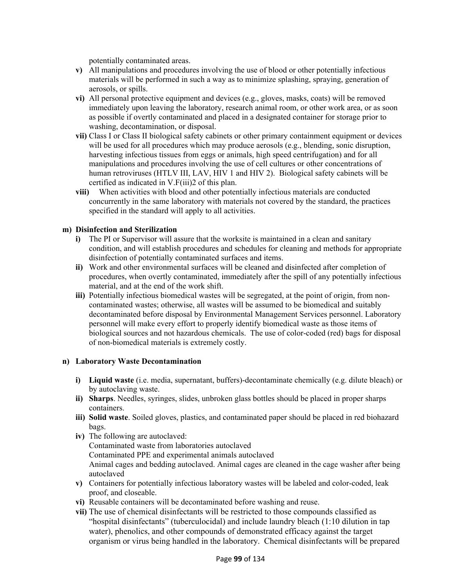potentially contaminated areas.

- **v)** All manipulations and procedures involving the use of blood or other potentially infectious materials will be performed in such a way as to minimize splashing, spraying, generation of aerosols, or spills.
- **vi)** All personal protective equipment and devices (e.g., gloves, masks, coats) will be removed immediately upon leaving the laboratory, research animal room, or other work area, or as soon as possible if overtly contaminated and placed in a designated container for storage prior to washing, decontamination, or disposal.
- **vii)** Class I or Class II biological safety cabinets or other primary containment equipment or devices will be used for all procedures which may produce aerosols (e.g., blending, sonic disruption, harvesting infectious tissues from eggs or animals, high speed centrifugation) and for all manipulations and procedures involving the use of cell cultures or other concentrations of human retroviruses (HTLV III, LAV, HIV 1 and HIV 2). Biological safety cabinets will be certified as indicated in V.F(iii)2 of this plan.
- **viii)** When activities with blood and other potentially infectious materials are conducted concurrently in the same laboratory with materials not covered by the standard, the practices specified in the standard will apply to all activities.

#### **m) Disinfection and Sterilization**

- **i)** The PI or Supervisor will assure that the worksite is maintained in a clean and sanitary condition, and will establish procedures and schedules for cleaning and methods for appropriate disinfection of potentially contaminated surfaces and items.
- **ii)** Work and other environmental surfaces will be cleaned and disinfected after completion of procedures, when overtly contaminated, immediately after the spill of any potentially infectious material, and at the end of the work shift.
- **iii)** Potentially infectious biomedical wastes will be segregated, at the point of origin, from noncontaminated wastes; otherwise, all wastes will be assumed to be biomedical and suitably decontaminated before disposal by Environmental Management Services personnel. Laboratory personnel will make every effort to properly identify biomedical waste as those items of biological sources and not hazardous chemicals. The use of color-coded (red) bags for disposal of non-biomedical materials is extremely costly.

#### **n) Laboratory Waste Decontamination**

- **i) Liquid waste** (i.e. media, supernatant, buffers)-decontaminate chemically (e.g. dilute bleach) or by autoclaving waste.
- **ii) Sharps**. Needles, syringes, slides, unbroken glass bottles should be placed in proper sharps containers.
- **iii) Solid waste**. Soiled gloves, plastics, and contaminated paper should be placed in red biohazard bags.
- **iv)** The following are autoclaved: Contaminated waste from laboratories autoclaved Contaminated PPE and experimental animals autoclaved Animal cages and bedding autoclaved. Animal cages are cleaned in the cage washer after being autoclaved
- **v)** Containers for potentially infectious laboratory wastes will be labeled and color-coded, leak proof, and closeable.
- **vi)** Reusable containers will be decontaminated before washing and reuse.
- **vii)** The use of chemical disinfectants will be restricted to those compounds classified as "hospital disinfectants" (tuberculocidal) and include laundry bleach (1:10 dilution in tap water), phenolics, and other compounds of demonstrated efficacy against the target organism or virus being handled in the laboratory. Chemical disinfectants will be prepared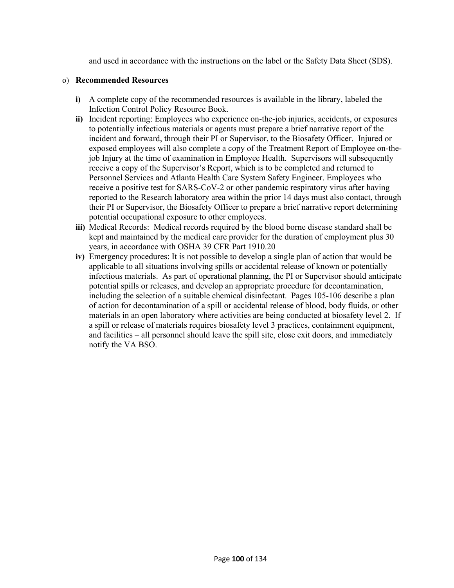and used in accordance with the instructions on the label or the Safety Data Sheet (SDS).

#### o) **Recommended Resources**

- **i)** A complete copy of the recommended resources is available in the library, labeled the Infection Control Policy Resource Book.
- **ii)** Incident reporting: Employees who experience on-the-job injuries, accidents, or exposures to potentially infectious materials or agents must prepare a brief narrative report of the incident and forward, through their PI or Supervisor, to the Biosafety Officer. Injured or exposed employees will also complete a copy of the Treatment Report of Employee on-thejob Injury at the time of examination in Employee Health. Supervisors will subsequently receive a copy of the Supervisor's Report, which is to be completed and returned to Personnel Services and Atlanta Health Care System Safety Engineer. Employees who receive a positive test for SARS-CoV-2 or other pandemic respiratory virus after having reported to the Research laboratory area within the prior 14 days must also contact, through their PI or Supervisor, the Biosafety Officer to prepare a brief narrative report determining potential occupational exposure to other employees.
- **iii)** Medical Records: Medical records required by the blood borne disease standard shall be kept and maintained by the medical care provider for the duration of employment plus 30 years, in accordance with OSHA 39 CFR Part 1910.20
- **iv)** Emergency procedures: It is not possible to develop a single plan of action that would be applicable to all situations involving spills or accidental release of known or potentially infectious materials. As part of operational planning, the PI or Supervisor should anticipate potential spills or releases, and develop an appropriate procedure for decontamination, including the selection of a suitable chemical disinfectant. Pages 105-106 describe a plan of action for decontamination of a spill or accidental release of blood, body fluids, or other materials in an open laboratory where activities are being conducted at biosafety level 2. If a spill or release of materials requires biosafety level 3 practices, containment equipment, and facilities – all personnel should leave the spill site, close exit doors, and immediately notify the VA BSO.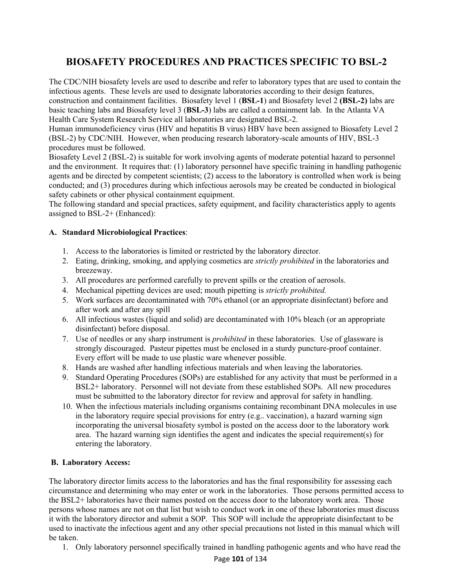# **BIOSAFETY PROCEDURES AND PRACTICES SPECIFIC TO BSL-2**

The CDC/NIH biosafety levels are used to describe and refer to laboratory types that are used to contain the infectious agents. These levels are used to designate laboratories according to their design features, construction and containment facilities. Biosafety level 1 (**BSL-1**) and Biosafety level 2 **(BSL-2)** labs are basic teaching labs and Biosafety level 3 (**BSL-3**) labs are called a containment lab. In the Atlanta VA Health Care System Research Service all laboratories are designated BSL-2.

Human immunodeficiency virus (HIV and hepatitis B virus) HBV have been assigned to Biosafety Level 2 (BSL-2) by CDC/NIH. However, when producing research laboratory-scale amounts of HIV, BSL-3 procedures must be followed.

Biosafety Level 2 (BSL-2) is suitable for work involving agents of moderate potential hazard to personnel and the environment. It requires that: (1) laboratory personnel have specific training in handling pathogenic agents and be directed by competent scientists; (2) access to the laboratory is controlled when work is being conducted; and (3) procedures during which infectious aerosols may be created be conducted in biological safety cabinets or other physical containment equipment.

The following standard and special practices, safety equipment, and facility characteristics apply to agents assigned to BSL-2+ (Enhanced):

#### **A. Standard Microbiological Practices**:

- 1. Access to the laboratories is limited or restricted by the laboratory director.
- 2. Eating, drinking, smoking, and applying cosmetics are *strictly prohibited* in the laboratories and breezeway.
- 3. All procedures are performed carefully to prevent spills or the creation of aerosols.
- 4. Mechanical pipetting devices are used; mouth pipetting is *strictly prohibited.*
- 5. Work surfaces are decontaminated with 70% ethanol (or an appropriate disinfectant) before and after work and after any spill
- 6. All infectious wastes (liquid and solid) are decontaminated with 10% bleach (or an appropriate disinfectant) before disposal.
- 7. Use of needles or any sharp instrument is *prohibited* in these laboratories. Use of glassware is strongly discouraged. Pasteur pipettes must be enclosed in a sturdy puncture-proof container. Every effort will be made to use plastic ware whenever possible.
- 8. Hands are washed after handling infectious materials and when leaving the laboratories.
- 9. Standard Operating Procedures (SOPs) are established for any activity that must be performed in a BSL2+ laboratory. Personnel will not deviate from these established SOPs. All new procedures must be submitted to the laboratory director for review and approval for safety in handling.
- 10. When the infectious materials including organisms containing recombinant DNA molecules in use in the laboratory require special provisions for entry (e.g.. vaccination), a hazard warning sign incorporating the universal biosafety symbol is posted on the access door to the laboratory work area. The hazard warning sign identifies the agent and indicates the special requirement(s) for entering the laboratory.

#### **B. Laboratory Access:**

The laboratory director limits access to the laboratories and has the final responsibility for assessing each circumstance and determining who may enter or work in the laboratories. Those persons permitted access to the BSL2+ laboratories have their names posted on the access door to the laboratory work area. Those persons whose names are not on that list but wish to conduct work in one of these laboratories must discuss it with the laboratory director and submit a SOP. This SOP will include the appropriate disinfectant to be used to inactivate the infectious agent and any other special precautions not listed in this manual which will be taken.

1. Only laboratory personnel specifically trained in handling pathogenic agents and who have read the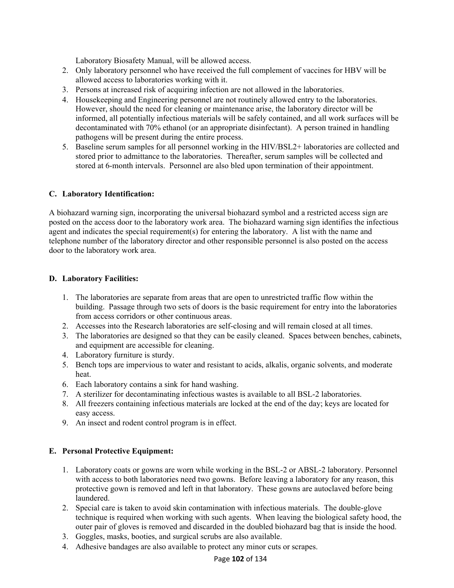Laboratory Biosafety Manual, will be allowed access.

- 2. Only laboratory personnel who have received the full complement of vaccines for HBV will be allowed access to laboratories working with it.
- 3. Persons at increased risk of acquiring infection are not allowed in the laboratories.
- 4. Housekeeping and Engineering personnel are not routinely allowed entry to the laboratories. However, should the need for cleaning or maintenance arise, the laboratory director will be informed, all potentially infectious materials will be safely contained, and all work surfaces will be decontaminated with 70% ethanol (or an appropriate disinfectant). A person trained in handling pathogens will be present during the entire process.
- 5. Baseline serum samples for all personnel working in the HIV/BSL2+ laboratories are collected and stored prior to admittance to the laboratories. Thereafter, serum samples will be collected and stored at 6-month intervals. Personnel are also bled upon termination of their appointment.

## **C. Laboratory Identification:**

A biohazard warning sign, incorporating the universal biohazard symbol and a restricted access sign are posted on the access door to the laboratory work area. The biohazard warning sign identifies the infectious agent and indicates the special requirement(s) for entering the laboratory. A list with the name and telephone number of the laboratory director and other responsible personnel is also posted on the access door to the laboratory work area.

#### **D. Laboratory Facilities:**

- 1. The laboratories are separate from areas that are open to unrestricted traffic flow within the building. Passage through two sets of doors is the basic requirement for entry into the laboratories from access corridors or other continuous areas.
- 2. Accesses into the Research laboratories are self-closing and will remain closed at all times.
- 3. The laboratories are designed so that they can be easily cleaned. Spaces between benches, cabinets, and equipment are accessible for cleaning.
- 4. Laboratory furniture is sturdy.
- 5. Bench tops are impervious to water and resistant to acids, alkalis, organic solvents, and moderate heat.
- 6. Each laboratory contains a sink for hand washing.
- 7. A sterilizer for decontaminating infectious wastes is available to all BSL-2 laboratories.
- 8. All freezers containing infectious materials are locked at the end of the day; keys are located for easy access.
- 9. An insect and rodent control program is in effect.

## **E. Personal Protective Equipment:**

- 1. Laboratory coats or gowns are worn while working in the BSL-2 or ABSL-2 laboratory. Personnel with access to both laboratories need two gowns. Before leaving a laboratory for any reason, this protective gown is removed and left in that laboratory. These gowns are autoclaved before being laundered.
- 2. Special care is taken to avoid skin contamination with infectious materials. The double-glove technique is required when working with such agents. When leaving the biological safety hood, the outer pair of gloves is removed and discarded in the doubled biohazard bag that is inside the hood.
- 3. Goggles, masks, booties, and surgical scrubs are also available.
- 4. Adhesive bandages are also available to protect any minor cuts or scrapes.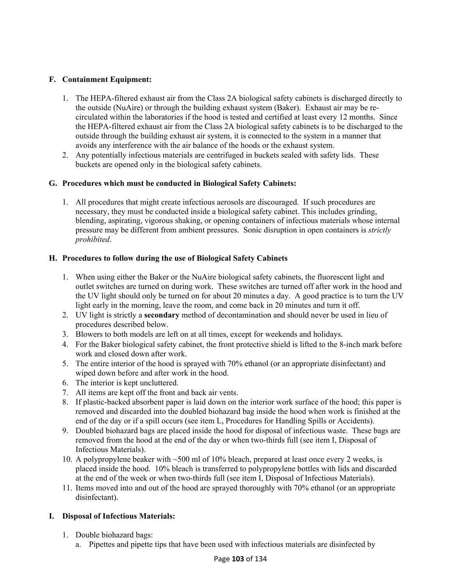# **F. Containment Equipment:**

- 1. The HEPA-filtered exhaust air from the Class 2A biological safety cabinets is discharged directly to the outside (NuAire) or through the building exhaust system (Baker). Exhaust air may be recirculated within the laboratories if the hood is tested and certified at least every 12 months. Since the HEPA-filtered exhaust air from the Class 2A biological safety cabinets is to be discharged to the outside through the building exhaust air system, it is connected to the system in a manner that avoids any interference with the air balance of the hoods or the exhaust system.
- 2. Any potentially infectious materials are centrifuged in buckets sealed with safety lids. These buckets are opened only in the biological safety cabinets.

## **G. Procedures which must be conducted in Biological Safety Cabinets:**

1. All procedures that might create infectious aerosols are discouraged. If such procedures are necessary, they must be conducted inside a biological safety cabinet. This includes grinding, blending, aspirating, vigorous shaking, or opening containers of infectious materials whose internal pressure may be different from ambient pressures. Sonic disruption in open containers is *strictly prohibited*.

## **H. Procedures to follow during the use of Biological Safety Cabinets**

- 1. When using either the Baker or the NuAire biological safety cabinets, the fluorescent light and outlet switches are turned on during work. These switches are turned off after work in the hood and the UV light should only be turned on for about 20 minutes a day. A good practice is to turn the UV light early in the morning, leave the room, and come back in 20 minutes and turn it off.
- 2. UV light is strictly a **secondary** method of decontamination and should never be used in lieu of procedures described below.
- 3. Blowers to both models are left on at all times, except for weekends and holidays.
- 4. For the Baker biological safety cabinet, the front protective shield is lifted to the 8-inch mark before work and closed down after work.
- 5. The entire interior of the hood is sprayed with 70% ethanol (or an appropriate disinfectant) and wiped down before and after work in the hood.
- 6. The interior is kept uncluttered.
- 7. All items are kept off the front and back air vents.
- 8. If plastic-backed absorbent paper is laid down on the interior work surface of the hood; this paper is removed and discarded into the doubled biohazard bag inside the hood when work is finished at the end of the day or if a spill occurs (see item L, Procedures for Handling Spills or Accidents).
- 9. Doubled biohazard bags are placed inside the hood for disposal of infectious waste. These bags are removed from the hood at the end of the day or when two-thirds full (see item I, Disposal of Infectious Materials).
- 10. A polypropylene beaker with ~500 ml of 10% bleach, prepared at least once every 2 weeks, is placed inside the hood. 10% bleach is transferred to polypropylene bottles with lids and discarded at the end of the week or when two-thirds full (see item I, Disposal of Infectious Materials).
- 11. Items moved into and out of the hood are sprayed thoroughly with 70% ethanol (or an appropriate disinfectant).

## **I. Disposal of Infectious Materials:**

- 1. Double biohazard bags:
	- a. Pipettes and pipette tips that have been used with infectious materials are disinfected by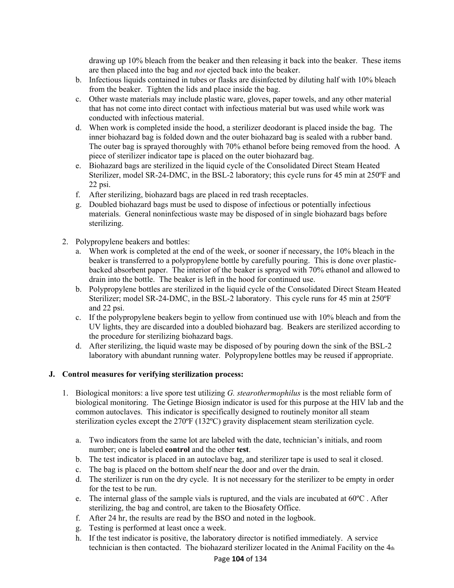drawing up 10% bleach from the beaker and then releasing it back into the beaker. These items are then placed into the bag and *not* ejected back into the beaker.

- b. Infectious liquids contained in tubes or flasks are disinfected by diluting half with 10% bleach from the beaker. Tighten the lids and place inside the bag.
- c. Other waste materials may include plastic ware, gloves, paper towels, and any other material that has not come into direct contact with infectious material but was used while work was conducted with infectious material.
- d. When work is completed inside the hood, a sterilizer deodorant is placed inside the bag. The inner biohazard bag is folded down and the outer biohazard bag is sealed with a rubber band. The outer bag is sprayed thoroughly with 70% ethanol before being removed from the hood. A piece of sterilizer indicator tape is placed on the outer biohazard bag.
- e. Biohazard bags are sterilized in the liquid cycle of the Consolidated Direct Steam Heated Sterilizer, model SR-24-DMC, in the BSL-2 laboratory; this cycle runs for 45 min at 250ºF and 22 psi.
- f. After sterilizing, biohazard bags are placed in red trash receptacles.
- g. Doubled biohazard bags must be used to dispose of infectious or potentially infectious materials. General noninfectious waste may be disposed of in single biohazard bags before sterilizing.
- 2. Polypropylene beakers and bottles:
	- a. When work is completed at the end of the week, or sooner if necessary, the 10% bleach in the beaker is transferred to a polypropylene bottle by carefully pouring. This is done over plasticbacked absorbent paper. The interior of the beaker is sprayed with 70% ethanol and allowed to drain into the bottle. The beaker is left in the hood for continued use.
	- b. Polypropylene bottles are sterilized in the liquid cycle of the Consolidated Direct Steam Heated Sterilizer; model SR-24-DMC, in the BSL-2 laboratory. This cycle runs for 45 min at 250ºF and 22 psi.
	- c. If the polypropylene beakers begin to yellow from continued use with 10% bleach and from the UV lights, they are discarded into a doubled biohazard bag. Beakers are sterilized according to the procedure for sterilizing biohazard bags.
	- d. After sterilizing, the liquid waste may be disposed of by pouring down the sink of the BSL-2 laboratory with abundant running water. Polypropylene bottles may be reused if appropriate.

#### **J. Control measures for verifying sterilization process:**

- 1. Biological monitors: a live spore test utilizing *G. stearothermophilus* is the most reliable form of biological monitoring. The Getinge Biosign indicator is used for this purpose at the HIV lab and the common autoclaves. This indicator is specifically designed to routinely monitor all steam sterilization cycles except the 270ºF (132ºC) gravity displacement steam sterilization cycle.
	- a. Two indicators from the same lot are labeled with the date, technician's initials, and room number; one is labeled **control** and the other **test**.
	- b. The test indicator is placed in an autoclave bag, and sterilizer tape is used to seal it closed.
	- c. The bag is placed on the bottom shelf near the door and over the drain.
	- d. The sterilizer is run on the dry cycle. It is not necessary for the sterilizer to be empty in order for the test to be run.
	- e. The internal glass of the sample vials is ruptured, and the vials are incubated at 60ºC . After sterilizing, the bag and control, are taken to the Biosafety Office.
	- f. After 24 hr, the results are read by the BSO and noted in the logbook.
	- g. Testing is performed at least once a week.
	- h. If the test indicator is positive, the laboratory director is notified immediately. A service technician is then contacted. The biohazard sterilizer located in the Animal Facility on the  $4<sub>th</sub>$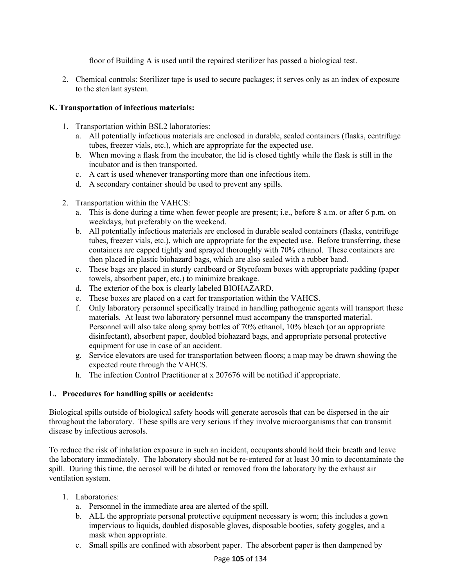floor of Building A is used until the repaired sterilizer has passed a biological test.

2. Chemical controls: Sterilizer tape is used to secure packages; it serves only as an index of exposure to the sterilant system.

#### **K. Transportation of infectious materials:**

- 1. Transportation within BSL2 laboratories:
	- a. All potentially infectious materials are enclosed in durable, sealed containers (flasks, centrifuge tubes, freezer vials, etc.), which are appropriate for the expected use.
	- b. When moving a flask from the incubator, the lid is closed tightly while the flask is still in the incubator and is then transported.
	- c. A cart is used whenever transporting more than one infectious item.
	- d. A secondary container should be used to prevent any spills.
- 2. Transportation within the VAHCS:
	- a. This is done during a time when fewer people are present; i.e., before 8 a.m. or after 6 p.m. on weekdays, but preferably on the weekend.
	- b. All potentially infectious materials are enclosed in durable sealed containers (flasks, centrifuge tubes, freezer vials, etc.), which are appropriate for the expected use. Before transferring, these containers are capped tightly and sprayed thoroughly with 70% ethanol. These containers are then placed in plastic biohazard bags, which are also sealed with a rubber band.
	- c. These bags are placed in sturdy cardboard or Styrofoam boxes with appropriate padding (paper towels, absorbent paper, etc.) to minimize breakage.
	- d. The exterior of the box is clearly labeled BIOHAZARD.
	- e. These boxes are placed on a cart for transportation within the VAHCS.
	- f. Only laboratory personnel specifically trained in handling pathogenic agents will transport these materials. At least two laboratory personnel must accompany the transported material. Personnel will also take along spray bottles of 70% ethanol, 10% bleach (or an appropriate disinfectant), absorbent paper, doubled biohazard bags, and appropriate personal protective equipment for use in case of an accident.
	- g. Service elevators are used for transportation between floors; a map may be drawn showing the expected route through the VAHCS.
	- h. The infection Control Practitioner at x 207676 will be notified if appropriate.

## **L. Procedures for handling spills or accidents:**

Biological spills outside of biological safety hoods will generate aerosols that can be dispersed in the air throughout the laboratory. These spills are very serious if they involve microorganisms that can transmit disease by infectious aerosols.

To reduce the risk of inhalation exposure in such an incident, occupants should hold their breath and leave the laboratory immediately. The laboratory should not be re-entered for at least 30 min to decontaminate the spill. During this time, the aerosol will be diluted or removed from the laboratory by the exhaust air ventilation system.

- 1. Laboratories:
	- a. Personnel in the immediate area are alerted of the spill.
	- b. ALL the appropriate personal protective equipment necessary is worn; this includes a gown impervious to liquids, doubled disposable gloves, disposable booties, safety goggles, and a mask when appropriate.
	- c. Small spills are confined with absorbent paper. The absorbent paper is then dampened by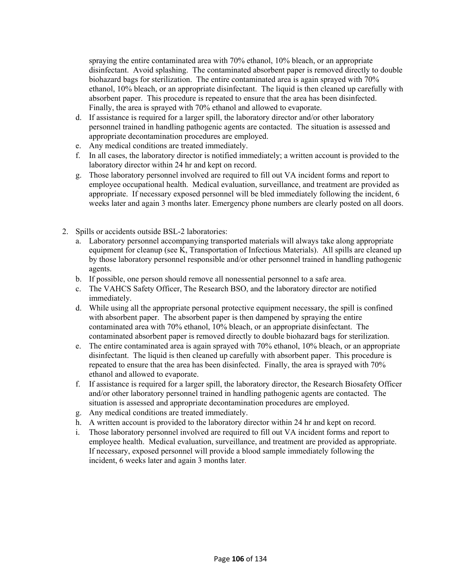spraying the entire contaminated area with 70% ethanol, 10% bleach, or an appropriate disinfectant. Avoid splashing. The contaminated absorbent paper is removed directly to double biohazard bags for sterilization. The entire contaminated area is again sprayed with 70% ethanol, 10% bleach, or an appropriate disinfectant. The liquid is then cleaned up carefully with absorbent paper. This procedure is repeated to ensure that the area has been disinfected. Finally, the area is sprayed with 70% ethanol and allowed to evaporate.

- d. If assistance is required for a larger spill, the laboratory director and/or other laboratory personnel trained in handling pathogenic agents are contacted. The situation is assessed and appropriate decontamination procedures are employed.
- e. Any medical conditions are treated immediately.
- f. In all cases, the laboratory director is notified immediately; a written account is provided to the laboratory director within 24 hr and kept on record.
- g. Those laboratory personnel involved are required to fill out VA incident forms and report to employee occupational health. Medical evaluation, surveillance, and treatment are provided as appropriate. If necessary exposed personnel will be bled immediately following the incident, 6 weeks later and again 3 months later. Emergency phone numbers are clearly posted on all doors.
- 2. Spills or accidents outside BSL-2 laboratories:
	- a. Laboratory personnel accompanying transported materials will always take along appropriate equipment for cleanup (see K, Transportation of Infectious Materials). All spills are cleaned up by those laboratory personnel responsible and/or other personnel trained in handling pathogenic agents.
	- b. If possible, one person should remove all nonessential personnel to a safe area.
	- c. The VAHCS Safety Officer, The Research BSO, and the laboratory director are notified immediately.
	- d. While using all the appropriate personal protective equipment necessary, the spill is confined with absorbent paper. The absorbent paper is then dampened by spraying the entire contaminated area with 70% ethanol, 10% bleach, or an appropriate disinfectant. The contaminated absorbent paper is removed directly to double biohazard bags for sterilization.
	- e. The entire contaminated area is again sprayed with 70% ethanol, 10% bleach, or an appropriate disinfectant. The liquid is then cleaned up carefully with absorbent paper. This procedure is repeated to ensure that the area has been disinfected. Finally, the area is sprayed with 70% ethanol and allowed to evaporate.
	- f. If assistance is required for a larger spill, the laboratory director, the Research Biosafety Officer and/or other laboratory personnel trained in handling pathogenic agents are contacted. The situation is assessed and appropriate decontamination procedures are employed.
	- g. Any medical conditions are treated immediately.
	- h. A written account is provided to the laboratory director within 24 hr and kept on record.
	- i. Those laboratory personnel involved are required to fill out VA incident forms and report to employee health. Medical evaluation, surveillance, and treatment are provided as appropriate. If necessary, exposed personnel will provide a blood sample immediately following the incident, 6 weeks later and again 3 months later.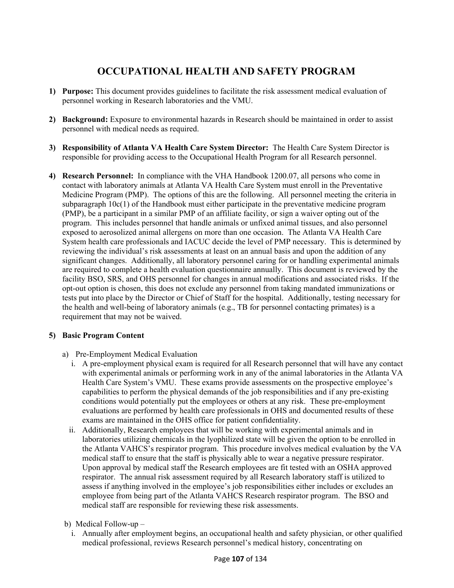## **OCCUPATIONAL HEALTH AND SAFETY PROGRAM**

- **1) Purpose:** This document provides guidelines to facilitate the risk assessment medical evaluation of personnel working in Research laboratories and the VMU.
- **2) Background:** Exposure to environmental hazards in Research should be maintained in order to assist personnel with medical needs as required.
- **3) Responsibility of Atlanta VA Health Care System Director:** The Health Care System Director is responsible for providing access to the Occupational Health Program for all Research personnel.
- **4) Research Personnel:** In compliance with the VHA Handbook 1200.07, all persons who come in contact with laboratory animals at Atlanta VA Health Care System must enroll in the Preventative Medicine Program (PMP). The options of this are the following. All personnel meeting the criteria in subparagraph 10c(1) of the Handbook must either participate in the preventative medicine program (PMP), be a participant in a similar PMP of an affiliate facility, or sign a waiver opting out of the program. This includes personnel that handle animals or unfixed animal tissues, and also personnel exposed to aerosolized animal allergens on more than one occasion. The Atlanta VA Health Care System health care professionals and IACUC decide the level of PMP necessary. This is determined by reviewing the individual's risk assessments at least on an annual basis and upon the addition of any significant changes. Additionally, all laboratory personnel caring for or handling experimental animals are required to complete a health evaluation questionnaire annually. This document is reviewed by the facility BSO, SRS, and OHS personnel for changes in annual modifications and associated risks. If the opt-out option is chosen, this does not exclude any personnel from taking mandated immunizations or tests put into place by the Director or Chief of Staff for the hospital. Additionally, testing necessary for the health and well-being of laboratory animals (e.g., TB for personnel contacting primates) is a requirement that may not be waived.

#### **5) Basic Program Content**

- a)Pre-Employment Medical Evaluation
	- i. A pre-employment physical exam is required for all Research personnel that will have any contact with experimental animals or performing work in any of the animal laboratories in the Atlanta VA Health Care System's VMU. These exams provide assessments on the prospective employee's capabilities to perform the physical demands of the job responsibilities and if any pre-existing conditions would potentially put the employees or others at any risk. These pre-employment evaluations are performed by health care professionals in OHS and documented results of these exams are maintained in the OHS office for patient confidentiality.
	- ii. Additionally, Research employees that will be working with experimental animals and in laboratories utilizing chemicals in the lyophilized state will be given the option to be enrolled in the Atlanta VAHCS's respirator program. This procedure involves medical evaluation by the VA medical staff to ensure that the staff is physically able to wear a negative pressure respirator. Upon approval by medical staff the Research employees are fit tested with an OSHA approved respirator. The annual risk assessment required by all Research laboratory staff is utilized to assess if anything involved in the employee's job responsibilities either includes or excludes an employee from being part of the Atlanta VAHCS Research respirator program. The BSO and medical staff are responsible for reviewing these risk assessments.
- b)Medical Follow-up
	- i. Annually after employment begins, an occupational health and safety physician, or other qualified medical professional, reviews Research personnel's medical history, concentrating on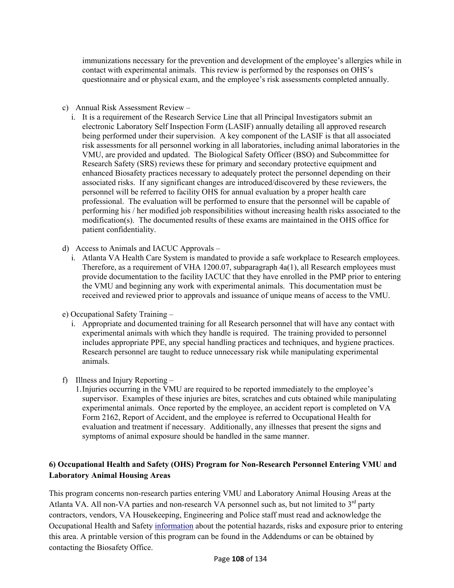immunizations necessary for the prevention and development of the employee's allergies while in contact with experimental animals. This review is performed by the responses on OHS's questionnaire and or physical exam, and the employee's risk assessments completed annually.

- c)Annual Risk Assessment Review
	- i. It is a requirement of the Research Service Line that all Principal Investigators submit an electronic Laboratory Self Inspection Form (LASIF) annually detailing all approved research being performed under their supervision. A key component of the LASIF is that all associated risk assessments for all personnel working in all laboratories, including animal laboratories in the VMU, are provided and updated. The Biological Safety Officer (BSO) and Subcommittee for Research Safety (SRS) reviews these for primary and secondary protective equipment and enhanced Biosafety practices necessary to adequately protect the personnel depending on their associated risks. If any significant changes are introduced/discovered by these reviewers, the personnel will be referred to facility OHS for annual evaluation by a proper health care professional. The evaluation will be performed to ensure that the personnel will be capable of performing his / her modified job responsibilities without increasing health risks associated to the modification(s). The documented results of these exams are maintained in the OHS office for patient confidentiality.
- d)Access to Animals and IACUC Approvals
	- i. Atlanta VA Health Care System is mandated to provide a safe workplace to Research employees. Therefore, as a requirement of VHA 1200.07, subparagraph 4a(1), all Research employees must provide documentation to the facility IACUC that they have enrolled in the PMP prior to entering the VMU and beginning any work with experimental animals. This documentation must be received and reviewed prior to approvals and issuance of unique means of access to the VMU.
- e) Occupational Safety Training
	- i. Appropriate and documented training for all Research personnel that will have any contact with experimental animals with which they handle is required. The training provided to personnel includes appropriate PPE, any special handling practices and techniques, and hygiene practices. Research personnel are taught to reduce unnecessary risk while manipulating experimental animals.
- f)Illness and Injury Reporting
	- 1.Injuries occurring in the VMU are required to be reported immediately to the employee's supervisor. Examples of these injuries are bites, scratches and cuts obtained while manipulating experimental animals. Once reported by the employee, an accident report is completed on VA Form 2162, Report of Accident, and the employee is referred to Occupational Health for evaluation and treatment if necessary. Additionally, any illnesses that present the signs and symptoms of animal exposure should be handled in the same manner.

#### **6) Occupational Health and Safety (OHS) Program for Non-Research Personnel Entering VMU and Laboratory Animal Housing Areas**

This program concerns non-research parties entering VMU and Laboratory Animal Housing Areas at the Atlanta VA. All non-VA parties and non-research VA personnel such as, but not limited to  $3<sup>rd</sup>$  party contractors, vendors, VA Housekeeping, Engineering and Police staff must read and acknowledge the Occupational Health and Safety information about the potential hazards, risks and exposure prior to entering this area. A printable version of this program can be found in the Addendums or can be obtained by contacting the Biosafety Office.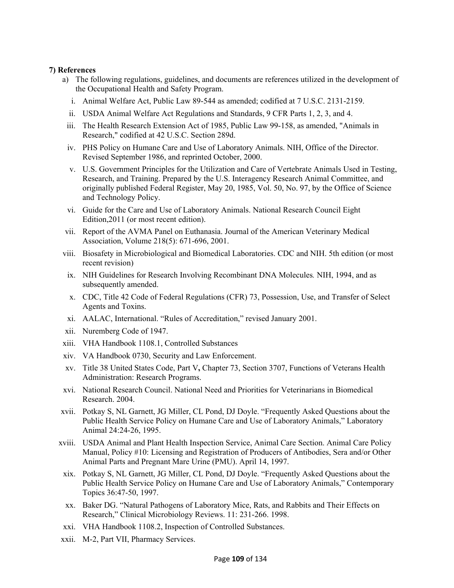#### **7) References**

- a)The following regulations, guidelines, and documents are references utilized in the development of the Occupational Health and Safety Program.
	- i. Animal Welfare Act, Public Law 89-544 as amended; codified at 7 U.S.C. 2131-2159.
	- ii. USDA Animal Welfare Act Regulations and Standards, 9 CFR Parts 1, 2, 3, and 4.
	- iii. The Health Research Extension Act of 1985, Public Law 99-158, as amended, "Animals in Research," codified at 42 U.S.C. Section 289d.
	- iv. PHS Policy on Humane Care and Use of Laboratory Animals. NIH, Office of the Director. Revised September 1986, and reprinted October, 2000.
	- v. U.S. Government Principles for the Utilization and Care of Vertebrate Animals Used in Testing, Research, and Training. Prepared by the U.S. Interagency Research Animal Committee, and originally published Federal Register, May 20, 1985, Vol. 50, No. 97, by the Office of Science and Technology Policy.
	- vi. Guide for the Care and Use of Laboratory Animals. National Research Council Eight Edition,2011 (or most recent edition).
- vii. Report of the AVMA Panel on Euthanasia. Journal of the American Veterinary Medical Association, Volume 218(5): 671-696, 2001.
- viii. Biosafety in Microbiological and Biomedical Laboratories. CDC and NIH. 5th edition (or most recent revision)
- ix. NIH Guidelines for Research Involving Recombinant DNA Molecules*.* NIH, 1994, and as subsequently amended.
- x. CDC, Title 42 Code of Federal Regulations (CFR) 73, Possession, Use, and Transfer of Select Agents and Toxins.
- xi. AALAC, International. "Rules of Accreditation," revised January 2001.
- xii. Nuremberg Code of 1947.
- xiii. VHA Handbook 1108.1, Controlled Substances
- xiv. VA Handbook 0730, Security and Law Enforcement.
- xv. Title 38 United States Code, Part V**,** Chapter 73, Section 3707, Functions of Veterans Health Administration: Research Programs.
- xvi. National Research Council. National Need and Priorities for Veterinarians in Biomedical Research. 2004.
- xvii. Potkay S, NL Garnett, JG Miller, CL Pond, DJ Doyle. "Frequently Asked Questions about the Public Health Service Policy on Humane Care and Use of Laboratory Animals," Laboratory Animal 24:24-26, 1995.
- xviii. USDA Animal and Plant Health Inspection Service, Animal Care Section. Animal Care Policy Manual, Policy #10: Licensing and Registration of Producers of Antibodies, Sera and/or Other Animal Parts and Pregnant Mare Urine (PMU). April 14, 1997.
- xix. Potkay S, NL Garnett, JG Miller, CL Pond, DJ Doyle. "Frequently Asked Questions about the Public Health Service Policy on Humane Care and Use of Laboratory Animals," Contemporary Topics 36:47-50, 1997.
- xx. Baker DG. "Natural Pathogens of Laboratory Mice, Rats, and Rabbits and Their Effects on Research," Clinical Microbiology Reviews. 11: 231-266. 1998.
- xxi. VHA Handbook 1108.2, Inspection of Controlled Substances.
- xxii. M-2, Part VII, Pharmacy Services.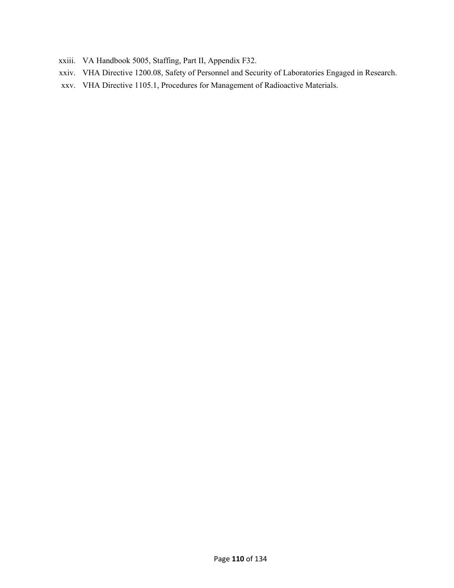- xxiii. VA Handbook 5005, Staffing, Part II, Appendix F32.
- xxiv. VHA Directive 1200.08, Safety of Personnel and Security of Laboratories Engaged in Research.
- xxv. VHA Directive 1105.1, Procedures for Management of Radioactive Materials.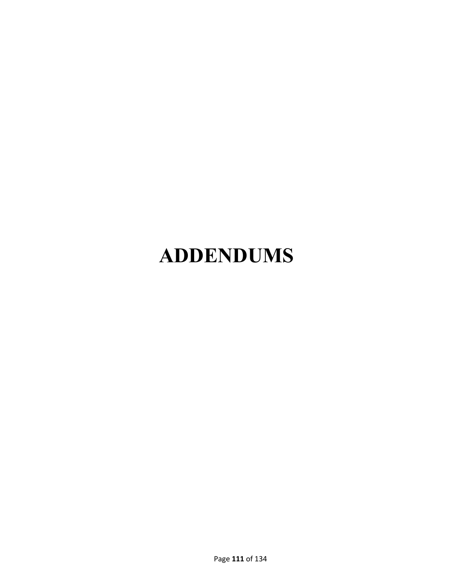# **ADDENDUMS**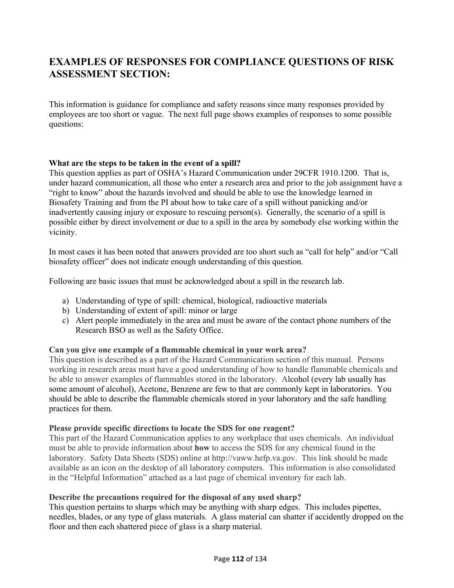## **EXAMPLES OF RESPONSES FOR COMPLIANCE QUESTIONS OF RISK ASSESSMENT SECTION:**

This information is guidance for compliance and safety reasons since many responses provided by employees are too short or vague. The next full page shows examples of responses to some possible questions:

#### **What are the steps to be taken in the event of a spill?**

This question applies as part of OSHA's Hazard Communication under 29CFR 1910.1200. That is, under hazard communication, all those who enter a research area and prior to the job assignment have a "right to know" about the hazards involved and should be able to use the knowledge learned in Biosafety Training and from the PI about how to take care of a spill without panicking and/or inadvertently causing injury or exposure to rescuing person(s). Generally, the scenario of a spill is possible either by direct involvement or due to a spill in the area by somebody else working within the vicinity.

In most cases it has been noted that answers provided are too short such as "call for help" and/or "Call biosafety officer" does not indicate enough understanding of this question.

Following are basic issues that must be acknowledged about a spill in the research lab.

- a) Understanding of type of spill: chemical, biological, radioactive materials
- b) Understanding of extent of spill: minor or large
- c) Alert people immediately in the area and must be aware of the contact phone numbers of the Research BSO as well as the Safety Office.

#### **Can you give one example of a flammable chemical in your work area?**

This question is described as a part of the Hazard Communication section of this manual. Persons working in research areas must have a good understanding of how to handle flammable chemicals and be able to answer examples of flammables stored in the laboratory. Alcohol (every lab usually has some amount of alcohol), Acetone, Benzene are few to that are commonly kept in laboratories. You should be able to describe the flammable chemicals stored in your laboratory and the safe handling practices for them.

#### **Please provide specific directions to locate the SDS for one reagent?**

This part of the Hazard Communication applies to any workplace that uses chemicals. An individual must be able to provide information about **how** to access the SDS for any chemical found in the laboratory. Safety Data Sheets (SDS) online at http://vaww.hefp.va.gov. This link should be made available as an icon on the desktop of all laboratory computers. This information is also consolidated in the "Helpful Information" attached as a last page of chemical inventory for each lab.

#### **Describe the precautions required for the disposal of any used sharp?**

This question pertains to sharps which may be anything with sharp edges. This includes pipettes, needles, blades, or any type of glass materials. A glass material can shatter if accidently dropped on the floor and then each shattered piece of glass is a sharp material.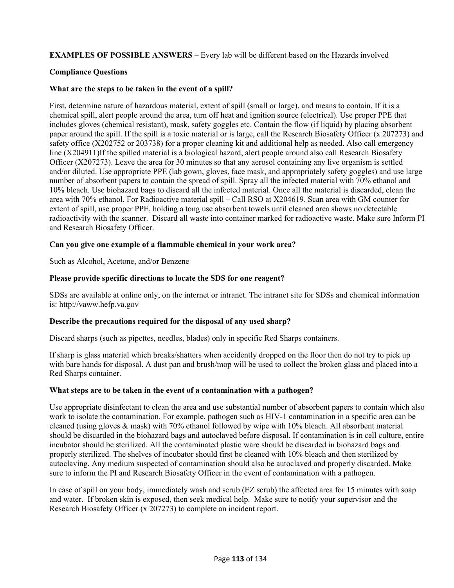**EXAMPLES OF POSSIBLE ANSWERS –** Every lab will be different based on the Hazards involved

#### **Compliance Questions**

#### **What are the steps to be taken in the event of a spill?**

First, determine nature of hazardous material, extent of spill (small or large), and means to contain. If it is a chemical spill, alert people around the area, turn off heat and ignition source (electrical). Use proper PPE that includes gloves (chemical resistant), mask, safety goggles etc. Contain the flow (if liquid) by placing absorbent paper around the spill. If the spill is a toxic material or is large, call the Research Biosafety Officer (x 207273) and safety office (X202752 or 203738) for a proper cleaning kit and additional help as needed. Also call emergency line (X204911)If the spilled material is a biological hazard, alert people around also call Research Biosafety Officer (X207273). Leave the area for 30 minutes so that any aerosol containing any live organism is settled and/or diluted. Use appropriate PPE (lab gown, gloves, face mask, and appropriately safety goggles) and use large number of absorbent papers to contain the spread of spill. Spray all the infected material with 70% ethanol and 10% bleach. Use biohazard bags to discard all the infected material. Once all the material is discarded, clean the area with 70% ethanol. For Radioactive material spill – Call RSO at X204619. Scan area with GM counter for extent of spill, use proper PPE, holding a tong use absorbent towels until cleaned area shows no detectable radioactivity with the scanner. Discard all waste into container marked for radioactive waste. Make sure Inform PI and Research Biosafety Officer.

#### **Can you give one example of a flammable chemical in your work area?**

Such as Alcohol, Acetone, and/or Benzene

#### **Please provide specific directions to locate the SDS for one reagent?**

SDSs are available at online only, on the internet or intranet. The intranet site for SDSs and chemical information is: http://vaww.hefp.va.gov

#### **Describe the precautions required for the disposal of any used sharp?**

Discard sharps (such as pipettes, needles, blades) only in specific Red Sharps containers.

If sharp is glass material which breaks/shatters when accidently dropped on the floor then do not try to pick up with bare hands for disposal. A dust pan and brush/mop will be used to collect the broken glass and placed into a Red Sharps container.

#### **What steps are to be taken in the event of a contamination with a pathogen?**

Use appropriate disinfectant to clean the area and use substantial number of absorbent papers to contain which also work to isolate the contamination. For example, pathogen such as HIV-1 contamination in a specific area can be cleaned (using gloves & mask) with 70% ethanol followed by wipe with 10% bleach. All absorbent material should be discarded in the biohazard bags and autoclaved before disposal. If contamination is in cell culture, entire incubator should be sterilized. All the contaminated plastic ware should be discarded in biohazard bags and properly sterilized. The shelves of incubator should first be cleaned with 10% bleach and then sterilized by autoclaving. Any medium suspected of contamination should also be autoclaved and properly discarded. Make sure to inform the PI and Research Biosafety Officer in the event of contamination with a pathogen.

In case of spill on your body, immediately wash and scrub (EZ scrub) the affected area for 15 minutes with soap and water. If broken skin is exposed, then seek medical help. Make sure to notify your supervisor and the Research Biosafety Officer (x 207273) to complete an incident report.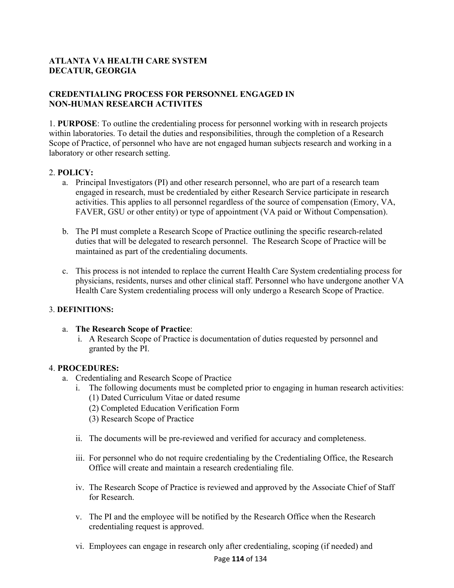#### **ATLANTA VA HEALTH CARE SYSTEM DECATUR, GEORGIA**

#### **CREDENTIALING PROCESS FOR PERSONNEL ENGAGED IN NON-HUMAN RESEARCH ACTIVITES**

1. **PURPOSE**: To outline the credentialing process for personnel working with in research projects within laboratories. To detail the duties and responsibilities, through the completion of a Research Scope of Practice, of personnel who have are not engaged human subjects research and working in a laboratory or other research setting.

#### 2. **POLICY:**

- a.Principal Investigators (PI) and other research personnel, who are part of a research team engaged in research, must be credentialed by either Research Service participate in research activities. This applies to all personnel regardless of the source of compensation (Emory, VA, FAVER, GSU or other entity) or type of appointment (VA paid or Without Compensation).
- b.The PI must complete a Research Scope of Practice outlining the specific research-related duties that will be delegated to research personnel. The Research Scope of Practice will be maintained as part of the credentialing documents.
- c.This process is not intended to replace the current Health Care System credentialing process for physicians, residents, nurses and other clinical staff. Personnel who have undergone another VA Health Care System credentialing process will only undergo a Research Scope of Practice.

#### 3. **DEFINITIONS:**

#### a. **The Research Scope of Practice**:

 i.A Research Scope of Practice is documentation of duties requested by personnel and granted by the PI.

#### 4. **PROCEDURES:**

- a.Credentialing and Research Scope of Practice
	- i. The following documents must be completed prior to engaging in human research activities: (1) Dated Curriculum Vitae or dated resume
		- (2) Completed Education Verification Form
		- (3) Research Scope of Practice
	- ii.The documents will be pre-reviewed and verified for accuracy and completeness.
	- iii. For personnel who do not require credentialing by the Credentialing Office, the Research Office will create and maintain a research credentialing file.
	- iv. The Research Scope of Practice is reviewed and approved by the Associate Chief of Staff for Research.
	- v. The PI and the employee will be notified by the Research Office when the Research credentialing request is approved.
	- vi. Employees can engage in research only after credentialing, scoping (if needed) and

#### Page **114** of 134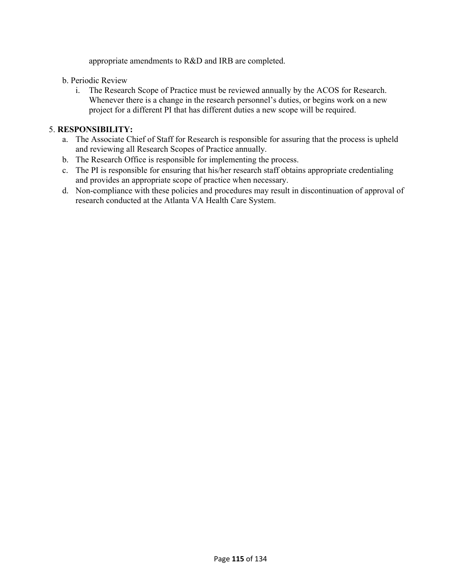appropriate amendments to R&D and IRB are completed.

#### b. Periodic Review

i.The Research Scope of Practice must be reviewed annually by the ACOS for Research. Whenever there is a change in the research personnel's duties, or begins work on a new project for a different PI that has different duties a new scope will be required.

#### 5. **RESPONSIBILITY:**

- a.The Associate Chief of Staff for Research is responsible for assuring that the process is upheld and reviewing all Research Scopes of Practice annually.
- b.The Research Office is responsible for implementing the process.
- c.The PI is responsible for ensuring that his/her research staff obtains appropriate credentialing and provides an appropriate scope of practice when necessary.
- d. Non-compliance with these policies and procedures may result in discontinuation of approval of research conducted at the Atlanta VA Health Care System.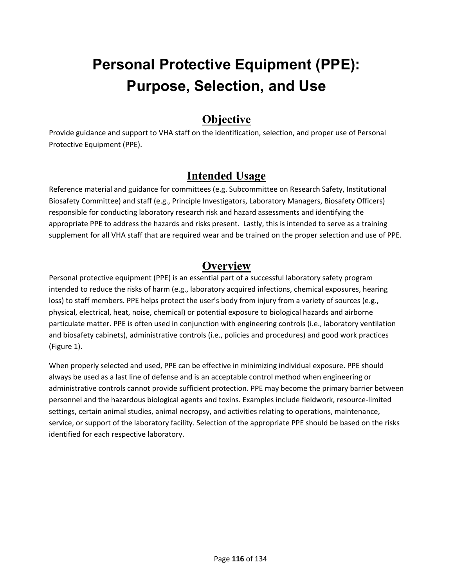## **Personal Protective Equipment (PPE): Purpose, Selection, and Use**

## **Objective**

Provide guidance and support to VHA staff on the identification, selection, and proper use of Personal Protective Equipment (PPE).

## **Intended Usage**

Reference material and guidance for committees (e.g. Subcommittee on Research Safety, Institutional Biosafety Committee) and staff (e.g., Principle Investigators, Laboratory Managers, Biosafety Officers) responsible for conducting laboratory research risk and hazard assessments and identifying the appropriate PPE to address the hazards and risks present. Lastly, this is intended to serve as a training supplement for all VHA staff that are required wear and be trained on the proper selection and use of PPE.

## **Overview**

Personal protective equipment (PPE) is an essential part of a successful laboratory safety program intended to reduce the risks of harm (e.g., laboratory acquired infections, chemical exposures, hearing loss) to staff members. PPE helps protect the user's body from injury from a variety of sources (e.g., physical, electrical, heat, noise, chemical) or potential exposure to biological hazards and airborne particulate matter. PPE is often used in conjunction with engineering controls (i.e., laboratory ventilation and biosafety cabinets), administrative controls (i.e., policies and procedures) and good work practices (Figure 1).

When properly selected and used, PPE can be effective in minimizing individual exposure. PPE should always be used as a last line of defense and is an acceptable control method when engineering or administrative controls cannot provide sufficient protection. PPE may become the primary barrier between personnel and the hazardous biological agents and toxins. Examples include fieldwork, resource‐limited settings, certain animal studies, animal necropsy, and activities relating to operations, maintenance, service, or support of the laboratory facility. Selection of the appropriate PPE should be based on the risks identified for each respective laboratory.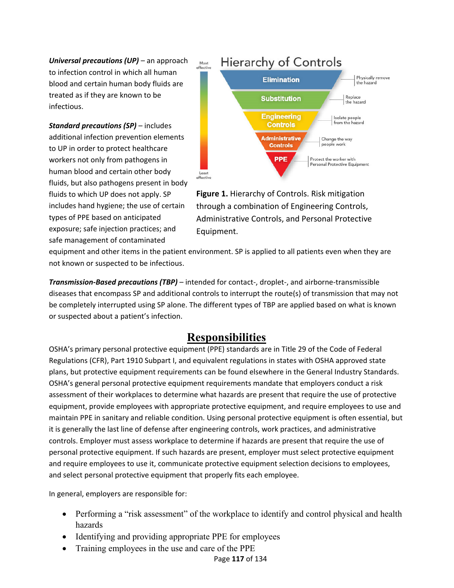*Universal precautions (UP)* – an approach to infection control in which all human blood and certain human body fluids are treated as if they are known to be infectious.

*Standard precautions (SP)* – includes additional infection prevention elements to UP in order to protect healthcare workers not only from pathogens in human blood and certain other body fluids, but also pathogens present in body fluids to which UP does not apply. SP includes hand hygiene; the use of certain types of PPE based on anticipated exposure; safe injection practices; and safe management of contaminated



**Figure 1.** Hierarchy of Controls. Risk mitigation through a combination of Engineering Controls, Administrative Controls, and Personal Protective Equipment.

equipment and other items in the patient environment. SP is applied to all patients even when they are not known or suspected to be infectious.

*Transmission‐Based precautions (TBP)* – intended for contact‐, droplet‐, and airborne‐transmissible diseases that encompass SP and additional controls to interrupt the route(s) of transmission that may not be completely interrupted using SP alone. The different types of TBP are applied based on what is known or suspected about a patient's infection.

## **Responsibilities**

OSHA's primary personal protective equipment (PPE) standards are in Title 29 of the Code of Federal Regulations (CFR), Part 1910 Subpart I, and equivalent regulations in states with OSHA approved state plans, but protective equipment requirements can be found elsewhere in the General Industry Standards. OSHA's general personal protective equipment requirements mandate that employers conduct a risk assessment of their workplaces to determine what hazards are present that require the use of protective equipment, provide employees with appropriate protective equipment, and require employees to use and maintain PPE in sanitary and reliable condition. Using personal protective equipment is often essential, but it is generally the last line of defense after engineering controls, work practices, and administrative controls. Employer must assess workplace to determine if hazards are present that require the use of personal protective equipment. If such hazards are present, employer must select protective equipment and require employees to use it, communicate protective equipment selection decisions to employees, and select personal protective equipment that properly fits each employee.

In general, employers are responsible for:

- Performing a "risk assessment" of the workplace to identify and control physical and health hazards
- Identifying and providing appropriate PPE for employees
- Training employees in the use and care of the PPE

#### Page **117** of 134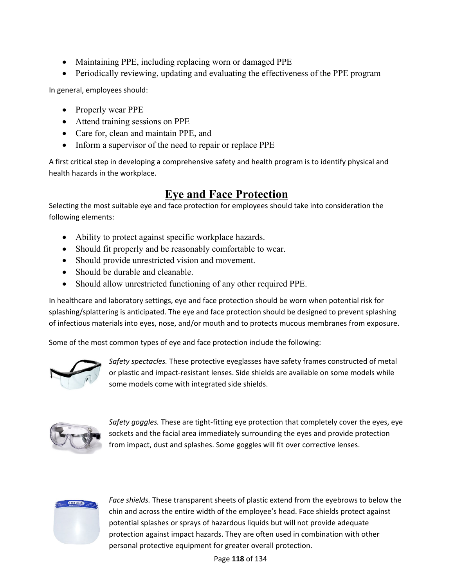- Maintaining PPE, including replacing worn or damaged PPE
- Periodically reviewing, updating and evaluating the effectiveness of the PPE program

In general, employees should:

- Properly wear PPE
- Attend training sessions on PPE
- Care for, clean and maintain PPE, and
- Inform a supervisor of the need to repair or replace PPE

A first critical step in developing a comprehensive safety and health program is to identify physical and health hazards in the workplace.

## **Eye and Face Protection**

Selecting the most suitable eye and face protection for employees should take into consideration the following elements:

- Ability to protect against specific workplace hazards.
- Should fit properly and be reasonably comfortable to wear.
- Should provide unrestricted vision and movement.
- Should be durable and cleanable.
- Should allow unrestricted functioning of any other required PPE.

In healthcare and laboratory settings, eye and face protection should be worn when potential risk for splashing/splattering is anticipated. The eye and face protection should be designed to prevent splashing of infectious materials into eyes, nose, and/or mouth and to protects mucous membranes from exposure.

Some of the most common types of eye and face protection include the following:



*Safety spectacles.* These protective eyeglasses have safety frames constructed of metal or plastic and impact‐resistant lenses. Side shields are available on some models while some models come with integrated side shields.



*Safety goggles.* These are tight‐fitting eye protection that completely cover the eyes, eye sockets and the facial area immediately surrounding the eyes and provide protection from impact, dust and splashes. Some goggles will fit over corrective lenses.



*Face shields.* These transparent sheets of plastic extend from the eyebrows to below the chin and across the entire width of the employee's head. Face shields protect against potential splashes or sprays of hazardous liquids but will not provide adequate protection against impact hazards. They are often used in combination with other personal protective equipment for greater overall protection.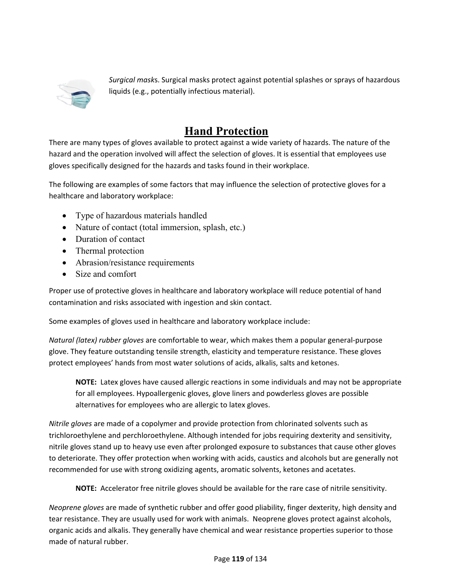

*Surgical mask*s. Surgical masks protect against potential splashes or sprays of hazardous liquids (e.g., potentially infectious material).

## **Hand Protection**

There are many types of gloves available to protect against a wide variety of hazards. The nature of the hazard and the operation involved will affect the selection of gloves. It is essential that employees use gloves specifically designed for the hazards and tasks found in their workplace.

The following are examples of some factors that may influence the selection of protective gloves for a healthcare and laboratory workplace:

- Type of hazardous materials handled
- Nature of contact (total immersion, splash, etc.)
- Duration of contact
- Thermal protection
- Abrasion/resistance requirements
- Size and comfort

Proper use of protective gloves in healthcare and laboratory workplace will reduce potential of hand contamination and risks associated with ingestion and skin contact.

Some examples of gloves used in healthcare and laboratory workplace include:

*Natural (latex) rubber gloves* are comfortable to wear, which makes them a popular general‐purpose glove. They feature outstanding tensile strength, elasticity and temperature resistance. These gloves protect employees' hands from most water solutions of acids, alkalis, salts and ketones.

**NOTE:** Latex gloves have caused allergic reactions in some individuals and may not be appropriate for all employees. Hypoallergenic gloves, glove liners and powderless gloves are possible alternatives for employees who are allergic to latex gloves.

*Nitrile gloves* are made of a copolymer and provide protection from chlorinated solvents such as trichloroethylene and perchloroethylene. Although intended for jobs requiring dexterity and sensitivity, nitrile gloves stand up to heavy use even after prolonged exposure to substances that cause other gloves to deteriorate. They offer protection when working with acids, caustics and alcohols but are generally not recommended for use with strong oxidizing agents, aromatic solvents, ketones and acetates.

**NOTE:** Accelerator free nitrile gloves should be available for the rare case of nitrile sensitivity.

*Neoprene gloves* are made of synthetic rubber and offer good pliability, finger dexterity, high density and tear resistance. They are usually used for work with animals. Neoprene gloves protect against alcohols, organic acids and alkalis. They generally have chemical and wear resistance properties superior to those made of natural rubber.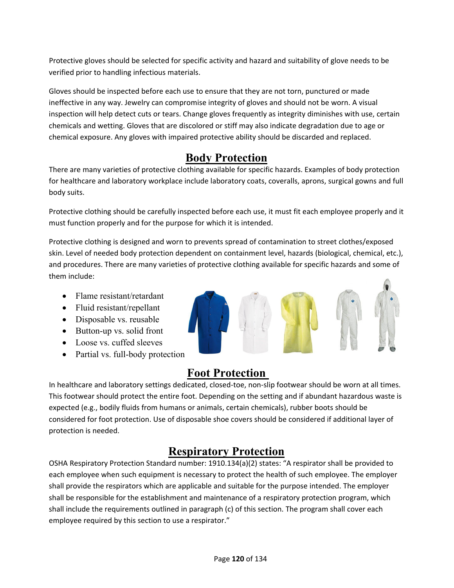Protective gloves should be selected for specific activity and hazard and suitability of glove needs to be verified prior to handling infectious materials.

Gloves should be inspected before each use to ensure that they are not torn, punctured or made ineffective in any way. Jewelry can compromise integrity of gloves and should not be worn. A visual inspection will help detect cuts or tears. Change gloves frequently as integrity diminishes with use, certain chemicals and wetting. Gloves that are discolored or stiff may also indicate degradation due to age or chemical exposure. Any gloves with impaired protective ability should be discarded and replaced.

## **Body Protection**

There are many varieties of protective clothing available for specific hazards. Examples of body protection for healthcare and laboratory workplace include laboratory coats, coveralls, aprons, surgical gowns and full body suits.

Protective clothing should be carefully inspected before each use, it must fit each employee properly and it must function properly and for the purpose for which it is intended.

Protective clothing is designed and worn to prevents spread of contamination to street clothes/exposed skin. Level of needed body protection dependent on containment level, hazards (biological, chemical, etc.), and procedures. There are many varieties of protective clothing available for specific hazards and some of them include:

- Flame resistant/retardant
- Fluid resistant/repellant
- Disposable vs. reusable
- Button-up vs. solid front
- Loose vs. cuffed sleeves
- Partial vs. full-body protection

## **Foot Protection**

In healthcare and laboratory settings dedicated, closed‐toe, non‐slip footwear should be worn at all times. This footwear should protect the entire foot. Depending on the setting and if abundant hazardous waste is expected (e.g., bodily fluids from humans or animals, certain chemicals), rubber boots should be considered for foot protection. Use of disposable shoe covers should be considered if additional layer of protection is needed.

## **Respiratory Protection**

OSHA Respiratory Protection Standard number: 1910.134(a)(2) states: "A respirator shall be provided to each employee when such equipment is necessary to protect the health of such employee. The employer shall provide the respirators which are applicable and suitable for the purpose intended. The employer shall be responsible for the establishment and maintenance of a respiratory protection program, which shall include the requirements outlined in paragraph (c) of this section. The program shall cover each employee required by this section to use a respirator."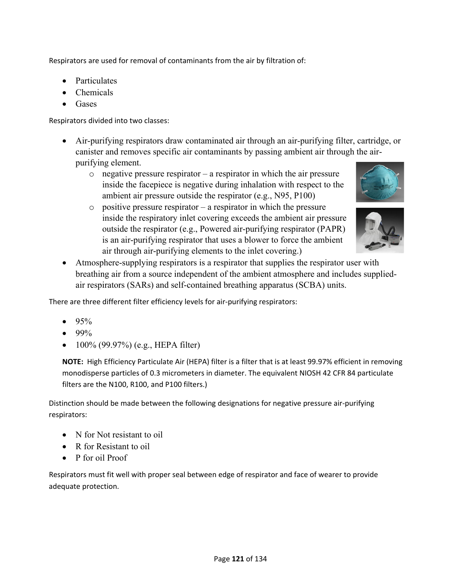Respirators are used for removal of contaminants from the air by filtration of:

- Particulates
- Chemicals
- **Gases**

Respirators divided into two classes:

- Air-purifying respirators draw contaminated air through an air-purifying filter, cartridge, or canister and removes specific air contaminants by passing ambient air through the airpurifying element.
	- $\circ$  negative pressure respirator a respirator in which the air pressure inside the facepiece is negative during inhalation with respect to the ambient air pressure outside the respirator (e.g., N95, P100)
- 
- $\circ$  positive pressure respirator a respirator in which the pressure inside the respiratory inlet covering exceeds the ambient air pressure outside the respirator (e.g., Powered air-purifying respirator (PAPR) is an air-purifying respirator that uses a blower to force the ambient air through air-purifying elements to the inlet covering.)



 Atmosphere-supplying respirators is a respirator that supplies the respirator user with breathing air from a source independent of the ambient atmosphere and includes suppliedair respirators (SARs) and self-contained breathing apparatus (SCBA) units.

There are three different filter efficiency levels for air‐purifying respirators:

- 95%
- 99%
- $-100\%$  (99.97%) (e.g., HEPA filter)

**NOTE:** High Efficiency Particulate Air (HEPA) filter is a filter that is at least 99.97% efficient in removing monodisperse particles of 0.3 micrometers in diameter. The equivalent NIOSH 42 CFR 84 particulate filters are the N100, R100, and P100 filters.)

Distinction should be made between the following designations for negative pressure air‐purifying respirators:

- N for Not resistant to oil
- R for Resistant to oil
- P for oil Proof

Respirators must fit well with proper seal between edge of respirator and face of wearer to provide adequate protection.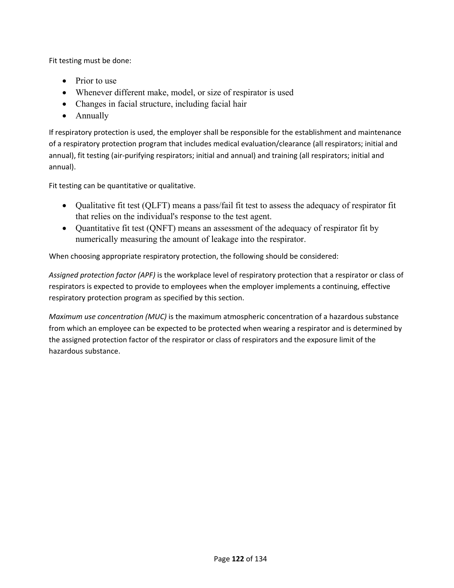Fit testing must be done:

- Prior to use
- Whenever different make, model, or size of respirator is used
- Changes in facial structure, including facial hair
- Annually

If respiratory protection is used, the employer shall be responsible for the establishment and maintenance of a respiratory protection program that includes medical evaluation/clearance (all respirators; initial and annual), fit testing (air-purifying respirators; initial and annual) and training (all respirators; initial and annual).

Fit testing can be quantitative or qualitative.

- Qualitative fit test (QLFT) means a pass/fail fit test to assess the adequacy of respirator fit that relies on the individual's response to the test agent.
- Quantitative fit test (QNFT) means an assessment of the adequacy of respirator fit by numerically measuring the amount of leakage into the respirator.

When choosing appropriate respiratory protection, the following should be considered:

*Assigned protection factor (APF)* is the workplace level of respiratory protection that a respirator or class of respirators is expected to provide to employees when the employer implements a continuing, effective respiratory protection program as specified by this section.

*Maximum use concentration (MUC)* is the maximum atmospheric concentration of a hazardous substance from which an employee can be expected to be protected when wearing a respirator and is determined by the assigned protection factor of the respirator or class of respirators and the exposure limit of the hazardous substance.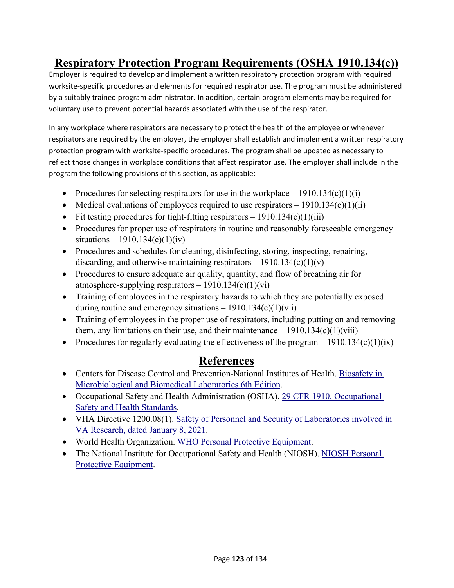## **Respiratory Protection Program Requirements (OSHA 1910.134(c))**

Employer is required to develop and implement a written respiratory protection program with required worksite-specific procedures and elements for required respirator use. The program must be administered by a suitably trained program administrator. In addition, certain program elements may be required for voluntary use to prevent potential hazards associated with the use of the respirator.

In any workplace where respirators are necessary to protect the health of the employee or whenever respirators are required by the employer, the employer shall establish and implement a written respiratory protection program with worksite‐specific procedures. The program shall be updated as necessary to reflect those changes in workplace conditions that affect respirator use. The employer shall include in the program the following provisions of this section, as applicable:

- Procedures for selecting respirators for use in the workplace  $-1910.134(c)(1)(i)$
- $\bullet$  Medical evaluations of employees required to use respirators  $-1910.134(c)(1)(ii)$
- Fit testing procedures for tight-fitting respirators  $-1910.134(c)(1)(iii)$
- Procedures for proper use of respirators in routine and reasonably foreseeable emergency situations – 1910.134(c)(1)(iv)
- Procedures and schedules for cleaning, disinfecting, storing, inspecting, repairing, discarding, and otherwise maintaining respirators  $-1910.134(c)(1)(v)$
- Procedures to ensure adequate air quality, quantity, and flow of breathing air for atmosphere-supplying respirators  $-1910.134(c)(1)(vi)$
- Training of employees in the respiratory hazards to which they are potentially exposed during routine and emergency situations  $-1910.134(c)(1)(vii)$
- Training of employees in the proper use of respirators, including putting on and removing them, any limitations on their use, and their maintenance  $-1910.134(c)(1)(viii)$
- Procedures for regularly evaluating the effectiveness of the program  $1910.134(c)(1)(ix)$

## **References**

- Centers for Disease Control and Prevention-National Institutes of Health. Biosafety in Microbiological and Biomedical Laboratories 6th Edition.
- Occupational Safety and Health Administration (OSHA). 29 CFR 1910, Occupational Safety and Health Standards.
- VHA Directive 1200.08(1). Safety of Personnel and Security of Laboratories involved in VA Research, dated January 8, 2021.
- World Health Organization. WHO Personal Protective Equipment.
- The National Institute for Occupational Safety and Health (NIOSH). NIOSH Personal Protective Equipment.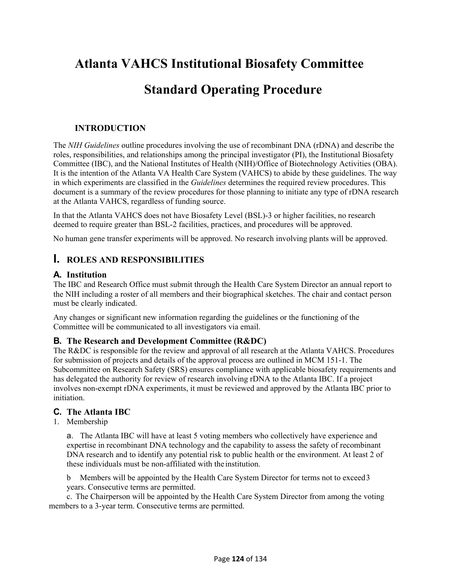## **Atlanta VAHCS Institutional Biosafety Committee**

## **Standard Operating Procedure**

#### **INTRODUCTION**

The *NIH Guidelines* outline procedures involving the use of recombinant DNA (rDNA) and describe the roles, responsibilities, and relationships among the principal investigator (PI), the Institutional Biosafety Committee (IBC), and the National Institutes of Health (NIH)/Office of Biotechnology Activities (OBA). It is the intention of the Atlanta VA Health Care System (VAHCS) to abide by these guidelines. The way in which experiments are classified in the *Guidelines* determines the required review procedures. This document is a summary of the review procedures for those planning to initiate any type of rDNA research at the Atlanta VAHCS, regardless of funding source.

In that the Atlanta VAHCS does not have Biosafety Level (BSL)-3 or higher facilities, no research deemed to require greater than BSL-2 facilities, practices, and procedures will be approved.

No human gene transfer experiments will be approved. No research involving plants will be approved.

#### **I. ROLES AND RESPONSIBILITIES**

#### **A. Institution**

The IBC and Research Office must submit through the Health Care System Director an annual report to the NIH including a roster of all members and their biographical sketches. The chair and contact person must be clearly indicated.

Any changes or significant new information regarding the guidelines or the functioning of the Committee will be communicated to all investigators via email.

#### **B. The Research and Development Committee (R&DC)**

The R&DC is responsible for the review and approval of all research at the Atlanta VAHCS. Procedures for submission of projects and details of the approval process are outlined in MCM 151-1. The Subcommittee on Research Safety (SRS) ensures compliance with applicable biosafety requirements and has delegated the authority for review of research involving rDNA to the Atlanta IBC. If a project involves non-exempt rDNA experiments, it must be reviewed and approved by the Atlanta IBC prior to initiation.

#### **C. The Atlanta IBC**

1. Membership

a. The Atlanta IBC will have at least 5 voting members who collectively have experience and expertise in recombinant DNA technology and the capability to assess the safety of recombinant DNA research and to identify any potential risk to public health or the environment. At least 2 of these individuals must be non-affiliated with the institution.

b Members will be appointed by the Health Care System Director for terms not to exceed 3 years. Consecutive terms are permitted.

c. The Chairperson will be appointed by the Health Care System Director from among the voting members to a 3-year term. Consecutive terms are permitted.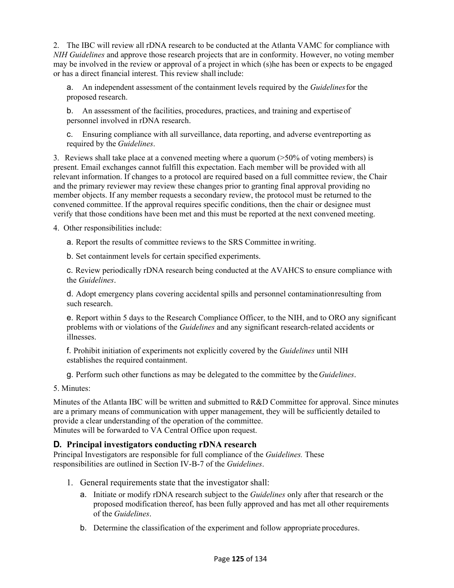2. The IBC will review all rDNA research to be conducted at the Atlanta VAMC for compliance with *NIH Guidelines* and approve those research projects that are in conformity. However, no voting member may be involved in the review or approval of a project in which (s)he has been or expects to be engaged or has a direct financial interest. This review shall include:

a. An independent assessment of the containment levels required by the *Guidelines* for the proposed research.

b. An assessment of the facilities, procedures, practices, and training and expertise of personnel involved in rDNA research.

c. Ensuring compliance with all surveillance, data reporting, and adverse event reporting as required by the *Guidelines*.

3. Reviews shall take place at a convened meeting where a quorum (>50% of voting members) is present. Email exchanges cannot fulfill this expectation. Each member will be provided with all relevant information. If changes to a protocol are required based on a full committee review, the Chair and the primary reviewer may review these changes prior to granting final approval providing no member objects. If any member requests a secondary review, the protocol must be returned to the convened committee. If the approval requires specific conditions, then the chair or designee must verify that those conditions have been met and this must be reported at the next convened meeting.

4. Other responsibilities include:

a. Report the results of committee reviews to the SRS Committee in writing.

b. Set containment levels for certain specified experiments.

c. Review periodically rDNA research being conducted at the AVAHCS to ensure compliance with the *Guidelines*.

d. Adopt emergency plans covering accidental spills and personnel contamination resulting from such research.

e. Report within 5 days to the Research Compliance Officer, to the NIH, and to ORO any significant problems with or violations of the *Guidelines* and any significant research-related accidents or illnesses.

f. Prohibit initiation of experiments not explicitly covered by the *Guidelines* until NIH establishes the required containment.

g. Perform such other functions as may be delegated to the committee by the *Guidelines*.

5. Minutes:

Minutes of the Atlanta IBC will be written and submitted to R&D Committee for approval. Since minutes are a primary means of communication with upper management, they will be sufficiently detailed to provide a clear understanding of the operation of the committee. Minutes will be forwarded to VA Central Office upon request.

#### **D. Principal investigators conducting rDNA research**

Principal Investigators are responsible for full compliance of the *Guidelines.* These responsibilities are outlined in Section IV-B-7 of the *Guidelines*.

- 1. General requirements state that the investigator shall:
	- a. Initiate or modify rDNA research subject to the *Guidelines* only after that research or the proposed modification thereof, has been fully approved and has met all other requirements of the *Guidelines*.
	- b. Determine the classification of the experiment and follow appropriate procedures.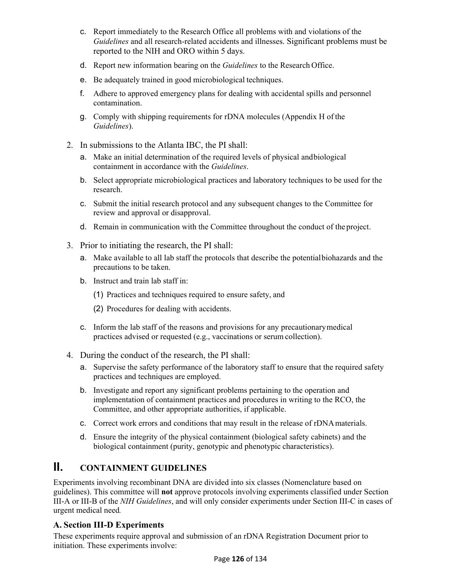- c. Report immediately to the Research Office all problems with and violations of the *Guidelines* and all research-related accidents and illnesses. Significant problems must be reported to the NIH and ORO within 5 days.
- d. Report new information bearing on the *Guidelines* to the Research Office.
- e. Be adequately trained in good microbiological techniques.
- f. Adhere to approved emergency plans for dealing with accidental spills and personnel contamination.
- g. Comply with shipping requirements for rDNA molecules (Appendix H of the *Guidelines*).
- 2. In submissions to the Atlanta IBC, the PI shall:
	- a. Make an initial determination of the required levels of physical and biological containment in accordance with the *Guidelines*.
	- b. Select appropriate microbiological practices and laboratory techniques to be used for the research.
	- c. Submit the initial research protocol and any subsequent changes to the Committee for review and approval or disapproval.
	- d. Remain in communication with the Committee throughout the conduct of the project.
- 3. Prior to initiating the research, the PI shall:
	- a. Make available to all lab staff the protocols that describe the potential biohazards and the precautions to be taken.
	- b. Instruct and train lab staff in:
		- (1) Practices and techniques required to ensure safety, and
		- (2) Procedures for dealing with accidents.
	- c. Inform the lab staff of the reasons and provisions for any precautionary medical practices advised or requested (e.g., vaccinations or serum collection).
- 4. During the conduct of the research, the PI shall:
	- a. Supervise the safety performance of the laboratory staff to ensure that the required safety practices and techniques are employed.
	- b. Investigate and report any significant problems pertaining to the operation and implementation of containment practices and procedures in writing to the RCO, the Committee, and other appropriate authorities, if applicable.
	- c. Correct work errors and conditions that may result in the release of rDNA materials.
	- d. Ensure the integrity of the physical containment (biological safety cabinets) and the biological containment (purity, genotypic and phenotypic characteristics).

## **II. CONTAINMENT GUIDELINES**

Experiments involving recombinant DNA are divided into six classes (Nomenclature based on guidelines). This committee will **not** approve protocols involving experiments classified under Section III-A or III-B of the *NIH Guidelines*, and will only consider experiments under Section III-C in cases of urgent medical need*.* 

#### **A. Section III-D Experiments**

These experiments require approval and submission of an rDNA Registration Document prior to initiation. These experiments involve: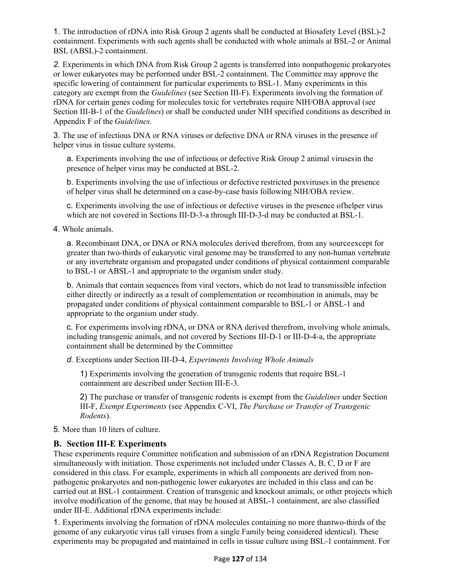1. The introduction of rDNA into Risk Group 2 agents shall be conducted at Biosafety Level (BSL)-2 containment. Experiments with such agents shall be conducted with whole animals at BSL-2 or Animal BSL (ABSL)-2 containment.

*2.* Experiments in which DNA from Risk Group 2 agents is transferred into nonpathogenic prokaryotes or lower eukaryotes may be performed under BSL-2 containment. The Committee may approve the specific lowering of containment for particular experiments to BSL-1. Many experiments in this category are exempt from the *Guidelines* (see Section III-F). Experiments involving the formation of rDNA for certain genes coding for molecules toxic for vertebrates require NIH/OBA approval (see Section III-B-1 of the *Guidelines*) or shall be conducted under NIH specified conditions as described in Appendix F of the *Guidelines.* 

3. The use of infectious DNA or RNA viruses or defective DNA or RNA viruses in the presence of helper virus in tissue culture systems.

a. Experiments involving the use of infectious or defective Risk Group 2 animal viruses in the presence of helper virus may be conducted at BSL-2.

b. Experiments involving the use of infectious or defective restricted poxviruses in the presence of helper virus shall be determined on a case-by-case basis following NIH/OBA review.

c. Experiments involving the use of infectious or defective viruses in the presence of helper virus which are not covered in Sections III-D-3-a through III-D-3-d may be conducted at BSL-1.

4. Whole animals.

a. Recombinant DNA, or DNA or RNA molecules derived therefrom, from any source except for greater than two-thirds of eukaryotic viral genome may be transferred to any non-human vertebrate or any invertebrate organism and propagated under conditions of physical containment comparable to BSL-1 or ABSL-1 and appropriate to the organism under study.

b. Animals that contain sequences from viral vectors, which do not lead to transmissible infection either directly or indirectly as a result of complementation or recombination in animals, may be propagated under conditions of physical containment comparable to BSL-1 or ABSL-1 and appropriate to the organism under study.

c. For experiments involving rDNA, or DNA or RNA derived therefrom, involving whole animals, including transgenic animals, and not covered by Sections III-D-1 or III-D-4-a, the appropriate containment shall be determined by the Committee

*d.* Exceptions under Section III-D-4, *Experiments Involving Whole Animals* 

1) Experiments involving the generation of transgenic rodents that require BSL-1 containment are described under Section III-E-3.

2) The purchase or transfer of transgenic rodents is exempt from the *Guidelines* under Section III-F, *Exempt Experiments* (see Appendix C-VI, *The Purchase or Transfer of Transgenic Rodents*).

5. More than 10 liters of culture.

#### **B. Section III-E Experiments**

These experiments require Committee notification and submission of an rDNA Registration Document simultaneously with initiation. Those experiments not included under Classes A, B, C, D or F are considered in this class. For example, experiments in which all components are derived from nonpathogenic prokaryotes and non-pathogenic lower eukaryotes are included in this class and can be carried out at BSL-1 containment. Creation of transgenic and knockout animals, or other projects which involve modification of the genome, that may be housed at ABSL-1 containment, are also classified under III-E. Additional rDNA experiments include:

1. Experiments involving the formation of rDNA molecules containing no more than two-thirds of the genome of any eukaryotic virus (all viruses from a single Family being considered identical). These experiments may be propagated and maintained in cells in tissue culture using BSL-1 containment. For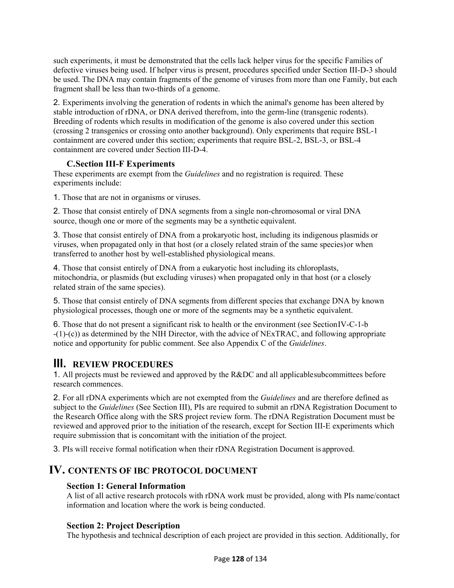such experiments, it must be demonstrated that the cells lack helper virus for the specific Families of defective viruses being used. If helper virus is present, procedures specified under Section III-D-3 should be used. The DNA may contain fragments of the genome of viruses from more than one Family, but each fragment shall be less than two-thirds of a genome.

2. Experiments involving the generation of rodents in which the animal's genome has been altered by stable introduction of rDNA, or DNA derived therefrom, into the germ-line (transgenic rodents). Breeding of rodents which results in modification of the genome is also covered under this section (crossing 2 transgenics or crossing onto another background). Only experiments that require BSL-1 containment are covered under this section; experiments that require BSL-2, BSL-3, or BSL-4 containment are covered under Section III-D-4.

#### **C. Section III-F Experiments**

These experiments are exempt from the *Guidelines* and no registration is required. These experiments include:

1. Those that are not in organisms or viruses.

2. Those that consist entirely of DNA segments from a single non-chromosomal or viral DNA source, though one or more of the segments may be a synthetic equivalent.

3. Those that consist entirely of DNA from a prokaryotic host, including its indigenous plasmids or viruses, when propagated only in that host (or a closely related strain of the same species) or when transferred to another host by well-established physiological means.

4. Those that consist entirely of DNA from a eukaryotic host including its chloroplasts, mitochondria, or plasmids (but excluding viruses) when propagated only in that host (or a closely related strain of the same species).

5. Those that consist entirely of DNA segments from different species that exchange DNA by known physiological processes, though one or more of the segments may be a synthetic equivalent.

6. Those that do not present a significant risk to health or the environment (see Section IV-C-1-b -(1)-(c)) as determined by the NIH Director, with the advice of NExTRAC, and following appropriate notice and opportunity for public comment. See also Appendix C of the *Guidelines*.

### **III. REVIEW PROCEDURES**

1. All projects must be reviewed and approved by the R&DC and all applicable subcommittees before research commences.

2. For all rDNA experiments which are not exempted from the *Guidelines* and are therefore defined as subject to the *Guidelines* (See Section III), PIs are required to submit an rDNA Registration Document to the Research Office along with the SRS project review form. The rDNA Registration Document must be reviewed and approved prior to the initiation of the research, except for Section III-E experiments which require submission that is concomitant with the initiation of the project.

3. PIs will receive formal notification when their rDNA Registration Document is approved.

#### **IV. CONTENTS OF IBC PROTOCOL DOCUMENT**

#### **Section 1: General Information**

A list of all active research protocols with rDNA work must be provided, along with PIs name/contact information and location where the work is being conducted.

#### **Section 2: Project Description**

The hypothesis and technical description of each project are provided in this section. Additionally, for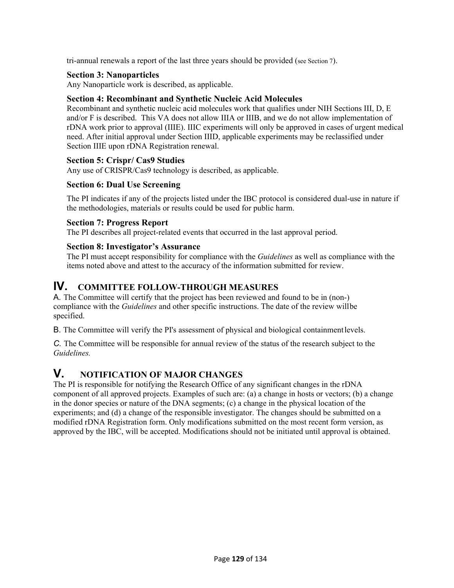tri-annual renewals a report of the last three years should be provided (see Section 7).

#### **Section 3: Nanoparticles**

Any Nanoparticle work is described, as applicable.

#### **Section 4: Recombinant and Synthetic Nucleic Acid Molecules**

Recombinant and synthetic nucleic acid molecules work that qualifies under NIH Sections III, D, E and/or F is described. This VA does not allow IIIA or IIIB, and we do not allow implementation of rDNA work prior to approval (IIIE). IIIC experiments will only be approved in cases of urgent medical need. After initial approval under Section IIID, applicable experiments may be reclassified under Section IIIE upon rDNA Registration renewal.

#### **Section 5: Crispr/ Cas9 Studies**

Any use of CRISPR/Cas9 technology is described, as applicable.

#### **Section 6: Dual Use Screening**

 The PI indicates if any of the projects listed under the IBC protocol is considered dual-use in nature if the methodologies, materials or results could be used for public harm.

#### **Section 7: Progress Report**

The PI describes all project-related events that occurred in the last approval period.

#### **Section 8: Investigator's Assurance**

The PI must accept responsibility for compliance with the *Guidelines* as well as compliance with the items noted above and attest to the accuracy of the information submitted for review.

#### **IV. COMMITTEE FOLLOW-THROUGH MEASURES**

A. The Committee will certify that the project has been reviewed and found to be in (non-) compliance with the *Guidelines* and other specific instructions. The date of the review will be specified.

B. The Committee will verify the PI's assessment of physical and biological containment levels.

*C.* The Committee will be responsible for annual review of the status of the research subject to the *Guidelines.* 

#### **V. NOTIFICATION OF MAJOR CHANGES**

The PI is responsible for notifying the Research Office of any significant changes in the rDNA component of all approved projects. Examples of such are: (a) a change in hosts or vectors; (b) a change in the donor species or nature of the DNA segments; (c) a change in the physical location of the experiments; and (d) a change of the responsible investigator. The changes should be submitted on a modified rDNA Registration form. Only modifications submitted on the most recent form version, as approved by the IBC, will be accepted. Modifications should not be initiated until approval is obtained.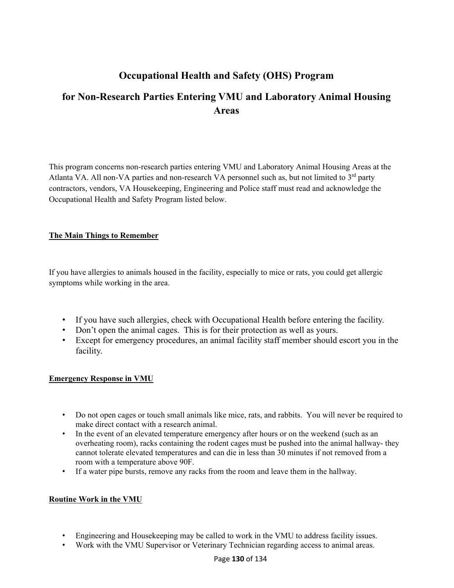## **Occupational Health and Safety (OHS) Program**

## **for Non-Research Parties Entering VMU and Laboratory Animal Housing Areas**

This program concerns non-research parties entering VMU and Laboratory Animal Housing Areas at the Atlanta VA. All non-VA parties and non-research VA personnel such as, but not limited to  $3<sup>rd</sup>$  party contractors, vendors, VA Housekeeping, Engineering and Police staff must read and acknowledge the Occupational Health and Safety Program listed below.

#### **The Main Things to Remember**

If you have allergies to animals housed in the facility, especially to mice or rats, you could get allergic symptoms while working in the area.

- If you have such allergies, check with Occupational Health before entering the facility.
- Don't open the animal cages. This is for their protection as well as yours.
- Except for emergency procedures, an animal facility staff member should escort you in the facility.

#### **Emergency Response in VMU**

- Do not open cages or touch small animals like mice, rats, and rabbits. You will never be required to make direct contact with a research animal.
- In the event of an elevated temperature emergency after hours or on the weekend (such as an overheating room), racks containing the rodent cages must be pushed into the animal hallway- they cannot tolerate elevated temperatures and can die in less than 30 minutes if not removed from a room with a temperature above 90F.
- If a water pipe bursts, remove any racks from the room and leave them in the hallway.

#### **Routine Work in the VMU**

- Engineering and Housekeeping may be called to work in the VMU to address facility issues.
- Work with the VMU Supervisor or Veterinary Technician regarding access to animal areas.

#### Page **130** of 134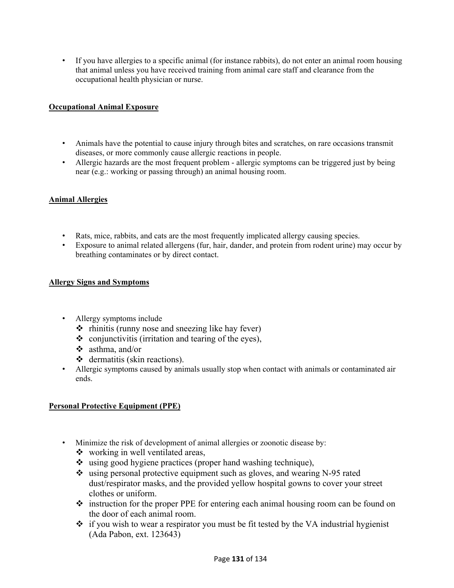• If you have allergies to a specific animal (for instance rabbits), do not enter an animal room housing that animal unless you have received training from animal care staff and clearance from the occupational health physician or nurse.

#### **Occupational Animal Exposure**

- Animals have the potential to cause injury through bites and scratches, on rare occasions transmit diseases, or more commonly cause allergic reactions in people.
- Allergic hazards are the most frequent problem allergic symptoms can be triggered just by being near (e.g.: working or passing through) an animal housing room.

#### **Animal Allergies**

- Rats, mice, rabbits, and cats are the most frequently implicated allergy causing species.
- Exposure to animal related allergens (fur, hair, dander, and protein from rodent urine) may occur by breathing contaminates or by direct contact.

#### **Allergy Signs and Symptoms**

- Allergy symptoms include
	- $\triangle$  rhinitis (runny nose and sneezing like hay fever)
	- $\bullet$  conjunctivitis (irritation and tearing of the eyes),
	- asthma, and/or
	- $\triangleleft$  dermatitis (skin reactions).
- Allergic symptoms caused by animals usually stop when contact with animals or contaminated air ends.

#### **Personal Protective Equipment (PPE)**

- Minimize the risk of development of animal allergies or zoonotic disease by:
	- ❖ working in well ventilated areas,
	- using good hygiene practices (proper hand washing technique),
	- $\div$  using personal protective equipment such as gloves, and wearing N-95 rated dust/respirator masks, and the provided yellow hospital gowns to cover your street clothes or uniform.
	- $\div$  instruction for the proper PPE for entering each animal housing room can be found on the door of each animal room.
	- $\div$  if you wish to wear a respirator you must be fit tested by the VA industrial hygienist (Ada Pabon, ext. 123643)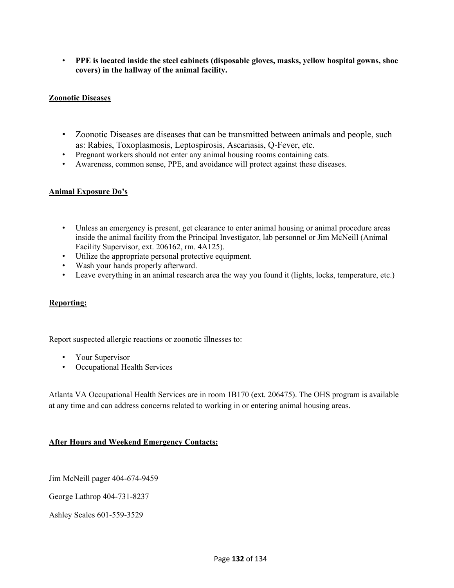• **PPE is located inside the steel cabinets (disposable gloves, masks, yellow hospital gowns, shoe covers) in the hallway of the animal facility.** 

#### **Zoonotic Diseases**

- Zoonotic Diseases are diseases that can be transmitted between animals and people, such as: Rabies, Toxoplasmosis, Leptospirosis, Ascariasis, Q-Fever, etc.
- Pregnant workers should not enter any animal housing rooms containing cats.
- Awareness, common sense, PPE, and avoidance will protect against these diseases.

#### **Animal Exposure Do's**

- Unless an emergency is present, get clearance to enter animal housing or animal procedure areas inside the animal facility from the Principal Investigator, lab personnel or Jim McNeill (Animal Facility Supervisor, ext. 206162, rm. 4A125).
- Utilize the appropriate personal protective equipment.
- Wash your hands properly afterward.
- Leave everything in an animal research area the way you found it (lights, locks, temperature, etc.)

#### **Reporting:**

Report suspected allergic reactions or zoonotic illnesses to:

- Your Supervisor
- Occupational Health Services

Atlanta VA Occupational Health Services are in room 1B170 (ext. 206475). The OHS program is available at any time and can address concerns related to working in or entering animal housing areas.

#### **After Hours and Weekend Emergency Contacts:**

Jim McNeill pager 404-674-9459

George Lathrop 404-731-8237

Ashley Scales 601-559-3529